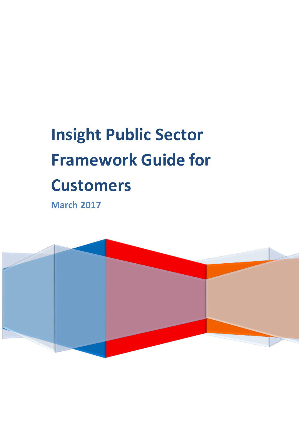# **Insight Public Sector Framework Guide for Customers**

**March 2017**

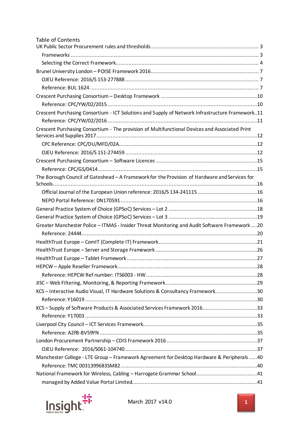| <b>Table of Contents</b>                                                                         |  |
|--------------------------------------------------------------------------------------------------|--|
|                                                                                                  |  |
|                                                                                                  |  |
|                                                                                                  |  |
|                                                                                                  |  |
|                                                                                                  |  |
|                                                                                                  |  |
|                                                                                                  |  |
|                                                                                                  |  |
| Crescent Purchasing Consortium - ICT Solutions and Supply of Network Infrastructure Framework.11 |  |
|                                                                                                  |  |
| Crescent Purchasing Consortium - The provision of Multifunctional Devices and Associated Print   |  |
|                                                                                                  |  |
|                                                                                                  |  |
|                                                                                                  |  |
|                                                                                                  |  |
| The Borough Council of Gateshead - A Framework for the Provision of Hardware and Services for    |  |
| Official Journal of the European Union reference: 2016/S 134-24111516                            |  |
|                                                                                                  |  |
|                                                                                                  |  |
|                                                                                                  |  |
| Greater Manchester Police - ITMAS - Insider Threat Monitoring and Audit Software Framework20     |  |
|                                                                                                  |  |
|                                                                                                  |  |
|                                                                                                  |  |
|                                                                                                  |  |
|                                                                                                  |  |
|                                                                                                  |  |
|                                                                                                  |  |
| KCS - Interactive Audio Visual, IT Hardware Solutions & Consultancy Framework30                  |  |
|                                                                                                  |  |
| KCS - Supply of Software Products & Associated Services Framework 201633                         |  |
|                                                                                                  |  |
|                                                                                                  |  |
|                                                                                                  |  |
|                                                                                                  |  |
|                                                                                                  |  |
| Manchester College - LTE Group - Framework Agreement for Desktop Hardware & Peripherals 40       |  |
|                                                                                                  |  |
|                                                                                                  |  |
|                                                                                                  |  |

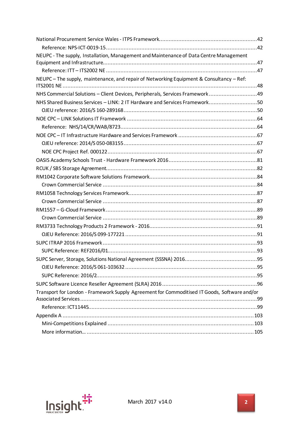| NEUPC - The supply, Installation, Management and Maintenance of Data Centre Management       |     |
|----------------------------------------------------------------------------------------------|-----|
|                                                                                              |     |
|                                                                                              |     |
| NEUPC - The supply, maintenance, and repair of Networking Equipment & Consultancy - Ref:     |     |
| NHS Commercial Solutions - Client Devices, Peripherals, Services Framework49                 |     |
| NHS Shared Business Services - LINK: 2 IT Hardware and Services Framework50                  |     |
|                                                                                              |     |
|                                                                                              |     |
|                                                                                              |     |
|                                                                                              |     |
|                                                                                              |     |
|                                                                                              |     |
|                                                                                              |     |
|                                                                                              |     |
|                                                                                              |     |
|                                                                                              |     |
|                                                                                              |     |
|                                                                                              |     |
|                                                                                              |     |
|                                                                                              |     |
|                                                                                              |     |
|                                                                                              |     |
|                                                                                              |     |
|                                                                                              |     |
| SUPC Server, Storage, Solutions National Agreement (SSSNA) 2016                              | .95 |
|                                                                                              |     |
|                                                                                              |     |
|                                                                                              |     |
| Transport for London - Framework Supply Agreement for Commoditised IT Goods, Software and/or |     |
|                                                                                              |     |
|                                                                                              |     |
|                                                                                              |     |
|                                                                                              |     |
|                                                                                              |     |

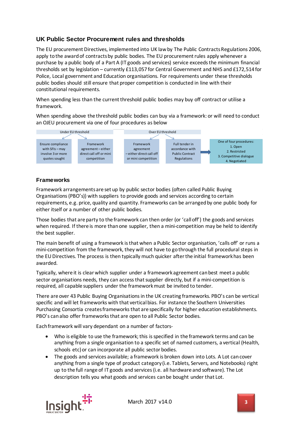## <span id="page-3-0"></span>**UK Public Sector Procurement rules and thresholds**

The EU procurement Directives, implemented into UK law by The Public Contracts Regulations 2006, apply to the award of contracts by public bodies. The EU procurement rules apply whenever a purchase by a public body of a Part A (IT goods and services) service exceeds the minimum financial thresholds set by legislation – currently £113,057 for Central Government and NHS and £172,514 for Police, Local government and Education organisations. For requirements under these thresholds public bodies should still ensure that proper competition is conducted in line with their constitutional requirements.

When spending less than the current threshold public bodies may buy off contract or utilise a framework.

When spending above the threshold public bodies can buy via a framework: or will need to conduct an OJEU procurement via one of four procedures as below



## <span id="page-3-1"></span>**Frameworks**

Framework arrangements are set up by public sector bodies (often called Public Buying Organisations (PBO's)) with suppliers to provide goods and services according to certain requirements, e.g. price, quality and quantity. Frameworks can be arranged by one public body for either itself or a number of other public bodies.

Those bodies that are party to the framework can then order (or 'call off') the goods and services when required. If there is more than one supplier, then a mini-competition may be held to identify the best supplier.

The main benefit of using a framework is that when a Public Sector organisation, 'calls off' or runs a mini-competition from the framework, they will not have to go through the full procedural steps in the EU Directives. The process is then typically much quicker after the initial framework has been awarded.

Typically, where it is clear which supplier under a framework agreement can best meet a public sector organisations needs, they can access that supplier directly, but if a mini-competition is required, all capable suppliers under the framework must be invited to tender.

There are over 43 Public Buying Organisations in the UK creating frameworks. PBO's can be vertical specific and will let frameworks with that vertical bias. For instance the Southern Universities Purchasing Consortia creates frameworks that are specifically for higher education establishments. PBO's can also offer frameworks that are open to all Public Sector bodies.

Each framework will vary dependant on a number of factors-

- Who is eligible to use the framework; this is specified in the framework terms and can be anything from a single organisation to a specific set of named customers, a vertical (Health, schools etc) or can incorporate all public sector bodies.
- The goods and services available; a framework is broken down into Lots. A Lot can cover anything from a single type of product category (i.e. Tablets, Servers, and Notebooks) right up to the full range of IT goods and services (i.e. all hardware and software). The Lot description tells you what goods and services can be bought under that Lot.

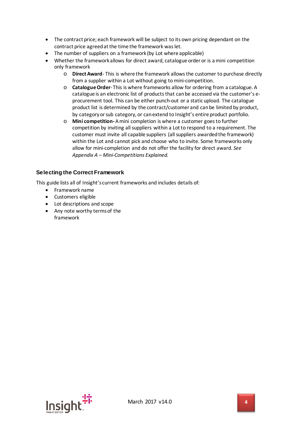- The contract price; each framework will be subject to its own pricing dependant on the contract price agreed at the time the framework was let.
- The number of suppliers on a framework (by Lot where applicable)
- Whether the framework allows for direct award, catalogue order or is a mini competition only framework
	- o **Direct Award** This is where the framework allows the customer to purchase directly from a supplier within a Lot without going to mini-competition.
	- o **Catalogue Order** This is where frameworks allow for ordering from a catalogue. A catalogue is an electronic list of products that can be accessed via the customer's eprocurement tool. This can be either punch-out or a static upload. The catalogue product list is determined by the contract/customer and can be limited by product, by category or sub category, or can extend to Insight's entire product portfolio.
	- o **Mini competition-**A mini completion is where a customer goes to further competition by inviting all suppliers within a Lot to respond to a requirement. The customer must invite all capable suppliers (all suppliers awarded the framework) within the Lot and cannot pick and choose who to invite. Some frameworks only allow for mini-completion and do not offer the facility for direct award. *See Appendix A – Mini-Competitions Explained.*

## <span id="page-4-0"></span>**Selecting the Correct Framework**

This guide lists all of Insight's current frameworks and includes details of:

- Framework name
- Customers eligible
- Lot descriptions and scope
- Any note worthy terms of the framework

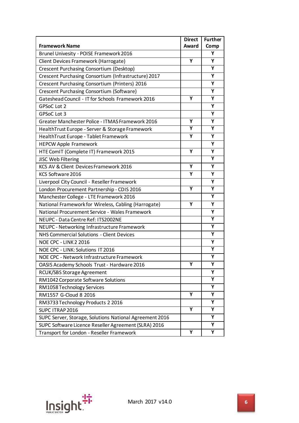|                                                         | <b>Direct</b> | <b>Further</b> |
|---------------------------------------------------------|---------------|----------------|
| <b>Framework Name</b>                                   | Award         | Comp           |
| Brunel Univesity - POISE Framework 2016                 |               | Υ              |
| Client Devices Framework (Harrogate)                    | Y             | Υ              |
| Crescent Purchasing Consortium (Desktop)                |               | Υ              |
| Crescent Purchasing Consortium (Infrastructure) 2017    |               | Υ              |
| Crescent Purchasing Consortium (Printers) 2016          |               | Υ              |
| Crescent Purchasing Consortium (Software)               |               | Υ              |
| Gateshead Council - IT for Schools Framework 2016       | Y             | Υ              |
| <b>GPSoC Lot 2</b>                                      |               | Υ              |
| GPSoC Lot 3                                             |               | Υ              |
| Greater Manchester Police - ITMAS Framework 2016        | Υ             | Υ              |
| HealthTrust Europe - Server & Storage Framework         | Υ             | Υ              |
| HealthTrust Europe - Tablet Framework                   | Y             | Υ              |
| <b>HEPCW Apple Framework</b>                            |               | Υ              |
| HTE ComIT (Complete IT) Framework 2015                  | Υ             | Υ              |
| JISC Web Filtering                                      |               | Υ              |
| KCS AV & Client Devices Framework 2016                  | Υ             | Υ              |
| KCS Software 2016                                       | Υ             | Υ              |
| Liverpool City Council - Reseller Framework             |               | Υ              |
| London Procurement Partnership - CDIS 2016              | Y             | Υ              |
| Manchester College - LTE Framework 2016                 |               | Υ              |
| National Framework for Wireless, Cabling (Harrogate)    | Υ             | Υ              |
| National Procurement Service - Wales Framework          |               | Υ              |
| NEUPC - Data Centre Ref: ITS2002NE                      |               | Υ              |
| NEUPC - Networking Infrastructure Framework             |               | Υ              |
| NHS Commercial Solutions - Client Devices               |               | Υ              |
| <b>NOE CPC - LINK 2 2016</b>                            |               | Υ              |
| NOE CPC - LINK: Solutions IT 2016                       |               | Υ              |
| NOE CPC - Network Infrastructure Framework              |               | Υ              |
| OASIS Academy Schools Trust - Hardware 2016             | Υ             | Υ              |
| RCUK/SBS Storage Agreement                              |               | Υ              |
| RM1042 Corporate Software Solutions                     |               | Υ              |
| RM1058 Technology Services                              |               | Υ              |
| RM1557 G-Cloud 8 2016                                   | Υ             | Υ              |
| RM3733 Technology Products 2 2016                       |               | Υ              |
| SUPC ITRAP 2016                                         | Y             | Υ              |
| SUPC Server, Storage, Solutions National Agreement 2016 |               | Υ              |
| SUPC Software Licence Reseller Agreement (SLRA) 2016    |               | Υ              |
| Transport for London - Reseller Framework               | Υ             | Υ              |

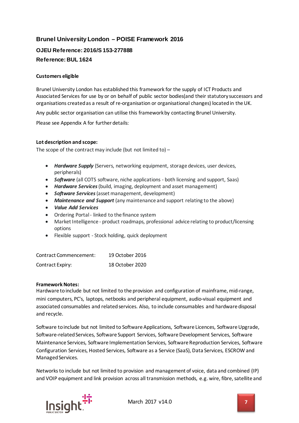## <span id="page-6-0"></span>**Brunel University London – POISE Framework 2016**

## <span id="page-6-2"></span><span id="page-6-1"></span>**OJEU Reference: 2016/S 153-277888 Reference: BUL 1624**

#### **Customers eligible**

Brunel University London has established this framework for the supply of ICT Products and Associated Services for use by or on behalf of public sector bodies(and their statutory successors and organisations created as a result of re-organisation or organisational changes) located in the UK.

Any public sector organisation can utilise this framework by contacting Brunel University.

Please see Appendix A for further details:

#### **Lot description and scope:**

The scope of the contract may include (but not limited to)  $-$ 

- *Hardware Supply* (Servers, networking equipment, storage devices, user devices, peripherals)
- *Software* (all COTS software, niche applications both licensing and support, Saas)
- *Hardware Services*(build, imaging, deployment and asset management)
- *Software Services*(asset management, development)
- *Maintenance and Support* (any maintenance and support relating to the above)
- *Value Add Services*
- Ordering Portal linked to the finance system
- Market Intelligence product roadmaps, professional advice relating to product/licensing options
- Flexible support Stock holding, quick deployment

| Contract Commencement: | 19 October 2016 |
|------------------------|-----------------|
| Contract Expiry:       | 18 October 2020 |

#### **Framework Notes:**

Hardware to include but not limited to the provision and configuration of mainframe, mid-range, mini computers, PC's, laptops, netbooks and peripheral equipment, audio-visual equipment and associated consumables and related services. Also, to include consumables and hardware disposal and recycle.

Software to include but not limited to Software Applications, Software Licences, Software Upgrade, Software-related Services, Software Support Services, Software Development Services, Software Maintenance Services, Software Implementation Services, Software Reproduction Services, Software Configuration Services, Hosted Services, Software as a Service (SaaS), Data Services, ESCROW and Managed Services.

Networks to include but not limited to provision and management of voice, data and combined (IP) and VOIP equipment and link provision across all transmission methods, e.g. wire, fibre, satellite and

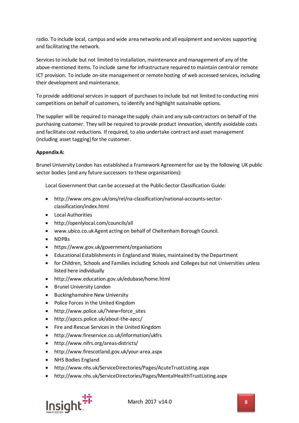radio. To include local, campus and wide area networks and all equipment and services supporting and facilitating the network.

Services to include but not limited to installation, maintenance and management of any of the above-mentioned items. To include same for infrastructure required to maintain central or remote ICT provision. To include on-site management or remote hosting of web accessed services, including their development and maintenance.

To provide additional services in support of purchases to include but not limited to conducting mini competitions on behalf of customers, to identify and highlight sustainable options.

The supplier will be required to manage the supply chain and any sub-contractors on behalf of the purchasing customer. They will be required to provide product innovation, identify avoidable costs and facilitate cost reductions. If required, to also undertake contract and asset management (including asset tagging) for the customer.

#### **Appendix A:**

Brunel University London has established a Framework Agreement for use by the following UK public sector bodies (and any future successors to these organisations):

Local Government that can be accessed at the Public-Sector Classification Guide:

- http://www.ons.gov.uk/ons/rel/na-classification/national-accounts-sectorclassification/index.html
- Local Authorities
- http://openlylocal.com/councils/all
- www.ubico.co.uk Agent acting on behalf of Cheltenham Borough Council.
- NDPBs
- https://www.gov.uk/government/organisations
- Educational Establishments in England and Wales, maintained by the Department
- for Children, Schools and Families including Schools and Colleges but not Universities unless listed here individually
- http://www.education.gov.uk/edubase/home.html
- Brunel University London
- Buckinghamshire New University
- Police Forces in the United Kingdom
- http://www.police.uk/?view=force\_sites
- http://apccs.police.uk/about-the-apcc/
- Fire and Rescue Services in the United Kingdom
- http://www.fireservice.co.uk/information/ukfrs
- http://www.nifrs.org/areas-districts/
- http://www.firescotland.gov.uk/your-area.aspx
- NHS Bodies England
- http://www.nhs.uk/ServiceDirectories/Pages/AcuteTrustListing.aspx
- http://www.nhs.uk/ServiceDirectories/Pages/MentalHealthTrustListing.aspx

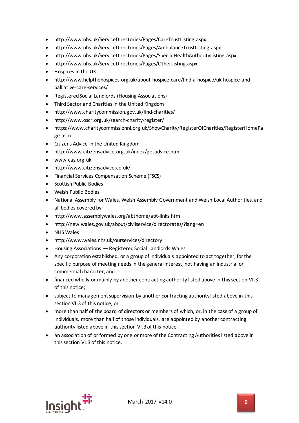- http://www.nhs.uk/ServiceDirectories/Pages/CareTrustListing.aspx
- http://www.nhs.uk/ServiceDirectories/Pages/AmbulanceTrustListing.aspx
- http://www.nhs.uk/ServiceDirectories/Pages/SpecialHealthAuthorityListing.aspx
- http://www.nhs.uk/ServiceDirectories/Pages/OtherListing.aspx
- Hospices in the UK
- http://www.helpthehospices.org.uk/about-hospice-care/find-a-hospice/uk-hospice-andpalliative-care-services/
- Registered Social Landlords (Housing Associations)
- Third Sector and Charities in the United Kingdom
- http://www.charitycommission.gov.uk/find-charities/
- http://www.oscr.org.uk/search-charity-register/
- https://www.charitycommissionni.org.uk/ShowCharity/RegisterOfCharities/RegisterHomePa ge.aspx
- Citizens Advice in the United Kingdom
- http://www.citizensadvice.org.uk/index/getadvice.htm
- www.cas.org.uk
- http://www.citizensadvice.co.uk/
- Financial Services Compensation Scheme (FSCS)
- Scottish Public Bodies
- Welsh Public Bodies
- National Assembly for Wales, Welsh Assembly Government and Welsh Local Authorities, and all bodies covered by:
- http://www.assemblywales.org/abthome/abt-links.htm
- http://new.wales.gov.uk/about/civilservice/directorates/?lang=en
- NHS Wales
- http://www.wales.nhs.uk/ourservices/directory
- Housing Associations Registered Social Landlords Wales
- Any corporation established, or a group of individuals appointed to act together, for the specific purpose of meeting needs in the general interest, not having an industrial or commercial character, and
- financed wholly or mainly by another contracting authority listed above in this section VI.3 of this notice;
- subject to management supervision by another contracting authority listed above in this section VI.3 of this notice; or
- more than half of the board of directors or members of which, or, in the case of a group of individuals, more than half of those individuals, are appointed by another contracting authority listed above in this section VI.3 of this notice
- an association of or formed by one or more of the Contracting Authorities listed above in this section VI.3 of this notice.

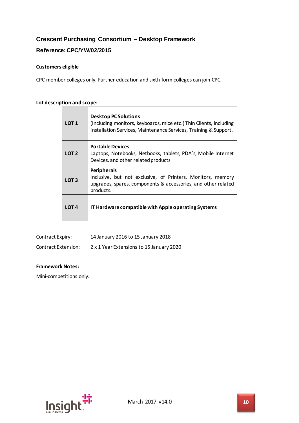## <span id="page-9-0"></span>**Crescent Purchasing Consortium – Desktop Framework**

#### <span id="page-9-1"></span>**Reference: CPC/YW/02/2015**

#### **Customers eligible**

CPC member colleges only. Further education and sixth form colleges can join CPC.

## **Lot description and scope:**

| LOT <sub>1</sub> | <b>Desktop PC Solutions</b><br>(Including monitors, keyboards, mice etc.) Thin Clients, including<br>Installation Services, Maintenance Services, Training & Support. |
|------------------|-----------------------------------------------------------------------------------------------------------------------------------------------------------------------|
| LOT <sub>2</sub> | <b>Portable Devices</b><br>Laptops, Notebooks, Netbooks, tablets, PDA's, Mobile Internet<br>Devices, and other related products.                                      |
| LOT <sub>3</sub> | <b>Peripherals</b><br>Inclusive, but not exclusive, of Printers, Monitors, memory<br>upgrades, spares, components & accessories, and other related<br>products.       |
| LOT 4            | IT Hardware compatible with Apple operating Systems                                                                                                                   |

| Contract Expiry:    | 14 January 2016 to 15 January 2018       |
|---------------------|------------------------------------------|
| Contract Extension: | 2 x 1 Year Extensions to 15 January 2020 |

#### **Framework Notes:**

Mini-competitions only.

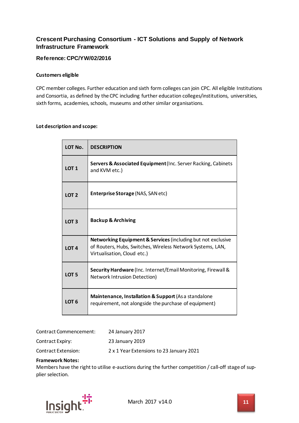## <span id="page-10-0"></span>**Crescent Purchasing Consortium - ICT Solutions and Supply of Network Infrastructure Framework**

## <span id="page-10-1"></span>**Reference: CPC/YW/02/2016**

#### **Customers eligible**

CPC member colleges. Further education and sixth form colleges can join CPC. All eligible Institutions and Consortia, as defined by the CPC including further education colleges/institutions, universities, sixth forms, academies, schools, museums and other similar organisations.

#### **Lot description and scope:**

| LOT No.          | <b>DESCRIPTION</b>                                                                                                                                                   |
|------------------|----------------------------------------------------------------------------------------------------------------------------------------------------------------------|
| LOT <sub>1</sub> | Servers & Associated Equipment (Inc. Server Racking, Cabinets<br>and KVM etc.)                                                                                       |
| LOT <sub>2</sub> | <b>Enterprise Storage (NAS, SAN etc)</b>                                                                                                                             |
| LOT <sub>3</sub> | <b>Backup &amp; Archiving</b>                                                                                                                                        |
| LOT <sub>4</sub> | <b>Networking Equipment &amp; Services (including but not exclusive</b><br>of Routers, Hubs, Switches, Wireless Network Systems, LAN,<br>Virtualisation, Cloud etc.) |
| LOT <sub>5</sub> | Security Hardware (Inc. Internet/Email Monitoring, Firewall &<br><b>Network Intrusion Detection)</b>                                                                 |
| LOT <sub>6</sub> | Maintenance, Installation & Support (As a standalone<br>requirement, not alongside the purchase of equipment)                                                        |

| Contract Commencement: | 24 January 2017                          |
|------------------------|------------------------------------------|
| Contract Expiry:       | 23 January 2019                          |
| Contract Extension:    | 2 x 1 Year Extensions to 23 January 2021 |

#### **Framework Notes:**

Members have the right to utilise e-auctions during the further competition / call-off stage of supplier selection.

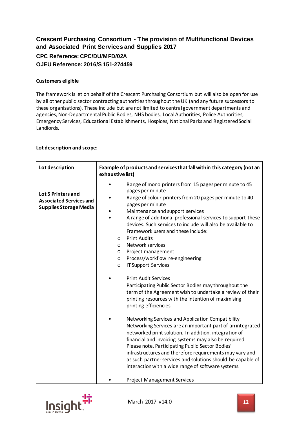## <span id="page-11-1"></span><span id="page-11-0"></span>**Crescent Purchasing Consortium - The provision of Multifunctional Devices and Associated Print Services and Supplies 2017 CPC Reference: CPC/DU/MFD/02A OJEU Reference: 2016/S 151-274459**

#### <span id="page-11-2"></span>**Customers eligible**

The framework is let on behalf of the Crescent Purchasing Consortium but will also be open for use by all other public sector contracting authorities throughout the UK (and any future successors to these organisations). These include but are not limited to central government departments and agencies, Non-Departmental Public Bodies, NHS bodies, Local Authorities, Police Authorities, Emergency Services, Educational Establishments, Hospices, National Parks and Registered Social Landlords.

#### **Lot description and scope:**

| Lot description                                                                       | Example of products and services that fall within this category (not an<br>exhaustive list)                                                                                                                                                                                                                                                                                                                                                                                                                                                                                                                                                                                                                                                                                                                                                                                                                                                                                                                                                                                               |
|---------------------------------------------------------------------------------------|-------------------------------------------------------------------------------------------------------------------------------------------------------------------------------------------------------------------------------------------------------------------------------------------------------------------------------------------------------------------------------------------------------------------------------------------------------------------------------------------------------------------------------------------------------------------------------------------------------------------------------------------------------------------------------------------------------------------------------------------------------------------------------------------------------------------------------------------------------------------------------------------------------------------------------------------------------------------------------------------------------------------------------------------------------------------------------------------|
| Lot 5 Printers and<br><b>Associated Services and</b><br><b>Supplies Storage Media</b> | Range of mono printers from 15 pages per minute to 45<br>pages per minute<br>Range of colour printers from 20 pages per minute to 40<br>pages per minute<br>Maintenance and support services<br>A range of additional professional services to support these<br>devices. Such services to include will also be available to<br>Framework users and these include:<br><b>Print Audits</b><br>$\circ$<br>Network services<br>$\circ$<br>Project management<br>$\circ$<br>Process/workflow re-engineering<br>$\circ$<br><b>IT Support Services</b><br>$\circ$<br><b>Print Audit Services</b><br>Participating Public Sector Bodies may throughout the<br>term of the Agreement wish to undertake a review of their<br>printing resources with the intention of maximising<br>printing efficiencies.<br>Networking Services and Application Compatibility<br>Networking Services are an important part of an integrated<br>networked print solution. In addition, integration of<br>financial and invoicing systems may also be required.<br>Please note, Participating Public Sector Bodies' |
|                                                                                       | infrastructures and therefore requirements may vary and<br>as such partner services and solutions should be capable of<br>interaction with a wide range of software systems.                                                                                                                                                                                                                                                                                                                                                                                                                                                                                                                                                                                                                                                                                                                                                                                                                                                                                                              |
|                                                                                       | <b>Project Management Services</b>                                                                                                                                                                                                                                                                                                                                                                                                                                                                                                                                                                                                                                                                                                                                                                                                                                                                                                                                                                                                                                                        |

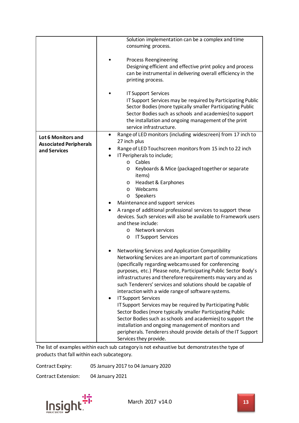|                                                                     | Solution implementation can be a complex and time<br>consuming process.                                                                                                                                                                                                                                                                                                                                                                                                                                                                                                                                                                                                                                                                                                                                       |
|---------------------------------------------------------------------|---------------------------------------------------------------------------------------------------------------------------------------------------------------------------------------------------------------------------------------------------------------------------------------------------------------------------------------------------------------------------------------------------------------------------------------------------------------------------------------------------------------------------------------------------------------------------------------------------------------------------------------------------------------------------------------------------------------------------------------------------------------------------------------------------------------|
|                                                                     | <b>Process Reengineering</b><br>Designing efficient and effective print policy and process<br>can be instrumental in delivering overall efficiency in the<br>printing process.                                                                                                                                                                                                                                                                                                                                                                                                                                                                                                                                                                                                                                |
|                                                                     | <b>IT Support Services</b><br>IT Support Services may be required by Participating Public<br>Sector Bodies (more typically smaller Participating Public<br>Sector Bodies such as schools and academies) to support<br>the installation and ongoing management of the print<br>service infrastructure.                                                                                                                                                                                                                                                                                                                                                                                                                                                                                                         |
| Lot 6 Monitors and<br><b>Associated Peripherals</b><br>and Services | Range of LED monitors (including widescreen) from 17 inch to<br>$\bullet$<br>27 inch plus<br>Range of LED Touchscreen monitors from 15 inch to 22 inch<br>٠<br>IT Peripherals to include;<br>Cables<br>$\circ$<br>Keyboards & Mice (packaged together or separate<br>O<br>items)<br>Headset & Earphones<br>$\circ$<br>Webcams<br>$\circ$<br>Speakers<br>$\circ$<br>Maintenance and support services<br>A range of additional professional services to support these<br>٠<br>devices. Such services will also be available to Framework users<br>and these include:<br>Network services<br>$\circ$<br><b>IT Support Services</b><br>O                                                                                                                                                                          |
|                                                                     | Networking Services and Application Compatibility<br>Networking Services are an important part of communications<br>(specifically regarding webcams used for conferencing<br>purposes, etc.) Please note, Participating Public Sector Body's<br>infrastructures and therefore requirements may vary and as<br>such Tenderers' services and solutions should be capable of<br>interaction with a wide range of software systems.<br><b>IT Support Services</b><br>IT Support Services may be required by Participating Public<br>Sector Bodies (more typically smaller Participating Public<br>Sector Bodies such as schools and academies) to support the<br>installation and ongoing management of monitors and<br>peripherals. Tenderers should provide details of the IT Support<br>Services they provide. |

The list of examples within each sub category is not exhaustive but demonstrates the type of products that fall within each subcategory.

Contract Expiry: 05 January 2017 to 04 January 2020

Contract Extension: 04 January 2021

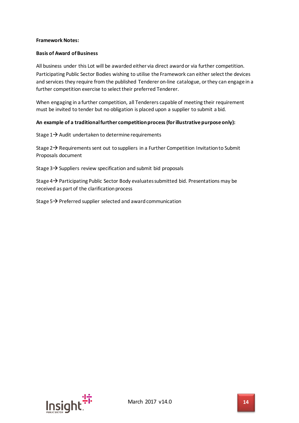#### **Framework Notes:**

#### **Basis of Award of Business**

All business under this Lot will be awarded either via direct award or via further competition. Participating Public Sector Bodies wishing to utilise the Framework can either select the devices and services they require from the published Tenderer on-line catalogue, or they can engage in a further competition exercise to select their preferred Tenderer.

When engaging in a further competition, all Tenderers capable of meeting their requirement must be invited to tender but no obligation is placed upon a supplier to submit a bid.

#### **An example of a traditional further competition process (for illustrative purpose only):**

Stage  $1\rightarrow$  Audit undertaken to determine requirements

Stage  $2\rightarrow$  Requirements sent out to suppliers in a Further Competition Invitation to Submit Proposals document

Stage  $3\rightarrow$  Suppliers review specification and submit bid proposals

Stage  $4\rightarrow$  Participating Public Sector Body evaluates submitted bid. Presentations may be received as part of the clarification process

Stage  $5\rightarrow$  Preferred supplier selected and award communication

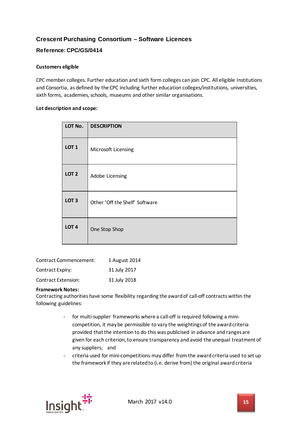## <span id="page-14-0"></span>**Crescent Purchasing Consortium – Software Licences**

## <span id="page-14-1"></span>**Reference: CPC/GS/0414**

#### **Customers eligible**

CPC member colleges. Further education and sixth form colleges can join CPC. All eligible Institutions and Consortia, as defined by the CPC including further education colleges/institutions, universities, sixth forms, academies, schools, museums and other similar organisations.

#### **Lot description and scope:**

| LOT No.          | <b>DESCRIPTION</b>             |
|------------------|--------------------------------|
| LOT <sub>1</sub> | Microsoft Licensing            |
| LOT <sub>2</sub> | Adobe Licensing                |
| LOT <sub>3</sub> | Other 'Off the Shelf' Software |
| LOT <sub>4</sub> | One Stop Shop                  |

| <b>Contract Commencement:</b> | 1 August 2014 |
|-------------------------------|---------------|
| <b>Contract Expiry:</b>       | 31 July 2017  |
| <b>Contract Extension:</b>    | 31 July 2018  |

#### **Framework Notes:**

Contracting authorities have some flexibility regarding the award of call-off contracts within the following guidelines:

- for multi-supplier frameworks where a call-off is required following a minicompetition, it may be permissible to vary the weightings of the award criteria provided that the intention to do this was publicised in advance and ranges are given for each criterion, to ensure transparency and avoid the unequal treatment of any suppliers; and
- criteria used for mini-competitions may differ from the award criteria used to set up the framework if they are related to (i.e. derive from) the original award criteria

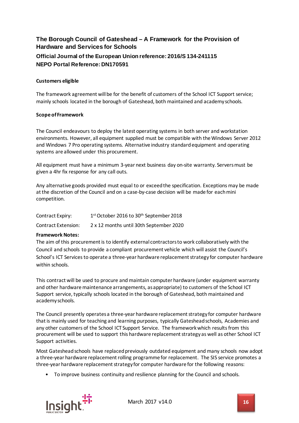## <span id="page-15-1"></span><span id="page-15-0"></span>**The Borough Council of Gateshead – A Framework for the Provision of Hardware and Services for Schools Official Journal of the European Union reference: 2016/S 134-241115 NEPO Portal Reference: DN170591**

#### <span id="page-15-2"></span>**Customers eligible**

The framework agreement will be for the benefit of customers of the School ICT Support service; mainly schools located in the borough of Gateshead, both maintained and academy schools.

#### **Scope of Framework**

The Council endeavours to deploy the latest operating systems in both server and workstation environments. However, all equipment supplied must be compatible with the Windows Server 2012 and Windows 7 Pro operating systems. Alternative industry standard equipment and operating systems are allowed under this procurement.

All equipment must have a minimum 3-year next business day on-site warranty. Servers must be given a 4hr fix response for any call outs.

Any alternative goods provided must equal to or exceed the specification. Exceptions may be made at the discretion of the Council and on a case-by-case decision will be made for each mini competition.

| Contract Expiry:    | 1 <sup>st</sup> October 2016 to 30 <sup>th</sup> September 2018 |
|---------------------|-----------------------------------------------------------------|
| Contract Extension: | 2 x 12 months until 30th September 2020                         |

#### **Framework Notes:**

The aim of this procurement is to identify external contractors to work collaboratively with the Council and schools to provide a compliant procurement vehicle which will assist the Council's School's ICT Services to operate a three-year hardware replacement strategy for computer hardware within schools.

This contract will be used to procure and maintain computer hardware (under equipment warranty and other hardware maintenance arrangements, as appropriate) to customers of the School ICT Support service, typically schools located in the borough of Gateshead, both maintained and academy schools.

The Council presently operates a three-year hardware replacement strategy for computer hardware that is mainly used for teaching and learning purposes, typically Gateshead schools, Academies and any other customers of the School ICT Support Service. The framework which results from this procurement will be used to support this hardware replacement strategy as well as other School ICT Support activities.

Most Gateshead schools have replaced previously outdated equipment and many schools now adopt a three-year hardware replacement rolling programme for replacement. The SIS service promotes a three-year hardware replacement strategy for computer hardware for the following reasons:

• To improve business continuity and resilience planning for the Council and schools.

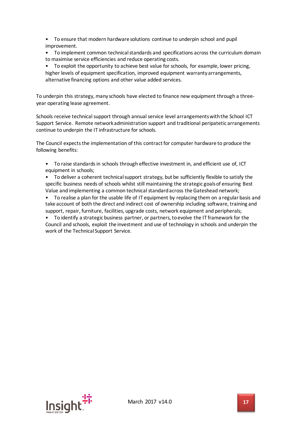• To ensure that modern hardware solutions continue to underpin school and pupil improvement.

• To implement common technical standards and specifications across the curriculum domain to maximise service efficiencies and reduce operating costs.

• To exploit the opportunity to achieve best value for schools, for example, lower pricing, higher levels of equipment specification, improved equipment warranty arrangements, alternative financing options and other value added services.

To underpin this strategy, many schools have elected to finance new equipment through a threeyear operating lease agreement.

Schools receive technical support through annual service level arrangements with the School ICT Support Service. Remote network administration support and traditional peripatetic arrangements continue to underpin the IT infrastructure for schools.

The Council expects the implementation of this contract for computer hardware to produce the following benefits:

• To raise standards in schools through effective investment in, and efficient use of, ICT equipment in schools;

• To deliver a coherent technical support strategy, but be sufficiently flexible to satisfy the specific business needs of schools whilst still maintaining the strategic goals of ensuring Best Value and implementing a common technical standard across the Gateshead network;

• To realise a plan for the usable life of IT equipment by replacing them on a regular basis and take account of both the direct and indirect cost of ownership including software, training and support, repair, furniture, facilities, upgrade costs, network equipment and peripherals;

• To identify a strategic business partner, or partners, to evolve the IT framework for the Council and schools, exploit the investment and use of technology in schools and underpin the work of the Technical Support Service.

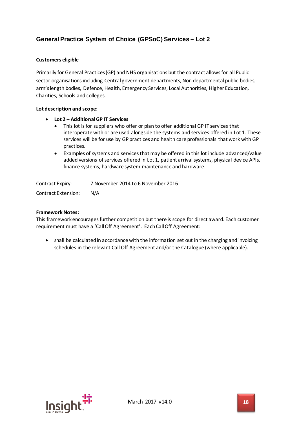## <span id="page-17-0"></span>**General Practice System of Choice (GPSoC) Services – Lot 2**

#### **Customers eligible**

Primarily for General Practices (GP) and NHS organisations but the contract allows for all Public sector organisations including Central government departments, Non departmental public bodies, arm's length bodies, Defence, Health, Emergency Services, Local Authorities, Higher Education, Charities, Schools and colleges.

#### **Lot description and scope:**

- **Lot 2 – Additional GP IT Services**
	- This lot is for suppliers who offer or plan to offer additional GP IT services that interoperate with or are used alongside the systems and services offered in Lot 1. These services will be for use by GP practices and health care professionals that work with GP practices.
	- Examples of systems and services that may be offered in this lot include advanced/value added versions of services offered in Lot 1, patient arrival systems, physical device APIs, finance systems, hardware system maintenance and hardware.

Contract Expiry: 7 November 2014 to 6 November 2016 Contract Extension: N/A

#### **Framework Notes:**

This framework encourages further competition but there is scope for direct award. Each customer requirement must have a 'Call Off Agreement'. Each Call Off Agreement:

• shall be calculated in accordance with the information set out in the charging and invoicing schedules in the relevant Call Off Agreement and/or the Catalogue (where applicable).

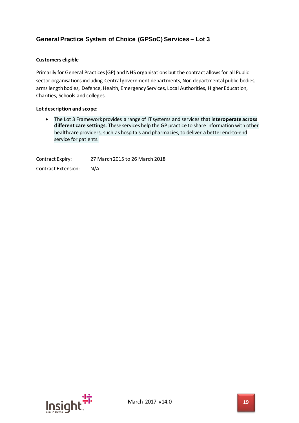## <span id="page-18-0"></span>**General Practice System of Choice (GPSoC) Services – Lot 3**

#### **Customers eligible**

Primarily for General Practices (GP) and NHS organisations but the contract allows for all Public sector organisations including Central government departments, Non departmental public bodies, arms length bodies, Defence, Health, Emergency Services, Local Authorities, Higher Education, Charities, Schools and colleges.

#### **Lot description and scope:**

• The Lot 3 Framework provides a range of IT systems and services that**interoperate across different care settings**. These services help the GP practice to share information with other healthcare providers, such as hospitals and pharmacies, to deliver a better end-to-end service for patients.

Contract Expiry: 27 March 2015 to 26 March 2018 Contract Extension: N/A

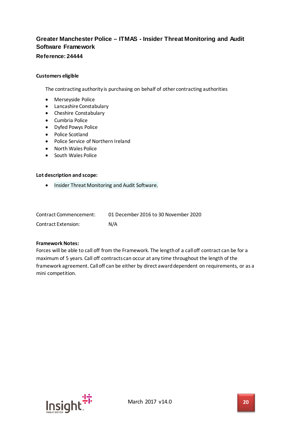## <span id="page-19-0"></span>**Greater Manchester Police – ITMAS - Insider Threat Monitoring and Audit Software Framework**

## <span id="page-19-1"></span>**Reference: 24444**

#### **Customers eligible**

The contracting authority is purchasing on behalf of other contracting authorities

- Merseyside Police
- Lancashire Constabulary
- Cheshire Constabulary
- Cumbria Police
- Dyfed Powys Police
- Police Scotland
- Police Service of Northern Ireland
- North Wales Police
- South Wales Police

#### **Lot description and scope:**

• Insider Threat Monitoring and Audit Software.

| Contract Commencement: | 01 December 2016 to 30 November 2020 |
|------------------------|--------------------------------------|
| Contract Extension:    | N/A                                  |

#### **Framework Notes:**

Forces will be able to call off from the Framework. The length of a call off contract can be for a maximum of 5 years. Call off contracts can occur at any time throughout the length of the framework agreement. Call off can be either by direct award dependent on requirements, or as a mini competition.

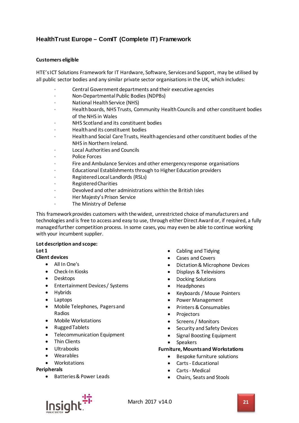## <span id="page-20-0"></span>**HealthTrust Europe – ComIT (Complete IT) Framework**

#### **Customers eligible**

HTE's ICT Solutions Framework for IT Hardware, Software, Services and Support, may be utilised by all public sector bodies and any similar private sector organisations in the UK, which includes:

- Central Government departments and their executive agencies
- · Non-Departmental Public Bodies (NDPBs)
- · National Health Service (NHS)
- · Health boards, NHS Trusts, Community Health Councils and other constituent bodies of the NHS in Wales
- · NHS Scotland and its constituent bodies
- · Health and its constituent bodies
- · Health and Social Care Trusts, Health agencies and other constituent bodies of the NHS in Northern Ireland.
- · Local Authorities and Councils
- Police Forces
- Fire and Ambulance Services and other emergency response organisations
- Educational Establishments through to Higher Education providers
- · Registered Local Landlords (RSLs)
- · Registered Charities
- · Devolved and other administrations within the British Isles
- Her Majesty's Prison Service
- The Ministry of Defense

This framework provides customers with the widest, unrestricted choice of manufacturers and technologies and is free to access and easy to use, through either Direct Award or, if required, a fully managed further competition process. In some cases, you may even be able to continue working with your incumbent supplier.

#### **Lot description and scope:**

#### **Lot 1**

#### **Client devices**

- All In One's
- Check-In Kiosks
- Desktops
- Entertainment Devices / Systems
- Hybrids
- Laptops
- Mobile Telephones, Pagers and Radios
- Mobile Workstations
- Rugged Tablets
- Telecommunication Equipment
- Thin Clients
- Ultrabooks
- Wearables
- Workstations

#### **Peripherals**

• Batteries & Power Leads

- Cabling and Tidying
- Cases and Covers
- Dictation & Microphone Devices
- Displays & Televisions
- Docking Solutions
- Headphones
- Keyboards / Mouse Pointers
- Power Management
- Printers & Consumables
- Projectors
- Screens / Monitors
- Security and Safety Devices
- Signal Boosting Equipment
- Speakers

#### **Furniture, Mounts and Workstations**

- Bespoke furniture solutions
- Carts Educational
- Carts Medical
- Chairs, Seats and Stools

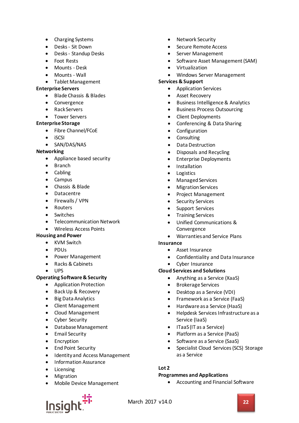- Charging Systems
- Desks Sit Down
- Desks Standup Desks
- Foot Rests
- Mounts Desk
- Mounts Wall
- Tablet Management

#### **Enterprise Servers**

- Blade Chassis & Blades
- **Convergence**
- Rack Servers
- Tower Servers

#### **Enterprise Storage**

- Fibre Channel/FCoE
- iSCSI
- SAN/DAS/NAS

#### **Networking**

- Appliance based security
- Branch
- Cabling
- Campus
- Chassis & Blade
- Datacentre
- Firewalls / VPN
- Routers
- Switches
- Telecommunication Network
- Wireless Access Points

#### **Housing and Power**

- KVM Switch
- PDUs
- Power Management
- Racks & Cabinets
- UPS

#### **Operating Software & Security**

- Application Protection
- Back Up & Recovery
- Big Data Analytics
- Client Management
- Cloud Management
- Cyber Security
- Database Management
- Email Security
- Encryption
- End Point Security
- Identity and Access Management
- Information Assurance
- **Licensing**
- Migration
- Mobile Device Management
- Network Security
- Secure Remote Access
- Server Management
- Software Asset Management (SAM)
- Virtualization
- Windows Server Management

#### **Services & Support**

- Application Services
- Asset Recovery
- Business Intelligence & Analytics
- Business Process Outsourcing
- Client Deployments
- Conferencing & Data Sharing
- **Configuration**
- **Consulting**
- Data Destruction
- Disposals and Recycling
- Enterprise Deployments
- **Installation**
- Logistics
- Managed Services
- Migration Services
- Project Management
- **Security Services**
- Support Services
- Training Services
- Unified Communications & Convergence
- Warranties and Service Plans

#### **Insurance**

- Asset Insurance
- Confidentiality and Data Insurance
- Cyber Insurance

#### **Cloud Services and Solutions**

- Anything as a Service (XaaS)
- Brokerage Services
- Desktop as a Service (VDI)
- Framework as a Service (FaaS)
- Hardware as a Service (HaaS)
- Helpdesk Services Infrastructure as a Service (IaaS)
- ITaaS (IT as a Service)
- Platform as a Service (PaaS)
- Software as a Service (SaaS)
- Specialist Cloud Services (SCS) Storage as a Service

#### **Lot 2**

#### **Programmes and Applications**

• Accounting and Financial Software

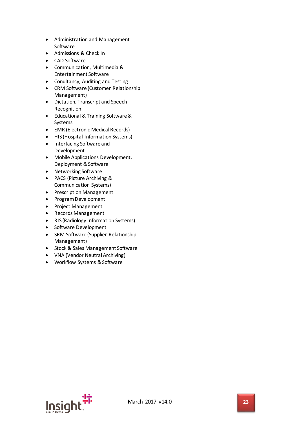- Administration and Management Software
- Admissions & Check In
- CAD Software
- Communication, Multimedia & Entertainment Software
- Conultancy, Auditing and Testing
- CRM Software (Customer Relationship Management)
- Dictation, Transcript and Speech Recognition
- Educational & Training Software & Systems
- EMR (Electronic Medical Records)
- HIS (Hospital Information Systems)
- Interfacing Software and Development
- Mobile Applications Development, Deployment & Software
- Networking Software
- PACS (Picture Archiving & Communication Systems)
- Prescription Management
- Program Development
- Project Management
- Records Management
- RIS (Radiology Information Systems)
- Software Development
- SRM Software (Supplier Relationship Management)
- Stock & Sales Management Software
- VNA (Vendor Neutral Archiving)
- Workflow Systems & Software

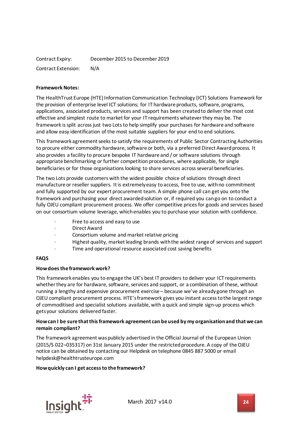| Contract Expiry:    | December 2015 to December 2019 |
|---------------------|--------------------------------|
| Contract Extension: | N/A                            |

#### **Framework Notes:**

The HealthTrust Europe (HTE) Information Communication Technology (ICT) Solutions framework for the provision of enterprise level ICT solutions; for IT hardware products, software, programs, applications, associated products, services and support has been created to deliver the most cost effective and simplest route to market for your IT requirements whatever they may be. The framework is split across just two Lots to help simplify your purchases for hardware and software and allow easy identification of the most suitable suppliers for your end to end solutions.

This framework agreement seeks to satisfy the requirements of Public Sector Contracting Authorities to procure either commodity hardware, software or both, via a preferred Direct Award process. It also provides a facility to procure bespoke IT hardware and / or software solutions through appropriate benchmarking or further competition procedures, where applicable, for single beneficiaries or for those organisations looking to share services across several beneficiaries.

The two Lots provide customers with the widest possible choice of solutions through direct manufacture or reseller suppliers. It is extremely easy to access, free to use, with no commitment and fully supported by our expert procurement team. A simple phone call can get you onto the framework and purchasing your direct awarded solution or, if required you can go on to conduct a fully OJEU compliant procurement process. We offer competitive prices for goods and services based on our consortium volume leverage, which enables you to purchase your solution with confidence.

- Free to access and easy to use
- Direct Award
- · Consortium volume and market relative pricing
- · Highest quality, market leading brands with the widest range of services and support
- Time and operational resource associated cost saving benefits

#### **FAQS**

#### **How does the framework work?**

This framework enables you to engage the UK's best IT providers to deliver your ICT requirements whether they are for hardware, software, services and support, or a combination of these, without running a lengthy and expensive procurement exercise – because we've already gone through an OJEU compliant procurement process. HTE's framework gives you instant access to the largest range of commoditised and specialist solutions available, with a quick and simple sign-up process which gets your solutions delivered faster.

#### **How can I be sure that this framework agreement can be used by my organisation and that we can remain compliant?**

The framework agreement was publicly advertised in the Official Journal of the European Union (2015/S 022¬035317) on 31st January 2015 under the restricted procedure. A copy of the OJEU notice can be obtained by contacting our Helpdesk on telephone 0845 887 5000 or email helpdesk@healthtrusteurope.com

#### **How quickly can I get access to the framework?**

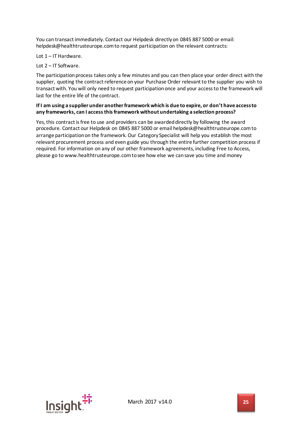You can transact immediately. Contact our Helpdesk directly on 0845 887 5000 or email: helpdesk@healthtrusteurope.com to request participation on the relevant contracts:

Lot 1 – IT Hardware.

Lot 2 – IT Software.

The participation process takes only a few minutes and you can then place your order direct with the supplier, quoting the contract reference on your Purchase Order relevant to the supplier you wish to transact with. You will only need to request participation once and your access to the framework will last for the entire life of the contract.

#### **If I am using a supplier under another framework which is due to expire, or don't have access to any frameworks, can I access this framework without undertaking a selection process?**

Yes, this contract is free to use and providers can be awarded directly by following the award procedure. Contact our Helpdesk on 0845 887 5000 or email helpdesk@healthtrusteurope.com to arrange participation on the framework. Our Category Specialist will help you establish the most relevant procurement process and even guide you through the entire further competition process if required. For information on any of our other framework agreements, including Free to Access, please go to www.healthtrusteurope.com to see how else we can save you time and money

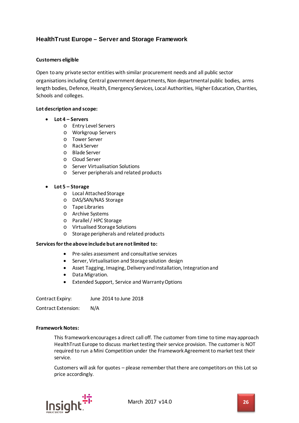## <span id="page-25-0"></span>**HealthTrust Europe – Server and Storage Framework**

#### **Customers eligible**

Open to any private sector entities with similar procurement needs and all public sector organisations including Central government departments, Non departmental public bodies, arms length bodies, Defence, Health, Emergency Services, Local Authorities, Higher Education, Charities, Schools and colleges.

#### **Lot description and scope:**

- **Lot 4 – Servers**
	- o Entry Level Servers
	- o Workgroup Servers
	- o Tower Server
	- o Rack Server
	- o Blade Server
	- o Cloud Server
	- o Server Virtualisation Solutions
	- o Server peripherals and related products

#### • **Lot 5 – Storage**

- o Local Attached Storage
- o DAS/SAN/NAS Storage
- o Tape Libraries
- o Archive Systems
- o Parallel / HPC Storage
- o Virtualised Storage Solutions
- o Storage peripherals and related products

#### **Services for the above include but are not limited to:**

- Pre-sales assessment and consultative services
- Server, Virtualisation and Storage solution design
- Asset Tagging, Imaging, Delivery and Installation, Integration and
- Data Migration.
- Extended Support, Service and Warranty Options

Contract Expiry: June 2014 to June 2018

Contract Extension: N/A

#### **Framework Notes:**

This framework encourages a direct call off. The customer from time to time may approach HealthTrust Europe to discuss market testing their service provision. The customer is NOT required to run a Mini Competition under the Framework Agreement to market test their service.

Customers will ask for quotes – please remember that there are competitors on this Lot so price accordingly.

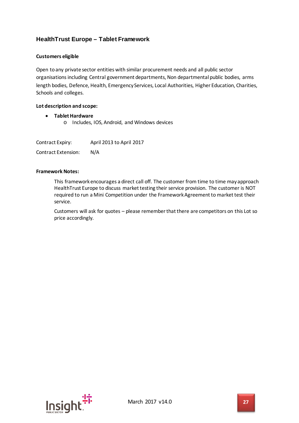## <span id="page-26-0"></span>**HealthTrust Europe – Tablet Framework**

#### **Customers eligible**

Open to any private sector entities with similar procurement needs and all public sector organisations including Central government departments, Non departmental public bodies, arms length bodies, Defence, Health, Emergency Services, Local Authorities, Higher Education, Charities, Schools and colleges.

#### **Lot description and scope:**

• **Tablet Hardware** o Includes, IOS, Android, and Windows devices

| Contract Expiry:           | April 2013 to April 2017 |
|----------------------------|--------------------------|
| <b>Contract Extension:</b> | N/A                      |

#### **Framework Notes:**

This framework encourages a direct call off. The customer from time to time may approach HealthTrust Europe to discuss market testing their service provision. The customer is NOT required to run a Mini Competition under the Framework Agreement to market test their service.

Customers will ask for quotes – please remember that there are competitors on this Lot so price accordingly.

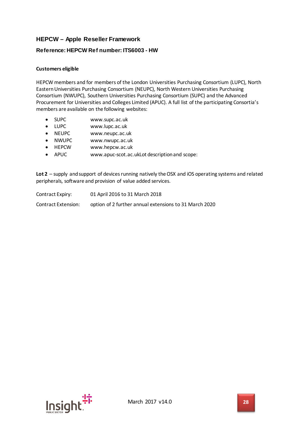## <span id="page-27-0"></span>**HEPCW – Apple Reseller Framework**

#### <span id="page-27-1"></span>**Reference: HEPCW Ref number: ITS6003 - HW**

#### **Customers eligible**

HEPCW members and for members of the London Universities Purchasing Consortium (LUPC), North Eastern Universities Purchasing Consortium (NEUPC), North Western Universities Purchasing Consortium (NWUPC), Southern Universities Purchasing Consortium (SUPC) and the Advanced Procurement for Universities and Colleges Limited (APUC). A full list of the participating Consortia's members are available on the following websites:

- SUPC www.supc.ac.uk
- LUPC www.lupc.ac.uk
- NEUPC www.neupc.ac.uk
- NWUPC www.nwupc.ac.uk
- HEPCW www.hepcw.ac.uk
- APUC www.apuc-scot.ac.ukLot description and scope:

**Lot 2** – supply and support of devices running natively the OSX and iOS operating systems and related peripherals, software and provision of value added services.

| Contract Expiry:    | 01 April 2016 to 31 March 2018                         |
|---------------------|--------------------------------------------------------|
| Contract Extension: | option of 2 further annual extensions to 31 March 2020 |

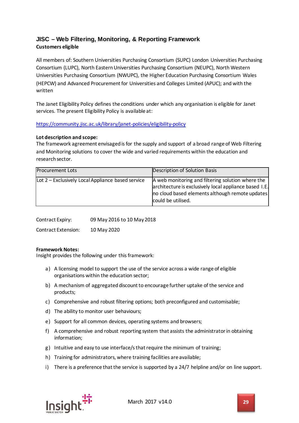## <span id="page-28-0"></span>**JISC – Web Filtering, Monitoring, & Reporting Framework Customers eligible**

All members of: Southern Universities Purchasing Consortium (SUPC) London Universities Purchasing Consortium (LUPC), North Eastern Universities Purchasing Consortium (NEUPC), North Western Universities Purchasing Consortium (NWUPC), the Higher Education Purchasing Consortium Wales (HEPCW) and Advanced Procurement for Universities and Colleges Limited (APUC); and with the written

The Janet Eligibility Policy defines the conditions under which any organisation is eligible for Janet services. The present Eligibility Policy is available at:

#### <https://community.jisc.ac.uk/library/janet-policies/eligibility-policy>

#### **Lot description and scope:**

The framework agreement envisaged is for the supply and support of a broad range of Web Filtering and Monitoring solutions to cover the wide and varied requirements within the education and research sector.

| Procurement Lots                                  | Description of Solution Basis                                                                                                                                                        |
|---------------------------------------------------|--------------------------------------------------------------------------------------------------------------------------------------------------------------------------------------|
| Lot 2 – Exclusively Local Appliance based service | A web monitoring and filtering solution where the<br>architecture is exclusively local appliance based I.E.<br>no cloud based elements although remote updates<br>could be utilised. |

Contract Expiry: 09 May 2016 to 10 May 2018

Contract Extension: 10 May 2020

#### **Framework Notes:**

Insight provides the following under this framework:

- a) A licensing model to support the use of the service across a wide range of eligible organisations within the education sector;
- b) A mechanism of aggregated discount to encourage further uptake of the service and products;
- c) Comprehensive and robust filtering options; both preconfigured and customisable;
- d) The ability to monitor user behaviours;
- e) Support for all common devices, operating systems and browsers;
- f) A comprehensive and robust reporting system that assists the administrator in obtaining information;
- g) Intuitive and easy to use interface/s that require the minimum of training;
- h) Training for administrators, where training facilities are available;
- i) There is a preference that the service is supported by a 24/7 helpline and/or on line support.

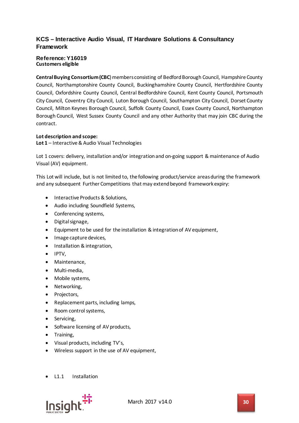## <span id="page-29-0"></span>**KCS – Interactive Audio Visual, IT Hardware Solutions & Consultancy Framework**

#### <span id="page-29-1"></span>**Reference: Y16019 Customers eligible**

**Central Buying Consortium (CBC**) members consisting of Bedford Borough Council, Hampshire County Council, Northamptonshire County Council, Buckinghamshire County Council, Hertfordshire County Council, Oxfordshire County Council, Central Bedfordshire Council, Kent County Council, Portsmouth City Council, Coventry City Council, Luton Borough Council, Southampton City Council, Dorset County Council, Milton Keynes Borough Council, Suffolk County Council, Essex County Council, Northampton Borough Council, West Sussex County Council and any other Authority that may join CBC during the contract.

#### **Lot description and scope:**

**Lot 1** – Interactive & Audio Visual Technologies

Lot 1 covers: delivery, installation and/or integration and on-going support & maintenance of Audio Visual (AV) equipment.

This Lot will include, but is not limited to, the following product/service areas during the framework and any subsequent Further Competitions that may extend beyond framework expiry:

- Interactive Products & Solutions,
- Audio including Soundfield Systems,
- Conferencing systems,
- Digital signage,
- Equipment to be used for the installation & integration of AV equipment,
- Image capture devices,
- Installation & integration,
- IPTV,
- Maintenance,
- Multi-media,
- Mobile systems,
- Networking,
- Projectors,
- Replacement parts, including lamps,
- Room control systems,
- Servicing,
- Software licensing of AV products,
- Training,
- Visual products, including TV's,
- Wireless support in the use of AV equipment,
- L1.1 Installation

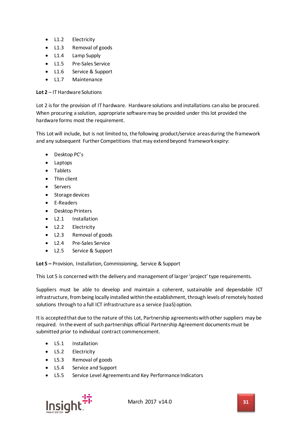- L1.2 Electricity
- L1.3 Removal of goods
- L1.4 Lamp Supply
- L1.5 Pre-Sales Service
- L1.6 Service & Support
- L1.7 Maintenance

#### **Lot 2** – IT Hardware Solutions

Lot 2 is for the provision of IT hardware. Hardware solutions and installations can also be procured. When procuring a solution, appropriate software may be provided under this lot provided the hardware forms most the requirement.

This Lot will include, but is not limited to, the following product/service areas during the framework and any subsequent Further Competitions that may extend beyond framework expiry:

- Desktop PC's
- Laptops
- Tablets
- Thin client
- Servers
- Storage devices
- E-Readers
- Desktop Printers
- L2.1 Installation
- L2.2 Electricity
- L2.3 Removal of goods
- L2.4 Pre-Sales Service
- L2.5 Service & Support

**Lot 5 –** Provision, Installation, Commissioning, Service & Support

This Lot 5 is concerned with the delivery and management of larger 'project' type requirements.

Suppliers must be able to develop and maintain a coherent, sustainable and dependable ICT infrastructure, from being locally installed within the establishment, through levels of remotely hosted solutions through to a full ICT infrastructure as a service (IaaS) option.

It is accepted that due to the nature of this Lot, Partnership agreements with other suppliers may be required. In the event of such partnerships official Partnership Agreement documents must be submitted prior to individual contract commencement.

- L5.1 Installation
- L5.2 Electricity
- L5.3 Removal of goods
- L5.4 Service and Support
- L5.5 Service Level Agreements and Key Performance Indicators



March 2017 v14.0 **31**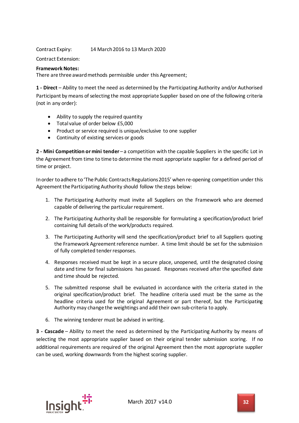Contract Expiry: 14 March 2016 to 13 March 2020

Contract Extension:

#### **Framework Notes:**

There are three award methods permissible under this Agreement;

**1 - Direct** – Ability to meet the need as determined by the Participating Authority and/or Authorised Participant by means of selecting the most appropriate Supplier based on one of the following criteria (not in any order):

- Ability to supply the required quantity
- Total value of order below £5,000
- Product or service required is unique/exclusive to one supplier
- Continuity of existing services or goods

**2 - Mini Competition or mini tender** – a competition with the capable Suppliers in the specific Lot in the Agreement from time to time to determine the most appropriate supplier for a defined period of time or project.

In order to adhere to 'The Public Contracts Regulations 2015' when re-opening competition under this Agreement the Participating Authority should follow the steps below:

- 1. The Participating Authority must invite all Suppliers on the Framework who are deemed capable of delivering the particular requirement.
- 2. The Participating Authority shall be responsible for formulating a specification/product brief containing full details of the work/products required.
- 3. The Participating Authority will send the specification/product brief to all Suppliers quoting the Framework Agreement reference number. A time limit should be set for the submission of fully completed tender responses.
- 4. Responses received must be kept in a secure place, unopened, until the designated closing date and time for final submissions has passed. Responses received after the specified date and time should be rejected.
- 5. The submitted response shall be evaluated in accordance with the criteria stated in the original specification/product brief. The headline criteria used must be the same as the headline criteria used for the original Agreement or part thereof, but the Participating Authority may change the weightings and add their own sub-criteria to apply.
- 6. The winning tenderer must be advised in writing.

**3 - Cascade** – Ability to meet the need as determined by the Participating Authority by means of selecting the most appropriate supplier based on their original tender submission scoring. If no additional requirements are required of the original Agreement then the most appropriate supplier can be used, working downwards from the highest scoring supplier.

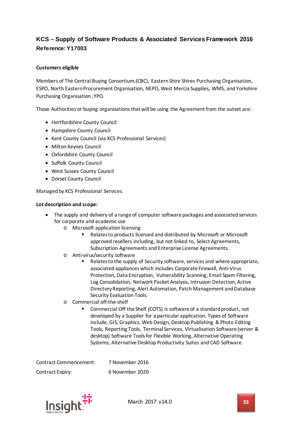## <span id="page-32-1"></span><span id="page-32-0"></span>**KCS – Supply of Software Products & Associated Services Framework 2016 Reference: Y17003**

#### **Customers eligible**

Members of The Central Buying Consortium,(CBC), Eastern Shire Shires Purchasing Organisation, ESPO, North Eastern Procurement Organisation, NEPO, West Mercia Supplies, WMS, and Yorkshire Purchasing Organisation ,YPO.

Those Authorities or buying organisations that will be using the Agreement from the outset are:

- Hertfordshire County Council
- Hampshire County Council
- Kent County Council (via KCS Professional Services)
- Milton Keynes Council
- Oxfordshire County Council
- Suffolk County Council
- West Sussex County Council
- Dorset County Council

Managed by KCS Professional Services.

#### **Lot description and scope:**

- The supply and delivery of a range of computer software packages and associated services for corporate and academic use
	- o Microsoft application licensing
		- Relates to products licensed and distributed by Microsoft or Microsoft approved resellers including, but not linked to, Select Agreements, Subscription Agreements and Enterprise License Agreements.
	- o Anti-virus/security software
		- Relates to the supply of Security software, services and where appropriate, associated appliances which includes Corporate Firewall, Anti-Virus Protection, Data Encryption, Vulnerability Scanning, Email Spam Filtering, Log Consolidation, Network Packet Analysis, Intrusion Detection, Active Directory Reporting, Alert Automation, Patch Management and Database Security Evaluation Tools.
	- o Commercial off-the-shelf
		- Commercial Off the Shelf (COTS) is software of a standard product, not developed by a Supplier for a particular application. Types of Software include, GIS, Graphics, Web Design, Desktop Publishing & Photo Editing Tools, Reporting Tools, Terminal Services, Virtualisation Software (server & desktop) Software Tools for Flexible Working, Alternative Operating Systems, Alternative Desktop Productivity Suites and CAD Software.

| Contract Commencement: | 7 November 2016 |
|------------------------|-----------------|
| Contract Expiry:       | 6 November 2020 |

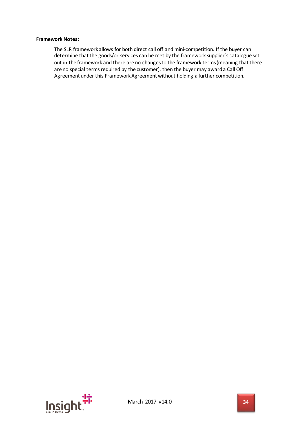#### **Framework Notes:**

The SLR framework allows for both direct call off and mini-competition. If the buyer can determine that the goods/or services can be met by the framework supplier's catalogue set out in the framework and there are no changes to the framework terms (meaning that there are no special terms required by the customer), then the buyer may award a Call Off Agreement under this Framework Agreement without holding a further competition.

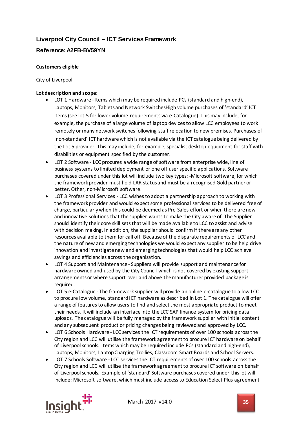## <span id="page-34-0"></span>**Liverpool City Council – ICT Services Framework**

## <span id="page-34-1"></span>**Reference: A2FB-BV59YN**

#### **Customers eligible**

City of Liverpool

#### **Lot description and scope:**

- LOT 1 Hardware -Items which may be required include PCs (standard and high-end), Laptops, Monitors, Tablets and Network SwitchesHigh volume purchases of 'standard' ICT items (see lot 5 for lower volume requirements via e-Catalogue). This may include, for example, the purchase of a large volume of laptop devices to allow LCC employees to work remotely or many network switches following staff relocation to new premises. Purchases of 'non-standard' ICT hardware which is not available via the ICT catalogue being delivered by the Lot 5 provider. This may include, for example, specialist desktop equipment for staff with disabilities or equipment specified by the customer.
- LOT 2 Software LCC procures a wide range of software from enterprise wide, line of business systems to limited deployment or one off user specific applications. Software purchases covered under this lot will include two key types: -Microsoft software, for which the framework provider must hold LAR status and must be a recognised Gold partner or better. Other, non-Microsoft software.
- LOT 3 Professional Services LCC wishes to adopt a partnership approach to working with the framework provider and would expect some professional services to be delivered free of charge, particularly when this could be deemed as Pre-Sales effort or when there are new and innovative solutions that the supplier wants to make the City aware of. The Supplier should identify their core skill sets that will be made available to LCC to assist and advise with decision making. In addition, the supplier should confirm if there are any other resources available to them for call off. Because of the disparate requirements of LCC and the nature of new and emerging technologies we would expect any supplier to be help drive innovation and investigate new and emerging technologies that would help LCC achieve savings and efficiencies across the organisation.
- LOT 4 Support and Maintenance Suppliers will provide support and maintenance for hardware owned and used by the City Council which is not covered by existing support arrangements or where support over and above the manufacturer provided package is required.
- LOT 5 e-Catalogue The framework supplier will provide an online e-catalogue to allow LCC to procure low volume, standardICT hardware as described in Lot 1. The catalogue will offer a range of features to allow users to find and select the most appropriate product to meet their needs. It will include an interface into the LCC SAP finance system for pricing data uploads. The catalogue will be fully managed by the framework supplier with initial content and any subsequent product or pricing changes being reviewed and approved by LCC.
- LOT 6 Schools Hardware LCC services the ICT requirements of over 100 schools across the City region and LCC will utilise the framework agreement to procure ICT hardware on behalf of Liverpool schools. Items which may be required include PCs (standard and high-end), Laptops, Monitors, Laptop Charging Trollies, Classroom Smart Boards and School Servers.
- LOT 7 Schools Software LCC services the ICT requirements of over 100 schools across the City region and LCC will utilise the framework agreement to procure ICT software on behalf of Liverpool schools. Example of 'standard' Software purchases covered under this lot will include: Microsoft software, which must include access to Education Select Plus agreement

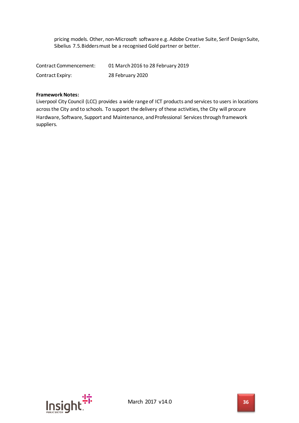pricing models. Other, non-Microsoft software e.g. Adobe Creative Suite, Serif Design Suite, Sibelius 7.5.Bidders must be a recognised Gold partner or better.

| Contract Commencement: | 01 March 2016 to 28 February 2019 |
|------------------------|-----------------------------------|
| Contract Expiry:       | 28 February 2020                  |

#### **Framework Notes:**

Liverpool City Council (LCC) provides a wide range of ICT products and services to users in locations across the City and to schools. To support the delivery of these activities, the City will procure Hardware, Software, Support and Maintenance, and Professional Services through framework suppliers.

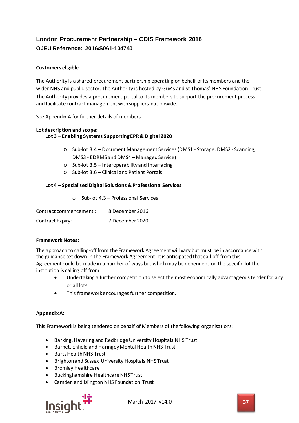# **London Procurement Partnership – CDIS Framework 2016 OJEU Reference: 2016/S061-104740**

# **Customers eligible**

The Authority is a shared procurement partnership operating on behalf of its members and the wider NHS and public sector. The Authority is hosted by Guy's and St Thomas' NHS Foundation Trust. The Authority provides a procurement portal to its members to support the procurement process and facilitate contract management with suppliers nationwide.

See Appendix A for further details of members.

#### **Lot description and scope: Lot 3 – Enabling Systems Supporting EPR & Digital 2020**

- o Sub-lot 3.4 Document Management Services (DMS1 Storage, DMS2 Scanning, DMS3 - EDRMS and DMS4 – Managed Service)
- o Sub-lot 3.5 Interoperability and Interfacing
- o Sub-lot 3.6 Clinical and Patient Portals

### **Lot 4 – Specialised Digital Solutions & Professional Services**

o Sub-lot 4.3 – Professional Services

| Contract commencement: | 8 December 2016 |
|------------------------|-----------------|
| Contract Expiry:       | 7 December 2020 |

#### **Framework Notes:**

The approach to calling-off from the Framework Agreement will vary but must be in accordance with the guidance set down in the Framework Agreement. It is anticipated that call-off from this Agreement could be made in a number of ways but which may be dependent on the specific lot the institution is calling off from:

- Undertaking a further competition to select the most economically advantageous tender for any or all lots
- This framework encourages further competition.

#### **Appendix A:**

This Framework is being tendered on behalf of Members of the following organisations:

- Barking, Havering and Redbridge University Hospitals NHS Trust
- Barnet, Enfield and Haringey Mental Health NHS Trust
- Barts Health NHS Trust
- Brighton and Sussex University Hospitals NHS Trust
- Bromley Healthcare
- Buckinghamshire Healthcare NHS Trust
- Camden and Islington NHS Foundation Trust



March 2017 v14.0 **37**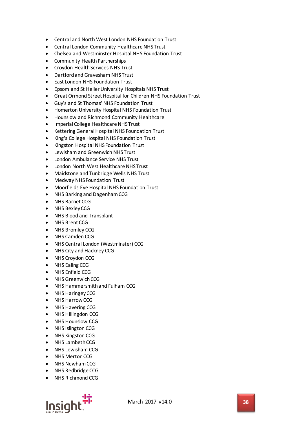- Central and North West London NHS Foundation Trust
- Central London Community Healthcare NHS Trust
- Chelsea and Westminster Hospital NHS Foundation Trust
- Community Health Partnerships
- Croydon Health Services NHS Trust
- Dartford and Gravesham NHS Trust
- East London NHS Foundation Trust
- Epsom and St Helier University Hospitals NHS Trust
- Great Ormond Street Hospital for Children NHS Foundation Trust
- Guy's and St Thomas' NHS Foundation Trust
- Homerton University Hospital NHS Foundation Trust
- Hounslow and Richmond Community Healthcare
- Imperial College Healthcare NHS Trust
- Kettering General Hospital NHS Foundation Trust
- King's College Hospital NHS Foundation Trust
- Kingston Hospital NHS Foundation Trust
- Lewisham and Greenwich NHS Trust
- London Ambulance Service NHS Trust
- London North West Healthcare NHS Trust
- Maidstone and Tunbridge Wells NHS Trust
- Medway NHS Foundation Trust
- Moorfields Eye Hospital NHS Foundation Trust
- NHS Barking and Dagenham CCG
- NHS Barnet CCG
- NHS Bexley CCG
- NHS Blood and Transplant
- NHS Brent CCG
- NHS Bromley CCG
- NHS Camden CCG
- NHS Central London (Westminster) CCG
- NHS City and Hackney CCG
- NHS Croydon CCG
- NHS Ealing CCG
- NHS Enfield CCG
- NHS Greenwich CCG
- NHS Hammersmith and Fulham CCG
- NHS Haringey CCG
- NHS Harrow CCG
- NHS Havering CCG
- NHS Hillingdon CCG
- **NHS Hounslow CCG**
- NHS Islington CCG
- NHS Kingston CCG
- NHS Lambeth CCG
- NHS Lewisham CCG
- NHS Merton CCG
- NHS Newham CCG
- NHS Redbridge CCG
- NHS Richmond CCG

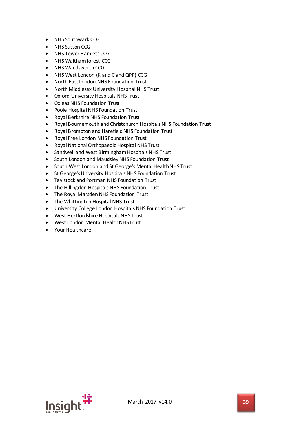- NHS Southwark CCG
- NHS Sutton CCG
- NHS Tower Hamlets CCG
- NHS Waltham forest CCG
- NHS Wandsworth CCG
- NHS West London (K and C and QPP) CCG
- North East London NHS Foundation Trust
- North Middlesex University Hospital NHS Trust
- Oxford University Hospitals NHS Trust
- Oxleas NHS Foundation Trust
- Poole Hospital NHS Foundation Trust
- Royal Berkshire NHS Foundation Trust
- Royal Bournemouth and Christchurch Hospitals NHS Foundation Trust
- Royal Brompton and Harefield NHS Foundation Trust
- Royal Free London NHS Foundation Trust
- Royal National Orthopaedic Hospital NHS Trust
- Sandwell and West Birmingham Hospitals NHS Trust
- South London and Maudsley NHS Foundation Trust
- South West London and St George's Mental Health NHS Trust
- St George's University Hospitals NHS Foundation Trust
- Tavistock and Portman NHS Foundation Trust
- The Hillingdon Hospitals NHS Foundation Trust
- The Royal Marsden NHS Foundation Trust
- The Whittington Hospital NHS Trust
- University College London Hospitals NHS Foundation Trust
- West Hertfordshire Hospitals NHS Trust
- West London Mental Health NHS Trust
- Your Healthcare

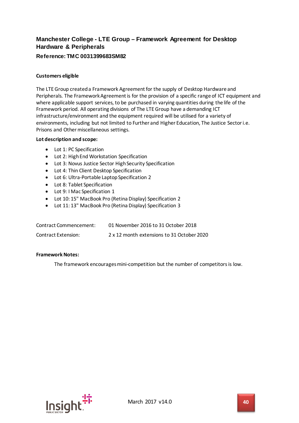# **Manchester College - LTE Group – Framework Agreement for Desktop Hardware & Peripherals**

# **Reference: TMC 0031399683SM82**

### **Customers eligible**

The LTE Group createda Framework Agreement for the supply of Desktop Hardware and Peripherals. The Framework Agreement is for the provision of a specific range of ICT equipment and where applicable support services, to be purchased in varying quantities during the life of the Framework period. All operating divisions of The LTE Group have a demanding ICT infrastructure/environment and the equipment required will be utilised for a variety of environments, including but not limited to Further and Higher Education, The Justice Sector i.e. Prisons and Other miscellaneous settings.

#### **Lot description and scope:**

- Lot 1: PC Specification
- Lot 2: High End Workstation Specification
- Lot 3: Novus Justice Sector High Security Specification
- Lot 4: Thin Client Desktop Specification
- Lot 6: Ultra-Portable Laptop Specification 2
- Lot 8: Tablet Specification
- Lot 9: I Mac Specification 1
- Lot 10: 15" MacBook Pro (Retina Display) Specification 2
- Lot 11: 13" MacBook Pro (Retina Display) Specification 3

| Contract Commencement: | 01 November 2016 to 31 October 2018        |
|------------------------|--------------------------------------------|
| Contract Extension:    | 2 x 12 month extensions to 31 October 2020 |

#### **Framework Notes:**

The framework encourages mini-competition but the number of competitors is low.

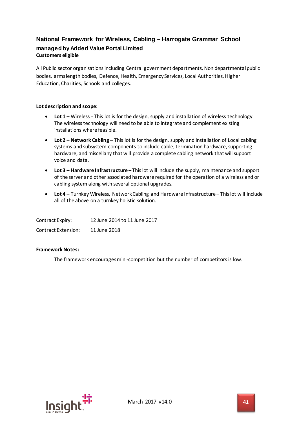# **National Framework for Wireless, Cabling – Harrogate Grammar School managed by Added Value Portal Limited Customers eligible**

All Public sector organisations including Central government departments, Non departmental public bodies, arms length bodies, Defence, Health, Emergency Services, Local Authorities, Higher Education, Charities, Schools and colleges.

### **Lot description and scope:**

- Lot 1 Wireless This lot is for the design, supply and installation of wireless technology. The wireless technology will need to be able to integrate and complement existing installations where feasible.
- **Lot 2 – Network Cabling –** This lot is for the design, supply and installation of Local cabling systems and subsystem components to include cable, termination hardware, supporting hardware, and miscellany that will provide a complete cabling network that will support voice and data.
- **Lot 3 – Hardware Infrastructure –** This lot will include the supply, maintenance and support of the server and other associated hardware required for the operation of a wireless and or cabling system along with several optional upgrades.
- **Lot 4 –** Turnkey Wireless, Network Cabling and Hardware Infrastructure This lot will include all of the above on a turnkey holistic solution.

| Contract Expiry:    | 12 June 2014 to 11 June 2017 |
|---------------------|------------------------------|
| Contract Extension: | 11 June 2018                 |

#### **Framework Notes:**

The framework encourages mini-competition but the number of competitors is low.

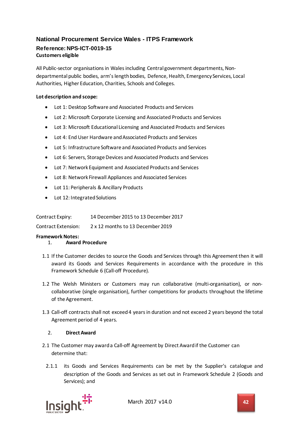# **National Procurement Service Wales - ITPS Framework Reference: NPS-ICT-0019-15 Customers eligible**

All Public-sector organisations in Wales including Central government departments, Nondepartmental public bodies, arm's length bodies, Defence, Health, Emergency Services, Local Authorities, Higher Education, Charities, Schools and Colleges.

# **Lot description and scope:**

- Lot 1: Desktop Software and Associated Products and Services
- Lot 2: Microsoft Corporate Licensing and Associated Products and Services
- Lot 3: Microsoft Educational Licensing and Associated Products and Services
- Lot 4: End User Hardware and Associated Products and Services
- Lot 5: Infrastructure Software and Associated Products and Services
- Lot 6: Servers, Storage Devices and Associated Products and Services
- Lot 7: Network Equipment and Associated Products and Services
- Lot 8: Network Firewall Appliances and Associated Services
- Lot 11: Peripherals & Ancillary Products
- Lot 12: Integrated Solutions

| Contract Expiry:    | 14 December 2015 to 13 December 2017 |
|---------------------|--------------------------------------|
| Contract Extension: | 2 x 12 months to 13 December 2019    |

# **Framework Notes:**

- 1. **Award Procedure**
- 1.1 If the Customer decides to source the Goods and Services through this Agreement then it will award its Goods and Services Requirements in accordance with the procedure in this Framework Schedule 6 (Call-off Procedure).
- 1.2 The Welsh Ministers or Customers may run collaborative (multi-organisation), or noncollaborative (single organisation), further competitions for products throughout the lifetime of the Agreement.
- 1.3 Call-off contracts shall not exceed 4 years in duration and not exceed 2 years beyond the total Agreement period of 4 years.

# 2. **Direct Award**

- 2.1 The Customer may award a Call-off Agreement by Direct Award if the Customer can determine that:
	- 2.1.1 its Goods and Services Requirements can be met by the Supplier's catalogue and description of the Goods and Services as set out in Framework Schedule 2 (Goods and Services); and

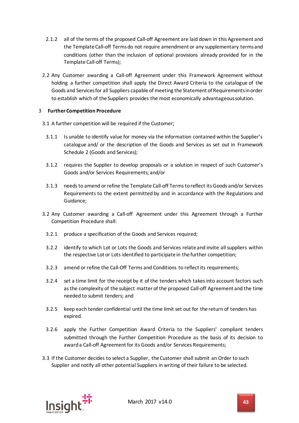- 2.1.2 all of the terms of the proposed Call-off Agreement are laid down in this Agreement and the Template Call-off Terms do not require amendment or any supplementary terms and conditions (other than the inclusion of optional provisions already provided for in the Template Call-off Terms);
- 2.2 Any Customer awarding a Call-off Agreement under this Framework Agreement without holding a further competition shall apply the Direct Award Criteria to the catalogue of the Goods and Services for all Suppliers capable of meeting the Statement of Requirements in order to establish which of the Suppliers provides the most economically advantageous solution.

# 3 **Further Competition Procedure**

- 3.1 A further competition will be required if the Customer;
- 3.1.1 Is unable to identify value for money via the information contained within the Supplier's catalogue and/ or the description of the Goods and Services as set out in Framework Schedule 2 (Goods and Services);
- 3.1.2 requires the Supplier to develop proposals or a solution in respect of such Customer's Goods and/or Services Requirements; and/or
- 3.1.3 needs to amend or refine the Template Call-off Terms to reflect its Goods and/or Services Requirements to the extent permitted by and in accordance with the Regulations and Guidance;
- 3.2 Any Customer awarding a Call-off Agreement under this Agreement through a Further Competition Procedure shall:
	- 3.2.1 produce a specification of the Goods and Services required;
	- 3.2.2 identify to which Lot or Lots the Goods and Services relate and invite all suppliers within the respective Lot or Lots identified to participate in the further competition;
	- 3.2.3 amend or refine the Call-Off Terms and Conditions to reflect its requirements;
	- 3.2.4 set a time limit for the receipt by it of the tenders which takes into account factors such as the complexity of the subject matter of the proposed Call-off Agreement and the time needed to submit tenders; and
	- 3.2.5 keep each tender confidential until the time limit set out for the return of tenders has expired.
	- 3.2.6 apply the Further Competition Award Criteria to the Suppliers' compliant tenders submitted through the Further Competition Procedure as the basis of its decision to award a Call-off Agreement for its Goods and/or Services Requirements;
- 3.3 If the Customer decides to select a Supplier, the Customer shall submit an Order to such Supplier and notify all other potential Suppliers in writing of their failure to be selected.

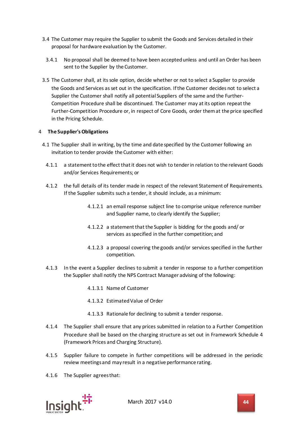- 3.4 The Customer may require the Supplier to submit the Goods and Services detailed in their proposal for hardware evaluation by the Customer.
- 3.4.1 No proposal shall be deemed to have been accepted unless and until an Order has been sent to the Supplier by the Customer.
- 3.5 The Customer shall, at its sole option, decide whether or not to select a Supplier to provide the Goods and Services as set out in the specification. If the Customer decides not to select a Supplier the Customer shall notify all potential Suppliers of the same and the Further-Competition Procedure shall be discontinued. The Customer may at its option repeat the Further-Competition Procedure or, in respect of Core Goods, order them at the price specified in the Pricing Schedule.

### 4 **The Supplier's Obligations**

- 4.1 The Supplier shall in writing, by the time and date specified by the Customer following an invitation to tender provide the Customer with either:
	- 4.1.1 a statement to the effect that it does not wish to tender in relation to the relevant Goods and/or Services Requirements; or
	- 4.1.2 the full details of its tender made in respect of the relevant Statement of Requirements. If the Supplier submits such a tender, it should include, as a minimum:
		- 4.1.2.1 an email response subject line to comprise unique reference number and Supplier name, to clearly identify the Supplier;
		- 4.1.2.2 a statement that the Supplier is bidding for the goods and/ or services as specified in the further competition; and
		- 4.1.2.3 a proposal covering the goods and/or services specified in the further competition.
	- 4.1.3 In the event a Supplier declines to submit a tender in response to a further competition the Supplier shall notify the NPS Contract Manager advising of the following:
		- 4.1.3.1 Name of Customer
		- 4.1.3.2 Estimated Value of Order
		- 4.1.3.3 Rationale for declining to submit a tender response.
	- 4.1.4 The Supplier shall ensure that any prices submitted in relation to a Further Competition Procedure shall be based on the charging structure as set out in Framework Schedule 4 (Framework Prices and Charging Structure).
	- 4.1.5 Supplier failure to compete in further competitions will be addressed in the periodic review meetings and may result in a negative performance rating.
	- 4.1.6 The Supplier agrees that:

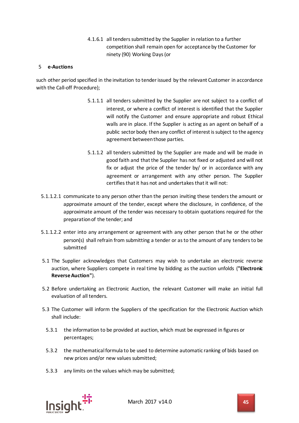4.1.6.1 all tenders submitted by the Supplier in relation to a further competition shall remain open for acceptance by the Customer for ninety (90) Working Days (or

#### 5 **e-Auctions**

such other period specified in the invitation to tender issued by the relevant Customer in accordance with the Call-off Procedure);

- 5.1.1.1 all tenders submitted by the Supplier are not subject to a conflict of interest, or where a conflict of interest is identified that the Supplier will notify the Customer and ensure appropriate and robust Ethical walls are in place. If the Supplier is acting as an agent on behalf of a public sector body then any conflict of interest is subject to the agency agreement between those parties.
- 5.1.1.2 all tenders submitted by the Supplier are made and will be made in good faith and that the Supplier has not fixed or adjusted and will not fix or adjust the price of the tender by/ or in accordance with any agreement or arrangement with any other person. The Supplier certifies that it has not and undertakes that it will not:
- 5.1.1.2.1 communicate to any person other than the person inviting these tenders the amount or approximate amount of the tender, except where the disclosure, in confidence, of the approximate amount of the tender was necessary to obtain quotations required for the preparation of the tender; and
- 5.1.1.2.2 enter into any arrangement or agreement with any other person that he or the other person(s) shall refrain from submitting a tender or as to the amount of any tenders to be submitted
- 5.1 The Supplier acknowledges that Customers may wish to undertake an electronic reverse auction, where Suppliers compete in real time by bidding as the auction unfolds (**"Electronic Reverse Auction"**).
- 5.2 Before undertaking an Electronic Auction, the relevant Customer will make an initial full evaluation of all tenders.
- 5.3 The Customer will inform the Suppliers of the specification for the Electronic Auction which shall include:
	- 5.3.1 the information to be provided at auction, which must be expressed in figures or percentages;
	- 5.3.2 the mathematical formula to be used to determine automatic ranking of bids based on new prices and/or new values submitted;
	- 5.3.3 any limits on the values which may be submitted;

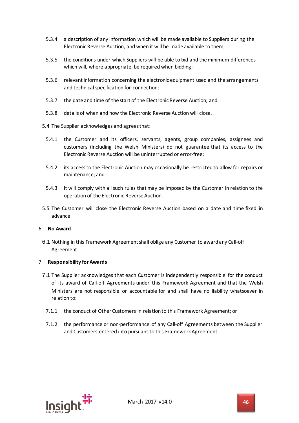- 5.3.4 a description of any information which will be made available to Suppliers during the Electronic Reverse Auction, and when it will be made available to them;
- 5.3.5 the conditions under which Suppliers will be able to bid and theminimum differences which will, where appropriate, be required when bidding;
- 5.3.6 relevant information concerning the electronic equipment used and the arrangements and technical specification for connection;
- 5.3.7 the date and time of the start of the Electronic Reverse Auction; and
- 5.3.8 details of when and how the Electronic Reverse Auction will close.
- 5.4 The Supplier acknowledges and agrees that:
	- 5.4.1 the Customer and its officers, servants, agents, group companies, assignees and customers (including the Welsh Ministers) do not guarantee that its access to the Electronic Reverse Auction will be uninterrupted or error-free;
	- 5.4.2 its access to the Electronic Auction may occasionally be restricted to allow for repairs or maintenance; and
	- 5.4.3 it will comply with all such rules that may be imposed by the Customer in relation to the operation of the Electronic Reverse Auction.
- 5.5 The Customer will close the Electronic Reverse Auction based on a date and time fixed in advance.

#### 6 **No Award**

6.1 Nothing in this Framework Agreement shall oblige any Customer to award any Call-off Agreement.

#### 7 **Responsibility for Awards**

- 7.1 The Supplier acknowledges that each Customer is independently responsible for the conduct of its award of Call-off Agreements under this Framework Agreement and that the Welsh Ministers are not responsible or accountable for and shall have no liability whatsoever in relation to:
	- 7.1.1 the conduct of Other Customers in relation to this Framework Agreement; or
	- 7.1.2 the performance or non-performance of any Call-off Agreements between the Supplier and Customers entered into pursuant to this Framework Agreement.

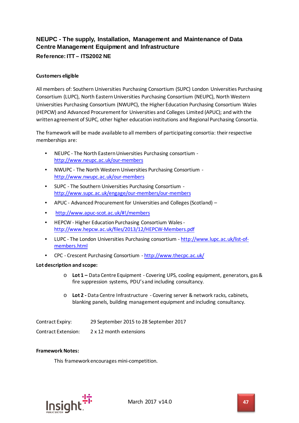# **NEUPC - The supply, Installation, Management and Maintenance of Data Centre Management Equipment and Infrastructure**

# **Reference: ITT – ITS2002 NE**

# **Customers eligible**

All members of: Southern Universities Purchasing Consortium (SUPC) London Universities Purchasing Consortium (LUPC), North Eastern Universities Purchasing Consortium (NEUPC), North Western Universities Purchasing Consortium (NWUPC), the Higher Education Purchasing Consortium Wales (HEPCW) and Advanced Procurement for Universities and Colleges Limited (APUC); and with the written agreement of SUPC, other higher education institutions and Regional Purchasing Consortia.

The framework will be made available to all members of participating consortia: their respective memberships are:

- NEUPC The North Eastern Universities Purchasing consortium <http://www.neupc.ac.uk/our-members>
- NWUPC The North Western Universities Purchasing Consortium <http://www.nwupc.ac.uk/our-members>
- SUPC The Southern Universities Purchasing Consortium <http://www.supc.ac.uk/engage/our-members/our-members>
- APUC Advanced Procurement for Universities and Colleges (Scotland) –
- <http://www.apuc-scot.ac.uk/#!/members>
- HEPCW Higher Education Purchasing Consortium Wales <http://www.hepcw.ac.uk/files/2013/12/HEPCW-Members.pdf>
- LUPC The London Universities Purchasing consortium [http://www.lupc.ac.uk/list-of](http://www.lupc.ac.uk/list-of-members.html)[members.html](http://www.lupc.ac.uk/list-of-members.html)
- CPC Crescent Purchasing Consortium <http://www.thecpc.ac.uk/>

# **Lot description and scope:**

- o **Lot 1 –** Data Centre Equipment Covering UPS, cooling equipment, generators, gas & fire suppression systems, PDU's and including consultancy.
- o **Lot 2 -** Data Centre Infrastructure Covering server & network racks, cabinets, blanking panels, building management equipment and including consultancy.

| Contract Expiry:    | 29 September 2015 to 28 September 2017 |
|---------------------|----------------------------------------|
| Contract Extension: | 2 x 12 month extensions                |

#### **Framework Notes:**

This framework encourages mini-competition.

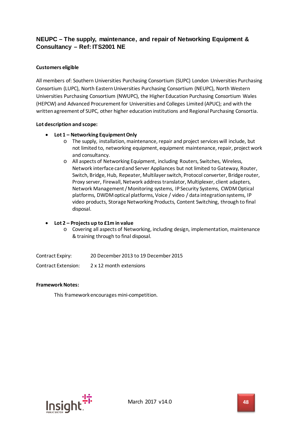# **NEUPC – The supply, maintenance, and repair of Networking Equipment & Consultancy – Ref: ITS2001 NE**

## **Customers eligible**

All members of: Southern Universities Purchasing Consortium (SUPC) London Universities Purchasing Consortium (LUPC), North Eastern Universities Purchasing Consortium (NEUPC), North Western Universities Purchasing Consortium (NWUPC), the Higher Education Purchasing Consortium Wales (HEPCW) and Advanced Procurement for Universities and Colleges Limited (APUC); and with the written agreement of SUPC, other higher education institutions and Regional Purchasing Consortia.

#### **Lot description and scope:**

### • **Lot 1 – Networking Equipment Only**

- o The supply, installation, maintenance, repair and project services will include, but not limited to, networking equipment, equipment maintenance, repair, project work and consultancy.
- o All aspects of Networking Equipment, including Routers, Switches, Wireless, Network interface card and Server Appliances but not limited to Gateway, Router, Switch, Bridge, Hub, Repeater, Multilayer switch, Protocol converter, Bridge router, Proxy server, Firewall, Network address translator, Multiplexer, client adapters, Network Management / Monitoring systems, IP Security Systems, CWDM Optical platforms, DWDM optical platforms, Voice / video / data integration systems, IP video products, Storage Networking Products, Content Switching, through to final disposal.

#### • **Lot 2 – Projects up to £1m in value**

o Covering all aspects of Networking, including design, implementation, maintenance & training through to final disposal.

Contract Expiry: 20 December 2013 to 19 December 2015

Contract Extension: 2 x 12 month extensions

#### **Framework Notes:**

This framework encourages mini-competition.

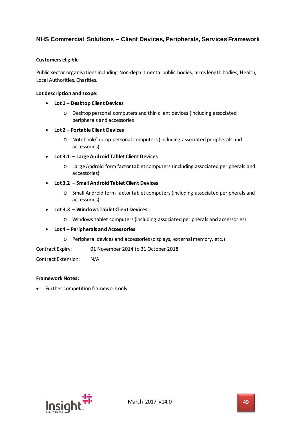# **NHS Commercial Solutions – Client Devices, Peripherals, Services Framework**

#### **Customers eligible**

Public sector organisations including Non-departmental public bodies, arms length bodies, Health, Local Authorities, Charities.

#### **Lot description and scope:**

- **Lot 1 – Desktop Client Devices**
	- o Desktop personal computers and thin client devices (including associated peripherals and accessories
- **Lot 2 – Portable Client Devices**
	- o Notebook/laptop personal computers (including associated peripherals and accessories)

#### • **Lot 3.1 – Large Android Tablet Client Devices**

- o Large Android form factor tablet computers (including associated peripherals and accessories)
- **Lot 3.2 – Small Android Tablet Client Devices**
	- o Small Android form factor tablet computers (including associated peripherals and accessories)
- **Lot 3.3 – Windows Tablet Client Devices**
	- o Windows tablet computers (including associated peripherals and accessories)

#### • **Lot 4 – Peripherals and Accessories**

o Peripheral devices and accessories (displays, external memory, etc.)

Contract Expiry: 01 November 2014 to 31 October 2018

Contract Extension: N/A

#### **Framework Notes:**

• Further competition framework only.

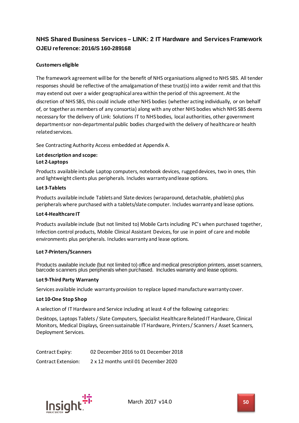# **NHS Shared Business Services – LINK: 2 IT Hardware and Services Framework OJEU reference: 2016/S 160-289168**

# **Customers eligible**

The framework agreement will be for the benefit of NHS organisations aligned to NHS SBS. All tender responses should be reflective of the amalgamation of these trust(s) into a wider remit and that this may extend out over a wider geographical area within the period of this agreement. At the discretion of NHS SBS, this could include other NHS bodies (whether acting individually, or on behalf of, or together as members of any consortia) along with any other NHS bodies which NHS SBS deems necessary for the delivery of Link: Solutions IT to NHS bodies, local authorities, other government departments or non-departmental public bodies charged with the delivery of healthcare or health related services.

See Contracting Authority Access embedded at Appendix A.

#### **Lot description and scope: Lot 2-Laptops**

Products available include Laptop computers, notebook devices, rugged devices, two in ones, thin and lightweight clients plus peripherals. Includes warranty and lease options.

### **Lot 3-Tablets**

Products available include Tablets and Slate devices (wraparound, detachable, phablets) plus peripherals where purchased with a tablets/slate computer. Includes warranty and lease options.

#### **Lot 4-Healthcare IT**

Products available include (but not limited to) Mobile Carts including PC's when purchased together, Infection control products, Mobile Clinical Assistant Devices, for use in point of care and mobile environments plus peripherals. Includes warranty and lease options.

#### **Lot 7-Printers/Scanners**

Products available include (but not limited to) office and medical prescription printers, asset scanners, barcode scanners plus peripherals when purchased. Includes warranty and lease options.

#### **Lot 9-Third Party Warranty**

Services available include warranty provision to replace lapsed manufacture warranty cover.

#### **Lot 10-One Stop Shop**

A selection of IT Hardware and Service including at least 4 of the following categories:

Desktops, Laptops Tablets / Slate Computers, Specialist Healthcare Related IT Hardware, Clinical Monitors, Medical Displays, Green sustainable IT Hardware, Printers / Scanners / Asset Scanners, Deployment Services.

| Contract Expiry:    | 02 December 2016 to 01 December 2018 |
|---------------------|--------------------------------------|
| Contract Extension: | 2 x 12 months until 01 December 2020 |

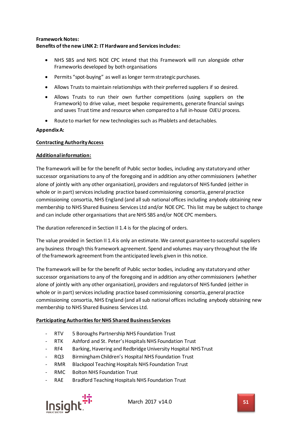## **Framework Notes: Benefits of the new LINK 2: ITHardware and Servicesincludes:**

- NHS SBS and NHS NOE CPC intend that this Framework will run alongside other Frameworks developed by both organisations
- Permits "spot-buying" as well aslonger termstrategic purchases.
- Allows Trusts to maintain relationships with their preferred suppliers if so desired.
- Allows Trusts to run their own further competitions (using suppliers on the Framework) to drive value, meet bespoke requirements, generate financial savings and saves Trust time and resource when compared to a full in-house OJEU process.
- Route to market for new technologiessuch as Phablets and detachables.

#### **Appendix A:**

### **Contracting Authority Access**

#### **Additional information:**

The framework will be for the benefit of Public sector bodies, including any statutory and other successor organisationsto any of the foregoing and in addition any other commissioners (whether alone of jointly with any other organisation), providers and regulators of NHS funded (either in whole or in part) services including practice based commissioning consortia, general practice commissioning consortia, NHS England (and all sub national offices including anybody obtaining new membership to NHS Shared Business Services Ltd and/or NOE CPC. This list may be subject to change and can include other organisations that are NHS SBS and/or NOE CPC members.

The duration referenced in Section II 1.4 is for the placing of orders.

The value provided in Section II 1.4 is only an estimate. We cannot guarantee to successful suppliers any business through this framework agreement. Spend and volumes may vary throughout the life of the framework agreement from the anticipated levels given in this notice.

The framework will be for the benefit of Public sector bodies, including any statutory and other successor organisations to any of the foregoing and in addition any other commissioners (whether alone of jointly with any other organisation), providers and regulators of NHS funded (either in whole or in part) services including practice based commissioning consortia, general practice commissioning consortia, NHS England (and all sub national offices including anybody obtaining new membership to NHS Shared Business Services Ltd.

#### **Participating Authorities for NHS Shared Business Services**

- RTV 5 Boroughs Partnership NHS Foundation Trust
- RTK Ashford and St. Peter's Hospitals NHS Foundation Trust
- RF4 Barking, Havering and Redbridge University Hospital NHS Trust
- RQ3 Birmingham Children's Hospital NHS Foundation Trust
- RMR Blackpool Teaching Hospitals NHS Foundation Trust
- RMC Bolton NHS Foundation Trust
- RAE Bradford Teaching Hospitals NHS Foundation Trust



March 2017 v14.0 **51**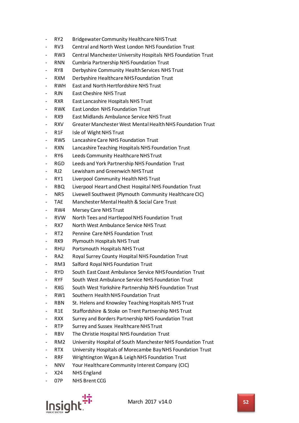- RY2 Bridgewater Community Healthcare NHS Trust
- RV3 Central and North West London NHS Foundation Trust
- RW3 Central Manchester University Hospitals NHS Foundation Trust
- RNN Cumbria Partnership NHS Foundation Trust
- RY8 Derbyshire Community Health Services NHS Trust
- RXM Derbyshire Healthcare NHS Foundation Trust
- RWH East and North Hertfordshire NHS Trust
- RJN Fast Cheshire NHS Trust
- RXR East Lancashire Hospitals NHS Trust
- RWK East London NHS Foundation Trust
- RX9 East Midlands Ambulance Service NHS Trust
- RXV Greater Manchester West Mental Health NHS Foundation Trust
- R1F Isle of Wight NHS Trust
- RW5 Lancashire Care NHS Foundation Trust
- RXN Lancashire Teaching Hospitals NHS Foundation Trust
- RY6 Leeds Community Healthcare NHS Trust
- RGD Leeds and York Partnership NHS Foundation Trust
- RJ2 Lewisham and Greenwich NHS Trust
- RY1 Liverpool Community Health NHS Trust
- RBQ Liverpool Heart and Chest Hospital NHS Foundation Trust
- NR5 Livewell Southwest (Plymouth Community Healthcare CIC)
- TAE Manchester Mental Health & Social Care Trust
- RW4 Mersey Care NHS Trust
- RVW North Tees and Hartlepool NHS Foundation Trust
- RX7 North West Ambulance Service NHS Trust
- RT2 Pennine Care NHS Foundation Trust
- RK9 Plymouth Hospitals NHS Trust
- RHU Portsmouth Hospitals NHS Trust
- RA2 Royal Surrey County Hospital NHS Foundation Trust
- RM3 Salford Royal NHS Foundation Trust
- RYD South East Coast Ambulance Service NHS Foundation Trust
- RYF South West Ambulance Service NHS Foundation Trust
- RXG South West Yorkshire Partnership NHS Foundation Trust
- RW1 Southern Health NHS Foundation Trust
- RBN St. Helens and Knowsley Teaching Hospitals NHS Trust
- R1E Staffordshire & Stoke on Trent Partnership NHS Trust
- RXX Surrey and Borders Partnership NHS Foundation Trust
- RTP Surrey and Sussex Healthcare NHS Trust
- RBV The Christie Hospital NHS Foundation Trust
- RM2 University Hospital of South Manchester NHS Foundation Trust
- RTX University Hospitals of Morecambe Bay NHS Foundation Trust
- RRF Wrightington Wigan & Leigh NHS Foundation Trust
- NNV Your Healthcare Community Interest Company (CIC)
- X24 NHS England
- 07P NHS Brent CCG

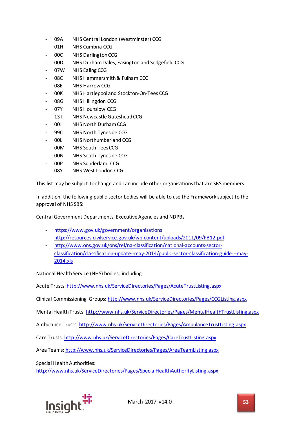- 09A NHS Central London (Westminster) CCG
- 01H NHS Cumbria CCG
- 00C NHS Darlington CCG
- 00D NHS Durham Dales, Easington and Sedgefield CCG
- 07W NHS Ealing CCG
- 08C NHS Hammersmith & Fulham CCG
- 08E NHS Harrow CCG
- 00K NHS Hartlepool and Stockton-On-Tees CCG
- 08G NHS Hillingdon CCG
- 07Y NHS Hounslow CCG
- 13T NHS Newcastle Gateshead CCG
- 00J NHS North Durham CCG
- 99C NHS North Tyneside CCG
- 00L NHS Northumberland CCG
- 00M NHS South Tees CCG
- 00N NHS South Tyneside CCG
- 00P NHS Sunderland CCG
- 08Y NHS West London CCG

This list may be subject to change and can include other organisations that are SBS members.

In addition, the following public sector bodies will be able to use the Framework subject to the approval of NHS SBS:

Central Government Departments, Executive Agencies and NDPBs

- <https://www.gov.uk/government/organisations>
- <http://resources.civilservice.gov.uk/wp-content/uploads/2011/09/PB12.pdf>
- [http://www.ons.gov.uk/ons/rel/na-classification/national-accounts-sector](http://www.ons.gov.uk/ons/rel/na-classification/national-accounts-sector-classification/classification-update--may-2014/public-sector-classification-guide---may-2014.xls)[classification/classification-update--may-2014/public-sector-classification-guide---may-](http://www.ons.gov.uk/ons/rel/na-classification/national-accounts-sector-classification/classification-update--may-2014/public-sector-classification-guide---may-2014.xls)[2014.xls](http://www.ons.gov.uk/ons/rel/na-classification/national-accounts-sector-classification/classification-update--may-2014/public-sector-classification-guide---may-2014.xls)

National Health Service (NHS) bodies, including:

Acute Trusts:<http://www.nhs.uk/ServiceDirectories/Pages/AcuteTrustListing.aspx>

Clinical Commissioning Groups:<http://www.nhs.uk/ServiceDirectories/Pages/CCGListing.aspx>

Mental Health Trusts:<http://www.nhs.uk/ServiceDirectories/Pages/MentalHealthTrustListing.aspx>

Ambulance Trusts:<http://www.nhs.uk/ServiceDirectories/Pages/AmbulanceTrustListing.aspx>

Care Trusts[: http://www.nhs.uk/ServiceDirectories/Pages/CareTrustListing.aspx](http://www.nhs.uk/ServiceDirectories/Pages/CareTrustListing.aspx)

Area Teams:<http://www.nhs.uk/ServiceDirectories/Pages/AreaTeamListing.aspx>

Special Health Authorities:

<http://www.nhs.uk/ServiceDirectories/Pages/SpecialHealthAuthorityListing.aspx>

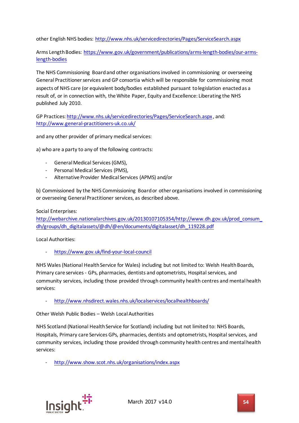other English NHS bodies:<http://www.nhs.uk/servicedirectories/Pages/ServiceSearch.aspx>

Arms Length Bodies: [https://www.gov.uk/government/publications/arms-length-bodies/our-arms](https://www.gov.uk/government/publications/arms-length-bodies/our-arms-length-bodies)[length-bodies](https://www.gov.uk/government/publications/arms-length-bodies/our-arms-length-bodies)

The NHS Commissioning Board and other organisations involved in commissioning or overseeing General Practitioner services and GP consortia which will be responsible for commissioning most aspects of NHS care (or equivalent body/bodies established pursuant to legislation enacted as a result of, or in connection with, the White Paper, Equity and Excellence: Liberating the NHS published July 2010.

GP Practices[: http://www.nhs.uk/servicedirectories/Pages/ServiceSearch.aspx](http://www.nhs.uk/servicedirectories/Pages/ServiceSearch.aspx) , and: <http://www.general-practitioners-uk.co.uk/>

and any other provider of primary medical services:

a) who are a party to any of the following contracts:

- General Medical Services (GMS),
- Personal Medical Services (PMS),
- Alternative Provider Medical Services (APMS) and/or

b) Commissioned by the NHS Commissioning Board or other organisations involved in commissioning or overseeing General Practitioner services, as described above.

Social Enterprises:

[http://webarchive.nationalarchives.gov.uk/20130107105354/http://www.dh.gov.uk/prod\\_consum\\_](http://webarchive.nationalarchives.gov.uk/20130107105354/http:/www.dh.gov.uk/prod_consum_dh/groups/dh_digitalassets/@dh/@en/documents/digitalasset/dh_119228.pdf) [dh/groups/dh\\_digitalassets/@dh/@en/documents/digitalasset/dh\\_119228.pdf](http://webarchive.nationalarchives.gov.uk/20130107105354/http:/www.dh.gov.uk/prod_consum_dh/groups/dh_digitalassets/@dh/@en/documents/digitalasset/dh_119228.pdf)

Local Authorities:

- <https://www.gov.uk/find-your-local-council>

NHS Wales (National Health Service for Wales) including but not limited to: Welsh Health Boards, Primary care services - GPs, pharmacies, dentists and optometrists, Hospital services, and community services, including those provided through community health centres and mental health services:

<http://www.nhsdirect.wales.nhs.uk/localservices/localhealthboards/>

Other Welsh Public Bodies – Welsh Local Authorities

NHS Scotland (National Health Service for Scotland) including but not limited to: NHS Boards, Hospitals, Primary care Services GPs, pharmacies, dentists and optometrists, Hospital services, and community services, including those provided through community health centres and mental health services:

<http://www.show.scot.nhs.uk/organisations/index.aspx>

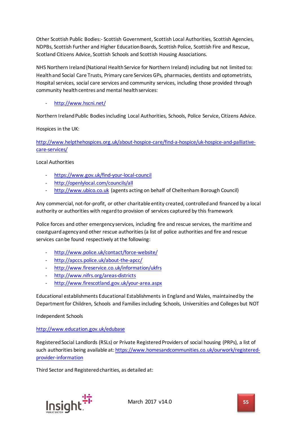Other Scottish Public Bodies:- Scottish Government, Scottish Local Authorities, Scottish Agencies, NDPBs, Scottish Further and Higher Education Boards, Scottish Police, Scottish Fire and Rescue, Scotland Citizens Advice, Scottish Schools and Scottish Housing Associations.

NHS Northern Ireland (National Health Service for Northern Ireland) including but not limited to: Health and Social Care Trusts, Primary care Services GPs, pharmacies, dentists and optometrists, Hospital services, social care services and community services, including those provided through community health centres and mental health services:

# <http://www.hscni.net/>

Northern Ireland Public Bodies including Local Authorities, Schools, Police Service, Citizens Advice.

Hospices in the UK:

[http://www.helpthehospices.org.uk/about-hospice-care/find-a-hospice/uk-hospice-and-palliative](http://www.helpthehospices.org.uk/about-hospice-care/find-a-hospice/uk-hospice-and-palliative-care-services/)[care-services/](http://www.helpthehospices.org.uk/about-hospice-care/find-a-hospice/uk-hospice-and-palliative-care-services/)

Local Authorities

- <https://www.gov.uk/find-your-local-council>
- <http://openlylocal.com/councils/all>
- [http://www.ubico.co.uk](http://www.ubico.co.uk/) (agents acting on behalf of Cheltenham Borough Council)

Any commercial, not-for-profit, or other charitable entity created, controlled and financed by a local authority or authorities with regard to provision of services captured by this framework

Police forces and other emergency services, including fire and rescue services, the maritime and coastguard agency and other rescue authorities (a list of police authorities and fire and rescue services can be found respectively at the following:

- <http://www.police.uk/contact/force-website/>
- <http://apccs.police.uk/about-the-apcc/>
- <http://www.fireservice.co.uk/information/ukfrs>
- <http://www.nifrs.org/areas-districts>
- <http://www.firescotland.gov.uk/your-area.aspx>

Educational establishments Educational Establishments in England and Wales, maintained by the Department for Children, Schools and Families including Schools, Universities and Colleges but NOT

Independent Schools

#### <http://www.education.gov.uk/edubase>

Registered Social Landlords (RSLs) or Private Registered Providers of social housing (PRPs), a list of such authorities being available at: [https://www.homesandcommunities.co.uk/ourwork/registered](https://www.homesandcommunities.co.uk/ourwork/registered-provider-information)[provider-information](https://www.homesandcommunities.co.uk/ourwork/registered-provider-information)

Third Sector and Registered charities, as detailed at:

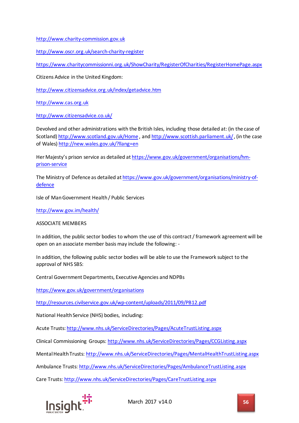[http://www.charity-commission.gov.uk](http://www.charity-commission.gov.uk/)

<http://www.oscr.org.uk/search-charity-register>

<https://www.charitycommissionni.org.uk/ShowCharity/RegisterOfCharities/RegisterHomePage.aspx>

Citizens Advice in the United Kingdom:

<http://www.citizensadvice.org.uk/index/getadvice.htm>

[http://www.cas.org.uk](http://www.cas.org.uk/)

<http://www.citizensadvice.co.uk/>

Devolved and other administrations with the British Isles, including those detailed at: (in the case of Scotland)<http://www.scotland.gov.uk/Home> , an[d http://www.scottish.parliament.uk/](http://www.scottish.parliament.uk/), (in the case of Wales)<http://new.wales.gov.uk/?llang=en>

Her Majesty's prison service as detailed a[t https://www.gov.uk/government/organisations/hm](https://www.gov.uk/government/organisations/hm-prison-service)[prison-service](https://www.gov.uk/government/organisations/hm-prison-service)

The Ministry of Defence as detailed a[t https://www.gov.uk/government/organisations/ministry-of](https://www.gov.uk/government/organisations/ministry-of-defence)[defence](https://www.gov.uk/government/organisations/ministry-of-defence)

Isle of Man Government Health / Public Services

<http://www.gov.im/health/>

ASSOCIATE MEMBERS

In addition, the public sector bodies to whom the use of this contract / framework agreement will be open on an associate member basis may include the following: -

In addition, the following public sector bodies will be able to use the Framework subject to the approval of NHS SBS:

Central Government Departments, Executive Agencies and NDPBs

<https://www.gov.uk/government/organisations>

<http://resources.civilservice.gov.uk/wp-content/uploads/2011/09/PB12.pdf>

National Health Service (NHS) bodies, including:

Acute Trusts:<http://www.nhs.uk/ServiceDirectories/Pages/AcuteTrustListing.aspx>

Clinical Commissioning Groups:<http://www.nhs.uk/ServiceDirectories/Pages/CCGListing.aspx>

Mental Health Trusts:<http://www.nhs.uk/ServiceDirectories/Pages/MentalHealthTrustListing.aspx>

Ambulance Trusts:<http://www.nhs.uk/ServiceDirectories/Pages/AmbulanceTrustListing.aspx>

Care Trusts[: http://www.nhs.uk/ServiceDirectories/Pages/CareTrustListing.aspx](http://www.nhs.uk/ServiceDirectories/Pages/CareTrustListing.aspx)

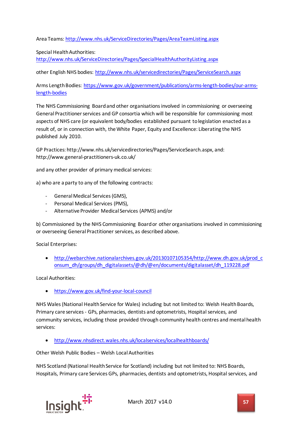Area Teams:<http://www.nhs.uk/ServiceDirectories/Pages/AreaTeamListing.aspx>

Special Health Authorities: <http://www.nhs.uk/ServiceDirectories/Pages/SpecialHealthAuthorityListing.aspx>

other English NHS bodies:<http://www.nhs.uk/servicedirectories/Pages/ServiceSearch.aspx>

Arms Length Bodies: [https://www.gov.uk/government/publications/arms-length-bodies/our-arms](https://www.gov.uk/government/publications/arms-length-bodies/our-arms-length-bodies)[length-bodies](https://www.gov.uk/government/publications/arms-length-bodies/our-arms-length-bodies)

The NHS Commissioning Board and other organisations involved in commissioning or overseeing General Practitioner services and GP consortia which will be responsible for commissioning most aspects of NHS care (or equivalent body/bodies established pursuant to legislation enacted as a result of, or in connection with, the White Paper, Equity and Excellence: Liberating the NHS published July 2010.

GP Practices: http://www.nhs.uk/servicedirectories/Pages/ServiceSearch.aspx, and: http://www.general-practitioners-uk.co.uk/

and any other provider of primary medical services:

a) who are a party to any of the following contracts:

- General Medical Services (GMS),
- Personal Medical Services (PMS),
- Alternative Provider Medical Services (APMS) and/or

b) Commissioned by the NHS Commissioning Board or other organisations involved in commissioning or overseeing General Practitioner services, as described above.

Social Enterprises:

• [http://webarchive.nationalarchives.gov.uk/20130107105354/http://www.dh.gov.uk/prod\\_c](http://webarchive.nationalarchives.gov.uk/20130107105354/http:/www.dh.gov.uk/prod_consum_dh/groups/dh_digitalassets/@dh/@en/documents/digitalasset/dh_119228.pdf) [onsum\\_dh/groups/dh\\_digitalassets/@dh/@en/documents/digitalasset/dh\\_119228.pdf](http://webarchive.nationalarchives.gov.uk/20130107105354/http:/www.dh.gov.uk/prod_consum_dh/groups/dh_digitalassets/@dh/@en/documents/digitalasset/dh_119228.pdf)

Local Authorities:

• <https://www.gov.uk/find-your-local-council>

NHS Wales (National Health Service for Wales) including but not limited to: Welsh Health Boards, Primary care services - GPs, pharmacies, dentists and optometrists, Hospital services, and community services, including those provided through community health centres and mental health services:

• <http://www.nhsdirect.wales.nhs.uk/localservices/localhealthboards/>

Other Welsh Public Bodies – Welsh Local Authorities

NHS Scotland (National Health Service for Scotland) including but not limited to: NHS Boards, Hospitals, Primary care Services GPs, pharmacies, dentists and optometrists, Hospital services, and

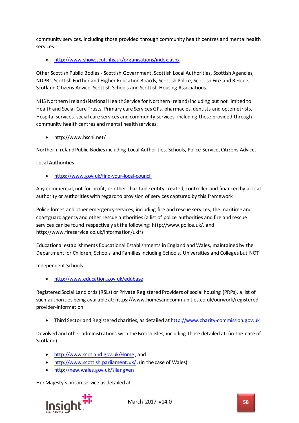community services, including those provided through community health centres and mental health services:

• <http://www.show.scot.nhs.uk/organisations/index.aspx>

Other Scottish Public Bodies:- Scottish Government, Scottish Local Authorities, Scottish Agencies, NDPBs, Scottish Further and Higher Education Boards, Scottish Police, Scottish Fire and Rescue, Scotland Citizens Advice, Scottish Schools and Scottish Housing Associations.

NHS Northern Ireland (National Health Service for Northern Ireland) including but not limited to: Health and Social Care Trusts, Primary care Services GPs, pharmacies, dentists and optometrists, Hospital services, social care services and community services, including those provided through community health centres and mental health services:

• http://www.hscni.net/

Northern Ireland Public Bodies including Local Authorities, Schools, Police Service, Citizens Advice.

Local Authorities

• <https://www.gov.uk/find-your-local-council>

Any commercial, not-for-profit, or other charitable entity created, controlled and financed by a local authority or authorities with regard to provision of services captured by this framework

Police forces and other emergency services, including fire and rescue services, the maritime and coastguard agency and other rescue authorities (a list of police authorities and fire and rescue services can be found respectively at the following: http://www.police.uk/. and http://www.fireservice.co.uk/information/ukfrs

Educational establishments Educational Establishments in England and Wales, maintained by the Department for Children, Schools and Families including Schools, Universities and Colleges but NOT

Independent Schools

• <http://www.education.gov.uk/edubase>

Registered Social Landlords (RSLs) or Private Registered Providers of social housing (PRPs), a list of such authorities being available at: https://www.homesandcommunities.co.uk/ourwork/registeredprovider-information

• Third Sector and Registered charities, as detailed a[t http://www.charity-commission.gov.uk](http://www.charity-commission.gov.uk/)

Devolved and other administrations with the British Isles, including those detailed at: (in the case of Scotland)

- <http://www.scotland.gov.uk/Home> , and
- <http://www.scottish.parliament.uk/>, (in the case of Wales)
- <http://new.wales.gov.uk/?llang=en>

Her Majesty's prison service as detailed at

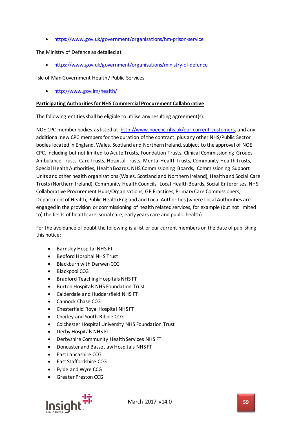• <https://www.gov.uk/government/organisations/hm-prison-service>

The Ministry of Defence as detailed at

• <https://www.gov.uk/government/organisations/ministry-of-defence>

Isle of Man Government Health / Public Services

• <http://www.gov.im/health/>

#### **Participating Authorities for NHS Commercial Procurement Collaborative**

The following entities shall be eligible to utilise any resulting agreement(s):

NOE CPC member bodies as listed at[: http://www.noecpc.nhs.uk/our-current-customers,](http://www.noecpc.nhs.uk/our-current-customers) and any additional new CPC members for the duration of the contract, plus any other NHS/Public Sector bodies located in England, Wales, Scotland and Northern Ireland, subject to the approval of NOE CPC, including but not limited to Acute Trusts, Foundation Trusts, Clinical Commissioning Groups, Ambulance Trusts, Care Trusts, Hospital Trusts, Mental Health Trusts, Community Health Trusts, Special Health Authorities, Health Boards, NHS Commissioning Boards, Commissioning Support Units and other health organisations (Wales, Scotland and Northern Ireland), Health and Social Care Trusts (Northern Ireland), Community Health Councils, Local Health Boards, Social Enterprises, NHS Collaborative Procurement Hubs/Organisations, GP Practices, Primary Care Commissioners, Department of Health, Public Health England and Local Authorities (where Local Authorities are engaged in the provision or commissioning of health related services, for example (but not limited to) the fields of healthcare, social care, early years care and public health).

For the avoidance of doubt the following is a list or our current members on the date of publishing this notice;

- Barnsley Hospital NHS FT
- Bedford Hospital NHS Trust
- Blackburn with Darwen CCG
- Blackpool CCG
- Bradford Teaching Hospitals NHS FT
- Burton Hospitals NHS Foundation Trust
- Calderdale and Huddersfield NHS FT
- Cannock Chase CCG
- Chesterfield Royal Hospital NHS FT
- Chorley and South Ribble CCG
- Colchester Hospital University NHS Foundation Trust
- Derby Hospitals NHS FT
- Derbyshire Community Health Services NHS FT
- Doncaster and Bassetlaw Hospitals NHS FT
- East Lancashire CCG
- East Staffordshire CCG
- Fylde and Wyre CCG
- Greater Preston CCG

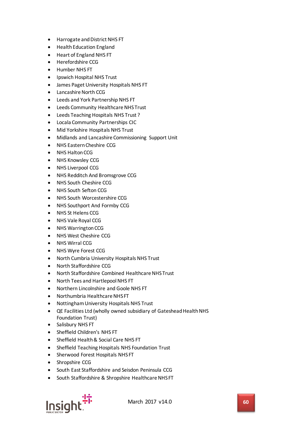- Harrogate and District NHS FT
- Health Education England
- Heart of England NHS FT
- Herefordshire CCG
- Humber NHS FT
- Ipswich Hospital NHS Trust
- James Paget University Hospitals NHS FT
- Lancashire North CCG
- Leeds and York Partnership NHS FT
- Leeds Community Healthcare NHS Trust
- Leeds Teaching Hospitals NHS Trust ?
- Locala Community Partnerships CIC
- Mid Yorkshire Hospitals NHS Trust
- Midlands and Lancashire Commissioning Support Unit
- NHS Eastern Cheshire CCG
- NHS Halton CCG
- NHS Knowsley CCG
- NHS Liverpool CCG
- NHS Redditch And Bromsgrove CCG
- NHS South Cheshire CCG
- NHS South Sefton CCG
- NHS South Worcestershire CCG
- NHS Southport And Formby CCG
- NHS St Helens CCG
- NHS Vale Royal CCG
- NHS Warrington CCG
- NHS West Cheshire CCG
- NHS Wirral CCG
- NHS Wyre Forest CCG
- North Cumbria University Hospitals NHS Trust
- North Staffordshire CCG
- North Staffordshire Combined Healthcare NHS Trust
- North Tees and Hartlepool NHS FT
- Northern Lincolnshire and Goole NHS FT
- Northumbria Healthcare NHS FT
- Nottingham University Hospitals NHS Trust
- QE Facilities Ltd (wholly owned subsidiary of Gateshead Health NHS Foundation Trust)
- Salisbury NHS FT
- Sheffield Children's NHS FT
- Sheffield Health & Social Care NHS FT
- Sheffield Teaching Hospitals NHS Foundation Trust
- Sherwood Forest Hospitals NHS FT
- Shropshire CCG
- South East Staffordshire and Seisdon Peninsula CCG
- South Staffordshire & Shropshire Healthcare NHS FT

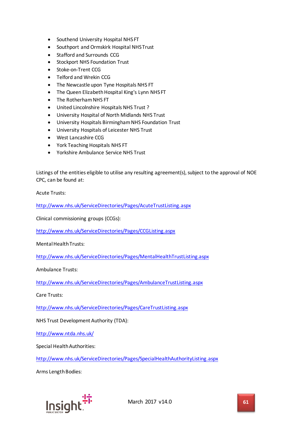- Southend University Hospital NHS FT
- Southport and Ormskirk Hospital NHS Trust
- Stafford and Surrounds CCG
- Stockport NHS Foundation Trust
- Stoke-on-Trent CCG
- Telford and Wrekin CCG
- The Newcastle upon Tyne Hospitals NHS FT
- The Queen Elizabeth Hospital King's Lynn NHS FT
- The Rotherham NHS FT
- United Lincolnshire Hospitals NHS Trust ?
- University Hospital of North Midlands NHS Trust
- University Hospitals Birmingham NHS Foundation Trust
- University Hospitals of Leicester NHS Trust
- West Lancashire CCG
- York Teaching Hospitals NHS FT
- Yorkshire Ambulance Service NHS Trust

Listings of the entities eligible to utilise any resulting agreement(s), subject to the approval of NOE CPC, can be found at:

Acute Trusts:

<http://www.nhs.uk/ServiceDirectories/Pages/AcuteTrustListing.aspx>

Clinical commissioning groups (CCGs):

<http://www.nhs.uk/ServiceDirectories/Pages/CCGListing.aspx>

Mental Health Trusts:

<http://www.nhs.uk/ServiceDirectories/Pages/MentalHealthTrustListing.aspx>

Ambulance Trusts:

<http://www.nhs.uk/ServiceDirectories/Pages/AmbulanceTrustListing.aspx>

Care Trusts:

<http://www.nhs.uk/ServiceDirectories/Pages/CareTrustListing.aspx>

NHS Trust Development Authority (TDA):

<http://www.ntda.nhs.uk/>

Special Health Authorities:

<http://www.nhs.uk/ServiceDirectories/Pages/SpecialHealthAuthorityListing.aspx>

Arms Length Bodies:

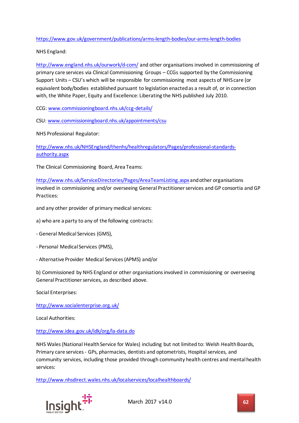# <https://www.gov.uk/government/publications/arms-length-bodies/our-arms-length-bodies>

NHS England:

<http://www.england.nhs.uk/ourwork/d-com/> and other organisations involved in commissioning of primary care services via Clinical Commissioning Groups – CCGs supported by the Commissioning Support Units – CSU's which will be responsible for commissioning most aspects of NHS care (or equivalent body/bodies established pursuant to legislation enacted as a result of, or in connection with, the White Paper, Equity and Excellence: Liberating the NHS published July 2010.

CCG: [www.commissioningboard.nhs.uk/ccg-details/](http://www.commissioningboard.nhs.uk/ccg-details/)

CSU: [www.commissioningboard.nhs.uk/appointments/csu](http://www.commissioningboard.nhs.uk/appointments/csu)

NHS Professional Regulator:

[http://www.nhs.uk/NHSEngland/thenhs/healthregulators/Pages/professional-standards](http://www.nhs.uk/NHSEngland/thenhs/healthregulators/Pages/professional-standards-authority.aspx)[authority.aspx](http://www.nhs.uk/NHSEngland/thenhs/healthregulators/Pages/professional-standards-authority.aspx)

The Clinical Commissioning Board, Area Teams:

<http://www.nhs.uk/ServiceDirectories/Pages/AreaTeamListing.aspx> and other organisations involved in commissioning and/or overseeing General Practitioner services and GP consortia and GP Practices:

and any other provider of primary medical services:

a) who are a party to any of the following contracts:

- General Medical Services (GMS),
- Personal Medical Services (PMS),
- Alternative Provider Medical Services (APMS) and/or

b) Commissioned by NHS England or other organisations involved in commissioning or overseeing General Practitioner services, as described above.

Social Enterprises:

<http://www.socialenterprise.org.uk/>

Local Authorities:

<http://www.idea.gov.uk/idk/org/la-data.do>

NHS Wales (National Health Service for Wales) including but not limited to: Welsh Health Boards, Primary care services - GPs, pharmacies, dentists and optometrists, Hospital services, and community services, including those provided through community health centres and mental health services:

<http://www.nhsdirect.wales.nhs.uk/localservices/localhealthboards/>

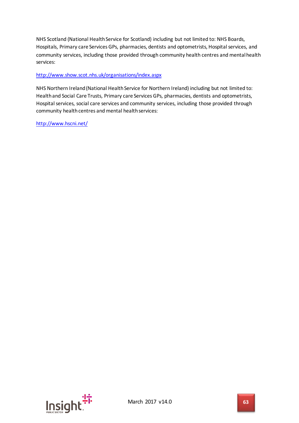NHS Scotland (National Health Service for Scotland) including but not limited to: NHS Boards, Hospitals, Primary care Services GPs, pharmacies, dentists and optometrists, Hospital services, and community services, including those provided through community health centres and mental health services:

# <http://www.show.scot.nhs.uk/organisations/index.aspx>

NHS Northern Ireland (National Health Service for Northern Ireland) including but not limited to: Health and Social Care Trusts, Primary care Services GPs, pharmacies, dentists and optometrists, Hospital services, social care services and community services, including those provided through community health centres and mental health services:

<http://www.hscni.net/>

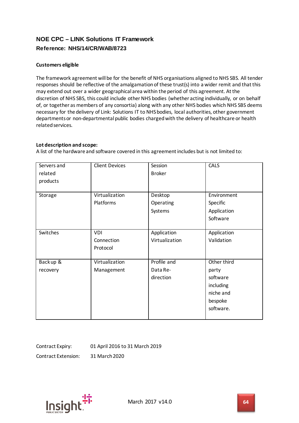# **NOE CPC – LINK Solutions IT Framework Reference: NHS/14/CR/WAB/8723**

# **Customers eligible**

The framework agreement will be for the benefit of NHS organisations aligned to NHS SBS. All tender responses should be reflective of the amalgamation of these trust(s) into a wider remit and that this may extend out over a wider geographical area within the period of this agreement. At the discretion of NHS SBS, this could include other NHS bodies (whether acting individually, or on behalf of, or together as members of any consortia) along with any other NHS bodies which NHS SBS deems necessary for the delivery of Link: Solutions IT to NHS bodies, local authorities, other government departments or non-departmental public bodies charged with the delivery of healthcare or health related services.

# **Lot description and scope:**

A list of the hardware and software covered in this agreement includes but is not limited to:

| Servers and<br>related<br>products | <b>Client Devices</b>                | Session<br><b>Broker</b>             | <b>CALS</b>                                                                        |
|------------------------------------|--------------------------------------|--------------------------------------|------------------------------------------------------------------------------------|
| Storage                            | Virtualization<br>Platforms          | Desktop<br>Operating<br>Systems      | Environment<br>Specific<br>Application<br>Software                                 |
| Switches                           | <b>VDI</b><br>Connection<br>Protocol | Application<br>Virtualization        | Application<br>Validation                                                          |
| Backup &<br>recovery               | Virtualization<br>Management         | Profile and<br>Data Re-<br>direction | Other third<br>party<br>software<br>including<br>niche and<br>bespoke<br>software. |

Contract Expiry: 01 April 2016 to 31 March 2019

Contract Extension: 31 March 2020

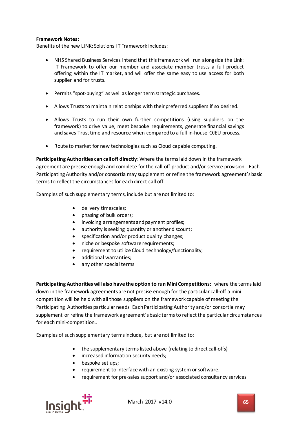### **Framework Notes:**

Benefits of the new LINK: Solutions IT Framework includes:

- NHS Shared Business Services intend that this framework will run alongside the Link: IT Framework to offer our member and associate member trusts a full product offering within the IT market, and will offer the same easy to use access for both supplier and for trusts.
- Permits "spot-buying" as well as longer term strategic purchases.
- Allows Trusts to maintain relationships with their preferred suppliers if so desired.
- Allows Trusts to run their own further competitions (using suppliers on the framework) to drive value, meet bespoke requirements, generate financial savings and saves Trust time and resource when compared to a full in-house OJEU process.
- Route to market for new technologies such as Cloud capable computing.

**Participating Authorities can call off directly**: Where the terms laid down in the framework agreement are precise enough and complete for the call-off product and/or service provision. Each Participating Authority and/or consortia may supplement or refine the framework agreement's basic terms to reflect the circumstances for each direct call off.

Examples of such supplementary terms, include but are not limited to:

- delivery timescales;
- phasing of bulk orders;
- invoicing arrangements and payment profiles;
- authority is seeking quantity or another discount;
- specification and/or product quality changes;
- niche or bespoke software requirements;
- requirement to utilize Cloud technology/functionality;
- additional warranties;
- any other special terms

**Participating Authorities will also have the option to run Mini Competitions**: where the terms laid down in the framework agreements are not precise enough for the particular call-off a mini competition will be held with all those suppliers on the framework capable of meeting the Participating Authorities particular needs Each Participating Authority and/or consortia may supplement or refine the framework agreement's basic terms to reflect the particular circumstances for each mini-competition..

Examples of such supplementary terms include, but are not limited to:

- the supplementary terms listed above (relating to direct call-offs)
- increased information security needs;
- bespoke set ups;
- requirement to interface with an existing system or software;
- requirement for pre-sales support and/or associated consultancy services



March 2017 v14.0 **65**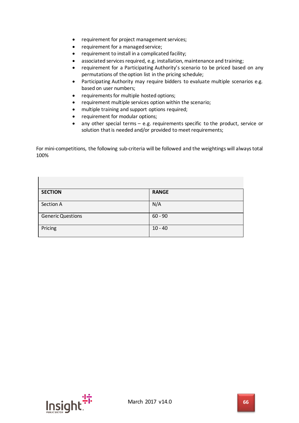- requirement for project management services;
- requirement for a managed service;
- requirement to install in a complicated facility;
- associated services required, e.g. installation, maintenance and training;
- requirement for a Participating Authority's scenario to be priced based on any permutations of the option list in the pricing schedule;
- Participating Authority may require bidders to evaluate multiple scenarios e.g. based on user numbers;
- requirements for multiple hosted options;
- requirement multiple services option within the scenario;
- multiple training and support options required;
- requirement for modular options;
- any other special terms e.g. requirements specific to the product, service or solution that is needed and/or provided to meet requirements;

For mini-competitions, the following sub-criteria will be followed and the weightings will always total 100%

| <b>SECTION</b>           | <b>RANGE</b> |
|--------------------------|--------------|
| Section A                | N/A          |
|                          |              |
| <b>Generic Questions</b> | $60 - 90$    |
| Pricing                  | $10 - 40$    |



 $\mathsf{I}$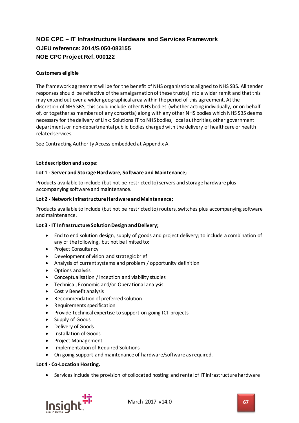# **NOE CPC – IT Infrastructure Hardware and Services Framework OJEU reference: 2014/S 050-083155 NOE CPC Project Ref. 000122**

### **Customers eligible**

The framework agreement will be for the benefit of NHS organisations aligned to NHS SBS. All tender responses should be reflective of the amalgamation of these trust(s) into a wider remit and that this may extend out over a wider geographical area within the period of this agreement. At the discretion of NHS SBS, this could include other NHS bodies (whether acting individually, or on behalf of, or together as members of any consortia) along with any other NHS bodies which NHS SBS deems necessary for the delivery of Link: Solutions IT to NHS bodies, local authorities, other government departments or non-departmental public bodies charged with the delivery of healthcare or health related services.

See Contracting Authority Access embedded at Appendix A.

#### **Lot description and scope:**

#### **Lot 1 - Server and Storage Hardware, Software and Maintenance;**

Products available to include (but not be restricted to) servers and storage hardware plus accompanying software and maintenance.

#### **Lot 2 - Network Infrastructure Hardware and Maintenance;**

Products available to include (but not be restricted to) routers, switches plus accompanying software and maintenance.

#### **Lot 3 - IT Infrastructure Solution Design and Delivery;**

- End to end solution design, supply of goods and project delivery; to include a combination of any of the following, but not be limited to:
- Project Consultancy
- Development of vision and strategic brief
- Analysis of current systems and problem / opportunity definition
- Options analysis
- Conceptualisation / inception and viability studies
- Technical, Economic and/or Operational analysis
- Cost v Benefit analysis
- Recommendation of preferred solution
- Requirements specification
- Provide technical expertise to support on-going ICT projects
- Supply of Goods
- Delivery of Goods
- Installation of Goods
- Project Management
- Implementation of Required Solutions
- On-going support and maintenance of hardware/software as required.

#### **Lot 4 - Co-Location Hosting.**

• Services include the provision of collocated hosting and rental of IT infrastructure hardware

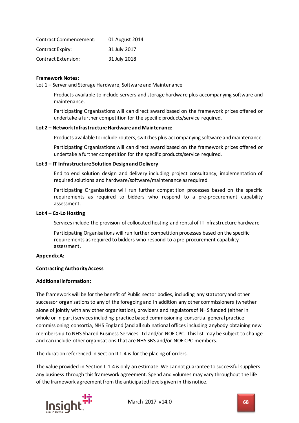| Contract Commencement:  | 01 August 2014 |
|-------------------------|----------------|
| <b>Contract Expiry:</b> | 31 July 2017   |
| Contract Extension:     | 31 July 2018   |

#### **Framework Notes:**

Lot 1 – Server and Storage Hardware, Software and Maintenance

Products available to include servers and storage hardware plus accompanying software and maintenance.

Participating Organisations will can direct award based on the framework prices offered or undertake a further competition for the specific products/service required.

#### **Lot 2 – Network Infrastructure Hardware and Maintenance**

Products available to include routers, switches plus accompanying software and maintenance.

Participating Organisations will can direct award based on the framework prices offered or undertake a further competition for the specific products/service required.

#### **Lot 3 – IT Infrastructure Solution Design and Delivery**

End to end solution design and delivery including project consultancy, implementation of required solutions and hardware/software/maintenance as required.

Participating Organisations will run further competition processes based on the specific requirements as required to bidders who respond to a pre-procurement capability assessment.

#### **Lot 4 – Co-Lo Hosting**

Services include the provision of collocated hosting and rental of IT infrastructure hardware

Participating Organisations will run further competition processes based on the specific requirements as required to bidders who respond to a pre-procurement capability assessment.

#### **Appendix A:**

#### **Contracting Authority Access**

#### **Additional information:**

The framework will be for the benefit of Public sector bodies, including any statutory and other successor organisations to any of the foregoing and in addition any other commissioners (whether alone of jointly with any other organisation), providers and regulators of NHS funded (either in whole or in part) services including practice based commissioning consortia, general practice commissioning consortia, NHS England (and all sub national offices including anybody obtaining new membership to NHS Shared Business Services Ltd and/or NOE CPC. This list may be subject to change and can include other organisations that are NHS SBS and/or NOE CPC members.

The duration referenced in Section II 1.4 is for the placing of orders.

The value provided in Section II 1.4 is only an estimate. We cannot guarantee to successful suppliers any business through this framework agreement. Spend and volumes may vary throughout the life of the framework agreement from the anticipated levels given in this notice.

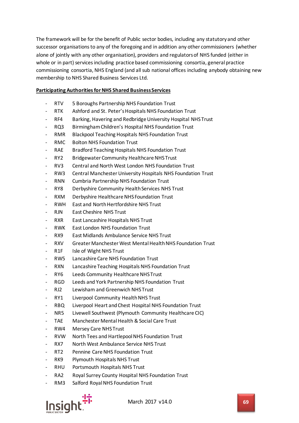The framework will be for the benefit of Public sector bodies, including any statutory and other successor organisations to any of the foregoing and in addition any other commissioners (whether alone of jointly with any other organisation), providers and regulators of NHS funded (either in whole or in part) services including practice based commissioning consortia, general practice commissioning consortia, NHS England (and all sub national offices including anybody obtaining new membership to NHS Shared Business Services Ltd.

# **Participating Authorities for NHS Shared Business Services**

- RTV 5 Boroughs Partnership NHS Foundation Trust
- RTK Ashford and St. Peter's Hospitals NHS Foundation Trust
- RF4 Barking, Havering and Redbridge University Hospital NHS Trust
- RQ3 Birmingham Children's Hospital NHS Foundation Trust
- RMR Blackpool Teaching Hospitals NHS Foundation Trust
- RMC Bolton NHS Foundation Trust
- RAE Bradford Teaching Hospitals NHS Foundation Trust
- RY2 Bridgewater Community Healthcare NHS Trust
- RV3 Central and North West London NHS Foundation Trust
- RW3 Central Manchester University Hospitals NHS Foundation Trust
- RNN Cumbria Partnership NHS Foundation Trust
- RY8 Derbyshire Community Health Services NHS Trust
- RXM Derbyshire Healthcare NHS Foundation Trust
- RWH East and North Hertfordshire NHS Trust
- RJN East Cheshire NHS Trust
- RXR East Lancashire Hospitals NHS Trust
- RWK East London NHS Foundation Trust
- RX9 East Midlands Ambulance Service NHS Trust
- RXV Greater Manchester West Mental Health NHS Foundation Trust
- R1F Isle of Wight NHS Trust
- RW5 Lancashire Care NHS Foundation Trust
- RXN Lancashire Teaching Hospitals NHS Foundation Trust
- RY6 Leeds Community Healthcare NHS Trust
- RGD Leeds and York Partnership NHS Foundation Trust
- RJ2 Lewisham and Greenwich NHS Trust
- RY1 Liverpool Community Health NHS Trust
- RBQ Liverpool Heart and Chest Hospital NHS Foundation Trust
- NR5 Livewell Southwest (Plymouth Community Healthcare CIC)
- TAE Manchester Mental Health & Social Care Trust
- RW4 Mersey Care NHS Trust
- RVW North Tees and Hartlepool NHS Foundation Trust
- RX7 North West Ambulance Service NHS Trust
- RT2 Pennine Care NHS Foundation Trust
- RK9 Plymouth Hospitals NHS Trust
- RHU Portsmouth Hospitals NHS Trust
- RA2 Royal Surrey County Hospital NHS Foundation Trust
- RM3 Salford Royal NHS Foundation Trust



March 2017 v14.0 **69**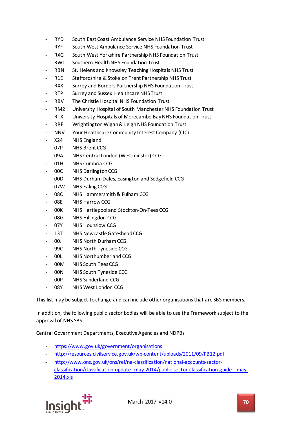- RYD South East Coast Ambulance Service NHS Foundation Trust
- RYF South West Ambulance Service NHS Foundation Trust
- RXG South West Yorkshire Partnership NHS Foundation Trust
- RW1 Southern Health NHS Foundation Trust
- RBN St. Helens and Knowsley Teaching Hospitals NHS Trust
- R1E Staffordshire & Stoke on Trent Partnership NHS Trust
- RXX Surrey and Borders Partnership NHS Foundation Trust
- RTP Surrey and Sussex Healthcare NHS Trust
- RBV The Christie Hospital NHS Foundation Trust
- RM2 University Hospital of South Manchester NHS Foundation Trust
- RTX University Hospitals of Morecambe Bay NHS Foundation Trust
- RRF Wrightington Wigan & Leigh NHS Foundation Trust
- NNV Your Healthcare Community Interest Company (CIC)
- X24 NHS England
- 07P NHS Brent CCG
- 09A NHS Central London (Westminster) CCG
- 01H NHS Cumbria CCG
- 00C NHS Darlington CCG
- 00D NHS Durham Dales, Easington and Sedgefield CCG
- 07W NHS Ealing CCG
- 08C NHS Hammersmith & Fulham CCG
- 08E NHS Harrow CCG
- 00K NHS Hartlepool and Stockton-On-Tees CCG
- 08G NHS Hillingdon CCG
- 07Y NHS Hounslow CCG
- 13T NHS Newcastle Gateshead CCG
- 00J NHS North Durham CCG
- 99C NHS North Tyneside CCG
- 00L NHS Northumberland CCG
- 00M NHS South Tees CCG
- 00N NHS South Tyneside CCG
- 00P NHS Sunderland CCG
- 08Y NHS West London CCG

This list may be subject to change and can include other organisations that are SBS members.

In addition, the following public sector bodies will be able to use the Framework subject to the approval of NHS SBS:

Central Government Departments, Executive Agencies and NDPBs

- <https://www.gov.uk/government/organisations>
- <http://resources.civilservice.gov.uk/wp-content/uploads/2011/09/PB12.pdf>
- [http://www.ons.gov.uk/ons/rel/na-classification/national-accounts-sector](http://www.ons.gov.uk/ons/rel/na-classification/national-accounts-sector-classification/classification-update--may-2014/public-sector-classification-guide---may-2014.xls)[classification/classification-update--may-2014/public-sector-classification-guide---may-](http://www.ons.gov.uk/ons/rel/na-classification/national-accounts-sector-classification/classification-update--may-2014/public-sector-classification-guide---may-2014.xls)[2014.xls](http://www.ons.gov.uk/ons/rel/na-classification/national-accounts-sector-classification/classification-update--may-2014/public-sector-classification-guide---may-2014.xls)

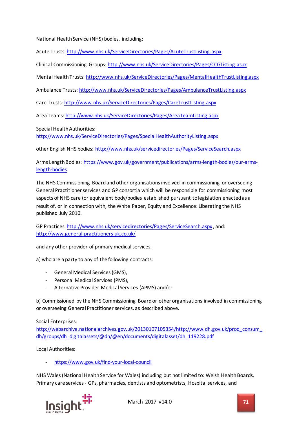National Health Service (NHS) bodies, including:

Acute Trusts:<http://www.nhs.uk/ServiceDirectories/Pages/AcuteTrustListing.aspx>

Clinical Commissioning Groups:<http://www.nhs.uk/ServiceDirectories/Pages/CCGListing.aspx>

Mental Health Trusts:<http://www.nhs.uk/ServiceDirectories/Pages/MentalHealthTrustListing.aspx>

Ambulance Trusts:<http://www.nhs.uk/ServiceDirectories/Pages/AmbulanceTrustListing.aspx>

Care Trusts[: http://www.nhs.uk/ServiceDirectories/Pages/CareTrustListing.aspx](http://www.nhs.uk/ServiceDirectories/Pages/CareTrustListing.aspx)

Area Teams:<http://www.nhs.uk/ServiceDirectories/Pages/AreaTeamListing.aspx>

Special Health Authorities:

<http://www.nhs.uk/ServiceDirectories/Pages/SpecialHealthAuthorityListing.aspx>

other English NHS bodies:<http://www.nhs.uk/servicedirectories/Pages/ServiceSearch.aspx>

Arms Length Bodies: [https://www.gov.uk/government/publications/arms-length-bodies/our-arms](https://www.gov.uk/government/publications/arms-length-bodies/our-arms-length-bodies)[length-bodies](https://www.gov.uk/government/publications/arms-length-bodies/our-arms-length-bodies)

The NHS Commissioning Board and other organisations involved in commissioning or overseeing General Practitioner services and GP consortia which will be responsible for commissioning most aspects of NHS care (or equivalent body/bodies established pursuant to legislation enacted as a result of, or in connection with, the White Paper, Equity and Excellence: Liberating the NHS published July 2010.

GP Practices[: http://www.nhs.uk/servicedirectories/Pages/ServiceSearch.aspx](http://www.nhs.uk/servicedirectories/Pages/ServiceSearch.aspx) , and: <http://www.general-practitioners-uk.co.uk/>

and any other provider of primary medical services:

a) who are a party to any of the following contracts:

- General Medical Services (GMS),
- Personal Medical Services (PMS),
- Alternative Provider Medical Services (APMS) and/or

b) Commissioned by the NHS Commissioning Board or other organisations involved in commissioning or overseeing General Practitioner services, as described above.

Social Enterprises:

[http://webarchive.nationalarchives.gov.uk/20130107105354/http://www.dh.gov.uk/prod\\_consum\\_](http://webarchive.nationalarchives.gov.uk/20130107105354/http:/www.dh.gov.uk/prod_consum_dh/groups/dh_digitalassets/@dh/@en/documents/digitalasset/dh_119228.pdf) [dh/groups/dh\\_digitalassets/@dh/@en/documents/digitalasset/dh\\_119228.pdf](http://webarchive.nationalarchives.gov.uk/20130107105354/http:/www.dh.gov.uk/prod_consum_dh/groups/dh_digitalassets/@dh/@en/documents/digitalasset/dh_119228.pdf)

Local Authorities:

<https://www.gov.uk/find-your-local-council>

NHS Wales (National Health Service for Wales) including but not limited to: Welsh Health Boards, Primary care services - GPs, pharmacies, dentists and optometrists, Hospital services, and

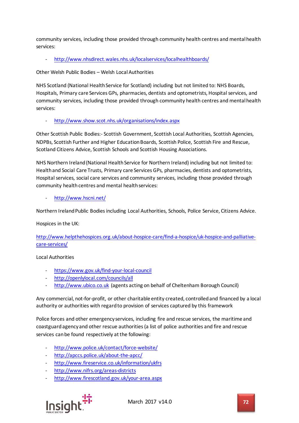community services, including those provided through community health centres and mental health services:

<http://www.nhsdirect.wales.nhs.uk/localservices/localhealthboards/>

Other Welsh Public Bodies – Welsh Local Authorities

NHS Scotland (National Health Service for Scotland) including but not limited to: NHS Boards, Hospitals, Primary care Services GPs, pharmacies, dentists and optometrists, Hospital services, and community services, including those provided through community health centres and mental health services:

- <http://www.show.scot.nhs.uk/organisations/index.aspx>

Other Scottish Public Bodies:- Scottish Government, Scottish Local Authorities, Scottish Agencies, NDPBs, Scottish Further and Higher Education Boards, Scottish Police, Scottish Fire and Rescue, Scotland Citizens Advice, Scottish Schools and Scottish Housing Associations.

NHS Northern Ireland (National Health Service for Northern Ireland) including but not limited to: Health and Social Care Trusts, Primary care Services GPs, pharmacies, dentists and optometrists, Hospital services, social care services and community services, including those provided through community health centres and mental health services:

<http://www.hscni.net/>

Northern Ireland Public Bodies including Local Authorities, Schools, Police Service, Citizens Advice.

Hospices in the UK:

[http://www.helpthehospices.org.uk/about-hospice-care/find-a-hospice/uk-hospice-and-palliative](http://www.helpthehospices.org.uk/about-hospice-care/find-a-hospice/uk-hospice-and-palliative-care-services/)[care-services/](http://www.helpthehospices.org.uk/about-hospice-care/find-a-hospice/uk-hospice-and-palliative-care-services/)

#### Local Authorities

- <https://www.gov.uk/find-your-local-council>
- <http://openlylocal.com/councils/all>
- [http://www.ubico.co.uk](http://www.ubico.co.uk/) (agents acting on behalf of Cheltenham Borough Council)

Any commercial, not-for-profit, or other charitable entity created, controlled and financed by a local authority or authorities with regard to provision of services captured by this framework

Police forces and other emergency services, including fire and rescue services, the maritime and coastguard agency and other rescue authorities (a list of police authorities and fire and rescue services can be found respectively at the following:

- <http://www.police.uk/contact/force-website/>
- <http://apccs.police.uk/about-the-apcc/>
- <http://www.fireservice.co.uk/information/ukfrs>
- <http://www.nifrs.org/areas-districts>
- <http://www.firescotland.gov.uk/your-area.aspx>

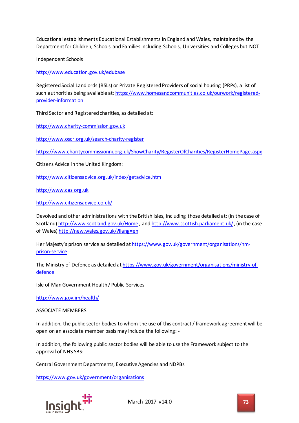Educational establishments Educational Establishments in England and Wales, maintained by the Department for Children, Schools and Families including Schools, Universities and Colleges but NOT

Independent Schools

<http://www.education.gov.uk/edubase>

Registered Social Landlords (RSLs) or Private Registered Providers of social housing (PRPs), a list of such authorities being available at: [https://www.homesandcommunities.co.uk/ourwork/registered](https://www.homesandcommunities.co.uk/ourwork/registered-provider-information)[provider-information](https://www.homesandcommunities.co.uk/ourwork/registered-provider-information)

Third Sector and Registered charities, as detailed at:

[http://www.charity-commission.gov.uk](http://www.charity-commission.gov.uk/)

<http://www.oscr.org.uk/search-charity-register>

<https://www.charitycommissionni.org.uk/ShowCharity/RegisterOfCharities/RegisterHomePage.aspx>

Citizens Advice in the United Kingdom:

<http://www.citizensadvice.org.uk/index/getadvice.htm>

[http://www.cas.org.uk](http://www.cas.org.uk/)

<http://www.citizensadvice.co.uk/>

Devolved and other administrations with the British Isles, including those detailed at: (in the case of Scotland)<http://www.scotland.gov.uk/Home> , an[d http://www.scottish.parliament.uk/](http://www.scottish.parliament.uk/), (in the case of Wales)<http://new.wales.gov.uk/?llang=en>

Her Majesty's prison service as detailed a[t https://www.gov.uk/government/organisations/hm](https://www.gov.uk/government/organisations/hm-prison-service)[prison-service](https://www.gov.uk/government/organisations/hm-prison-service)

The Ministry of Defence as detailed a[t https://www.gov.uk/government/organisations/ministry-of](https://www.gov.uk/government/organisations/ministry-of-defence)[defence](https://www.gov.uk/government/organisations/ministry-of-defence)

Isle of Man Government Health / Public Services

<http://www.gov.im/health/>

ASSOCIATE MEMBERS

In addition, the public sector bodies to whom the use of this contract / framework agreement will be open on an associate member basis may include the following: -

In addition, the following public sector bodies will be able to use the Framework subject to the approval of NHS SBS:

Central Government Departments, Executive Agencies and NDPBs

<https://www.gov.uk/government/organisations>

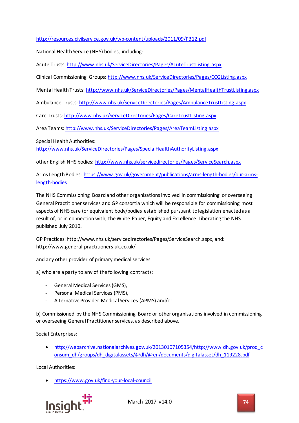## <http://resources.civilservice.gov.uk/wp-content/uploads/2011/09/PB12.pdf>

National Health Service (NHS) bodies, including:

Acute Trusts:<http://www.nhs.uk/ServiceDirectories/Pages/AcuteTrustListing.aspx>

Clinical Commissioning Groups:<http://www.nhs.uk/ServiceDirectories/Pages/CCGListing.aspx>

Mental Health Trusts:<http://www.nhs.uk/ServiceDirectories/Pages/MentalHealthTrustListing.aspx>

Ambulance Trusts:<http://www.nhs.uk/ServiceDirectories/Pages/AmbulanceTrustListing.aspx>

Care Trusts[: http://www.nhs.uk/ServiceDirectories/Pages/CareTrustListing.aspx](http://www.nhs.uk/ServiceDirectories/Pages/CareTrustListing.aspx)

Area Teams:<http://www.nhs.uk/ServiceDirectories/Pages/AreaTeamListing.aspx>

Special Health Authorities:

<http://www.nhs.uk/ServiceDirectories/Pages/SpecialHealthAuthorityListing.aspx>

other English NHS bodies:<http://www.nhs.uk/servicedirectories/Pages/ServiceSearch.aspx>

Arms Length Bodies: [https://www.gov.uk/government/publications/arms-length-bodies/our-arms](https://www.gov.uk/government/publications/arms-length-bodies/our-arms-length-bodies)[length-bodies](https://www.gov.uk/government/publications/arms-length-bodies/our-arms-length-bodies)

The NHS Commissioning Board and other organisations involved in commissioning or overseeing General Practitioner services and GP consortia which will be responsible for commissioning most aspects of NHS care (or equivalent body/bodies established pursuant to legislation enacted as a result of, or in connection with, the White Paper, Equity and Excellence: Liberating the NHS published July 2010.

GP Practices: http://www.nhs.uk/servicedirectories/Pages/ServiceSearch.aspx, and: http://www.general-practitioners-uk.co.uk/

and any other provider of primary medical services:

a) who are a party to any of the following contracts:

- General Medical Services (GMS),
- Personal Medical Services (PMS),
- Alternative Provider Medical Services (APMS) and/or

b) Commissioned by the NHS Commissioning Board or other organisations involved in commissioning or overseeing General Practitioner services, as described above.

Social Enterprises:

• [http://webarchive.nationalarchives.gov.uk/20130107105354/http://www.dh.gov.uk/prod\\_c](http://webarchive.nationalarchives.gov.uk/20130107105354/http:/www.dh.gov.uk/prod_consum_dh/groups/dh_digitalassets/@dh/@en/documents/digitalasset/dh_119228.pdf) [onsum\\_dh/groups/dh\\_digitalassets/@dh/@en/documents/digitalasset/dh\\_119228.pdf](http://webarchive.nationalarchives.gov.uk/20130107105354/http:/www.dh.gov.uk/prod_consum_dh/groups/dh_digitalassets/@dh/@en/documents/digitalasset/dh_119228.pdf)

Local Authorities:

• <https://www.gov.uk/find-your-local-council>

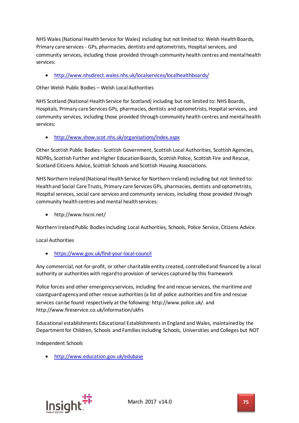NHS Wales (National Health Service for Wales) including but not limited to: Welsh Health Boards, Primary care services - GPs, pharmacies, dentists and optometrists, Hospital services, and community services, including those provided through community health centres and mental health services:

• <http://www.nhsdirect.wales.nhs.uk/localservices/localhealthboards/>

Other Welsh Public Bodies – Welsh Local Authorities

NHS Scotland (National Health Service for Scotland) including but not limited to: NHS Boards, Hospitals, Primary care Services GPs, pharmacies, dentists and optometrists, Hospital services, and community services, including those provided through community health centres and mental health services:

• <http://www.show.scot.nhs.uk/organisations/index.aspx>

Other Scottish Public Bodies:- Scottish Government, Scottish Local Authorities, Scottish Agencies, NDPBs, Scottish Further and Higher Education Boards, Scottish Police, Scottish Fire and Rescue, Scotland Citizens Advice, Scottish Schools and Scottish Housing Associations.

NHS Northern Ireland (National Health Service for Northern Ireland) including but not limited to: Health and Social Care Trusts, Primary care Services GPs, pharmacies, dentists and optometrists, Hospital services, social care services and community services, including those provided through community health centres and mental health services:

• http://www.hscni.net/

Northern Ireland Public Bodies including Local Authorities, Schools, Police Service, Citizens Advice.

Local Authorities

• <https://www.gov.uk/find-your-local-council>

Any commercial, not-for-profit, or other charitable entity created, controlled and financed by a local authority or authorities with regard to provision of services captured by this framework

Police forces and other emergency services, including fire and rescue services, the maritime and coastguard agency and other rescue authorities (a list of police authorities and fire and rescue services can be found respectively at the following: http://www.police.uk/. and http://www.fireservice.co.uk/information/ukfrs

Educational establishments Educational Establishments in England and Wales, maintained by the Department for Children, Schools and Families including Schools, Universities and Colleges but NOT

Independent Schools

• <http://www.education.gov.uk/edubase>

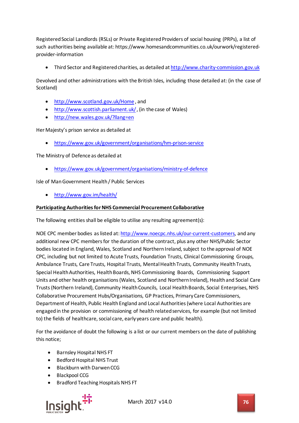Registered Social Landlords (RSLs) or Private Registered Providers of social housing (PRPs), a list of such authorities being available at: https://www.homesandcommunities.co.uk/ourwork/registeredprovider-information

• Third Sector and Registered charities, as detailed a[t http://www.charity-commission.gov.uk](http://www.charity-commission.gov.uk/)

Devolved and other administrations with the British Isles, including those detailed at: (in the case of Scotland)

- <http://www.scotland.gov.uk/Home> , and
- <http://www.scottish.parliament.uk/>, (in the case of Wales)
- <http://new.wales.gov.uk/?llang=en>

Her Majesty's prison service as detailed at

• <https://www.gov.uk/government/organisations/hm-prison-service>

The Ministry of Defence as detailed at

• <https://www.gov.uk/government/organisations/ministry-of-defence>

Isle of Man Government Health / Public Services

• <http://www.gov.im/health/>

## **Participating Authorities for NHS Commercial Procurement Collaborative**

The following entities shall be eligible to utilise any resulting agreement(s):

NOE CPC member bodies as listed at[: http://www.noecpc.nhs.uk/our-current-customers,](http://www.noecpc.nhs.uk/our-current-customers) and any additional new CPC members for the duration of the contract, plus any other NHS/Public Sector bodies located in England, Wales, Scotland and Northern Ireland, subject to the approval of NOE CPC, including but not limited to Acute Trusts, Foundation Trusts, Clinical Commissioning Groups, Ambulance Trusts, Care Trusts, Hospital Trusts, Mental Health Trusts, Community Health Trusts, Special Health Authorities, Health Boards, NHS Commissioning Boards, Commissioning Support Units and other health organisations (Wales, Scotland and Northern Ireland), Health and Social Care Trusts (Northern Ireland), Community Health Councils, Local Health Boards, Social Enterprises, NHS Collaborative Procurement Hubs/Organisations, GP Practices, Primary Care Commissioners, Department of Health, Public Health England and Local Authorities (where Local Authorities are engaged in the provision or commissioning of health related services, for example (but not limited to) the fields of healthcare, social care, early years care and public health).

For the avoidance of doubt the following is a list or our current members on the date of publishing this notice;

- Barnsley Hospital NHS FT
- Bedford Hospital NHS Trust
- Blackburn with Darwen CCG
- Blackpool CCG
- Bradford Teaching Hospitals NHS FT



March 2017 v14.0 **76**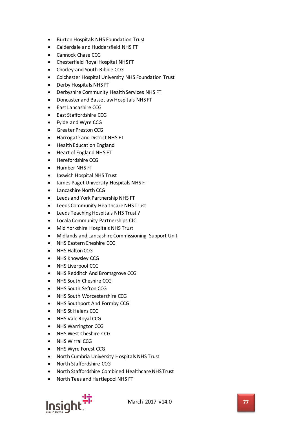- Burton Hospitals NHS Foundation Trust
- Calderdale and Huddersfield NHS FT
- Cannock Chase CCG
- Chesterfield Royal Hospital NHS FT
- Chorley and South Ribble CCG
- Colchester Hospital University NHS Foundation Trust
- Derby Hospitals NHS FT
- Derbyshire Community Health Services NHS FT
- Doncaster and Bassetlaw Hospitals NHS FT
- East Lancashire CCG
- East Staffordshire CCG
- Fylde and Wyre CCG
- Greater Preston CCG
- Harrogate and District NHS FT
- Health Education England
- Heart of England NHS FT
- Herefordshire CCG
- Humber NHS FT
- Ipswich Hospital NHS Trust
- James Paget University Hospitals NHS FT
- Lancashire North CCG
- Leeds and York Partnership NHS FT
- Leeds Community Healthcare NHS Trust
- Leeds Teaching Hospitals NHS Trust ?
- Locala Community Partnerships CIC
- Mid Yorkshire Hospitals NHS Trust
- Midlands and Lancashire Commissioning Support Unit
- NHS Eastern Cheshire CCG
- NHS Halton CCG
- NHS Knowsley CCG
- NHS Liverpool CCG
- NHS Redditch And Bromsgrove CCG
- NHS South Cheshire CCG
- NHS South Sefton CCG
- NHS South Worcestershire CCG
- NHS Southport And Formby CCG
- NHS St Helens CCG
- NHS Vale Royal CCG
- NHS Warrington CCG
- NHS West Cheshire CCG
- NHS Wirral CCG
- NHS Wyre Forest CCG
- North Cumbria University Hospitals NHS Trust
- North Staffordshire CCG
- North Staffordshire Combined Healthcare NHS Trust
- North Tees and Hartlepool NHS FT

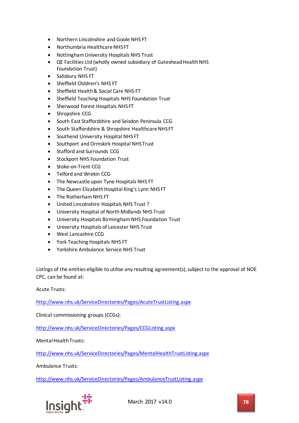- Northern Lincolnshire and Goole NHS FT
- Northumbria Healthcare NHS FT
- Nottingham University Hospitals NHS Trust
- QE Facilities Ltd (wholly owned subsidiary of Gateshead Health NHS Foundation Trust)
- Salisbury NHS FT
- Sheffield Children's NHS FT
- Sheffield Health & Social Care NHS FT
- Sheffield Teaching Hospitals NHS Foundation Trust
- Sherwood Forest Hospitals NHS FT
- Shropshire CCG
- South East Staffordshire and Seisdon Peninsula CCG
- South Staffordshire & Shropshire Healthcare NHS FT
- Southend University Hospital NHS FT
- Southport and Ormskirk Hospital NHS Trust
- Stafford and Surrounds CCG
- Stockport NHS Foundation Trust
- Stoke-on-Trent CCG
- Telford and Wrekin CCG
- The Newcastle upon Tyne Hospitals NHS FT
- The Queen Elizabeth Hospital King's Lynn NHS FT
- The Rotherham NHS FT
- United Lincolnshire Hospitals NHS Trust ?
- University Hospital of North Midlands NHS Trust
- University Hospitals Birmingham NHS Foundation Trust
- University Hospitals of Leicester NHS Trust
- West Lancashire CCG
- York Teaching Hospitals NHS FT
- Yorkshire Ambulance Service NHS Trust

Listings of the entities eligible to utilise any resulting agreement(s), subject to the approval of NOE CPC, can be found at:

Acute Trusts:

<http://www.nhs.uk/ServiceDirectories/Pages/AcuteTrustListing.aspx>

Clinical commissioning groups (CCGs):

<http://www.nhs.uk/ServiceDirectories/Pages/CCGListing.aspx>

Mental Health Trusts:

<http://www.nhs.uk/ServiceDirectories/Pages/MentalHealthTrustListing.aspx>

Ambulance Trusts:

<http://www.nhs.uk/ServiceDirectories/Pages/AmbulanceTrustListing.aspx>

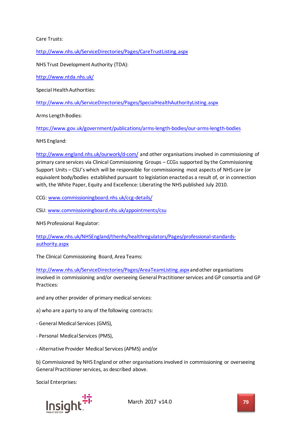Care Trusts:

<http://www.nhs.uk/ServiceDirectories/Pages/CareTrustListing.aspx>

NHS Trust Development Authority (TDA):

<http://www.ntda.nhs.uk/>

Special Health Authorities:

<http://www.nhs.uk/ServiceDirectories/Pages/SpecialHealthAuthorityListing.aspx>

Arms Length Bodies:

<https://www.gov.uk/government/publications/arms-length-bodies/our-arms-length-bodies>

NHS England:

<http://www.england.nhs.uk/ourwork/d-com/> and other organisations involved in commissioning of primary care services via Clinical Commissioning Groups – CCGs supported by the Commissioning Support Units – CSU's which will be responsible for commissioning most aspects of NHS care (or equivalent body/bodies established pursuant to legislation enacted as a result of, or in connection with, the White Paper, Equity and Excellence: Liberating the NHS published July 2010.

CCG: [www.commissioningboard.nhs.uk/ccg-details/](http://www.commissioningboard.nhs.uk/ccg-details/)

CSU: [www.commissioningboard.nhs.uk/appointments/csu](http://www.commissioningboard.nhs.uk/appointments/csu)

NHS Professional Regulator:

[http://www.nhs.uk/NHSEngland/thenhs/healthregulators/Pages/professional-standards](http://www.nhs.uk/NHSEngland/thenhs/healthregulators/Pages/professional-standards-authority.aspx)[authority.aspx](http://www.nhs.uk/NHSEngland/thenhs/healthregulators/Pages/professional-standards-authority.aspx)

The Clinical Commissioning Board, Area Teams:

<http://www.nhs.uk/ServiceDirectories/Pages/AreaTeamListing.aspx> and other organisations involved in commissioning and/or overseeing General Practitioner services and GP consortia and GP Practices:

and any other provider of primary medical services:

a) who are a party to any of the following contracts:

- General Medical Services (GMS),
- Personal Medical Services (PMS),
- Alternative Provider Medical Services (APMS) and/or

b) Commissioned by NHS England or other organisations involved in commissioning or overseeing General Practitioner services, as described above.

Social Enterprises:

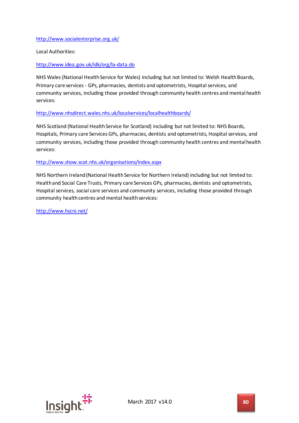## <http://www.socialenterprise.org.uk/>

Local Authorities:

## <http://www.idea.gov.uk/idk/org/la-data.do>

NHS Wales (National Health Service for Wales) including but not limited to: Welsh Health Boards, Primary care services - GPs, pharmacies, dentists and optometrists, Hospital services, and community services, including those provided through community health centres and mental health services:

## <http://www.nhsdirect.wales.nhs.uk/localservices/localhealthboards/>

NHS Scotland (National Health Service for Scotland) including but not limited to: NHS Boards, Hospitals, Primary care Services GPs, pharmacies, dentists and optometrists, Hospital services, and community services, including those provided through community health centres and mental health services:

### <http://www.show.scot.nhs.uk/organisations/index.aspx>

NHS Northern Ireland (National Health Service for Northern Ireland) including but not limited to: Health and Social Care Trusts, Primary care Services GPs, pharmacies, dentists and optometrists, Hospital services, social care services and community services, including those provided through community health centres and mental health services:

<http://www.hscni.net/>

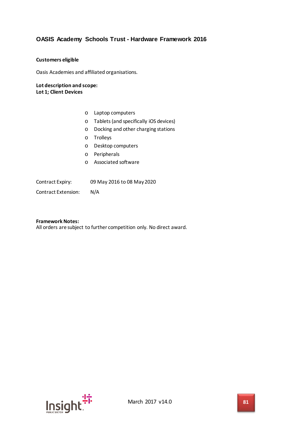## **OASIS Academy Schools Trust - Hardware Framework 2016**

### **Customers eligible**

Oasis Academies and affiliated organisations.

### **Lot description and scope: Lot 1; Client Devices**

- o Laptop computers
- o Tablets (and specifically iOS devices)
- o Docking and other charging stations
- o Trolleys
- o Desktop computers
- o Peripherals
- o Associated software

Contract Expiry: 09 May 2016 to 08 May 2020

Contract Extension: N/A

**Framework Notes:** All orders are subject to further competition only. No direct award.

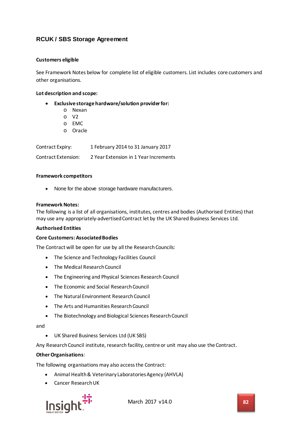## **RCUK / SBS Storage Agreement**

### **Customers eligible**

See Framework Notes below for complete list of eligible customers. List includes core customers and other organisations.

### **Lot description and scope:**

- **Exclusive storage hardware/solution provider for:**
	- o Nexan
	- o V2
	- o EMC
	- o Oracle

| Contract Expiry:           | 1 February 2014 to 31 January 2017    |
|----------------------------|---------------------------------------|
| <b>Contract Extension:</b> | 2 Year Extension in 1 Year Increments |

### **Framework competitors**

• None for the above storage hardware manufacturers.

### **Framework Notes:**

The following is a list of all organisations, institutes, centres and bodies (Authorised Entities) that may use any appropriately-advertised Contract let by the UK Shared Business Services Ltd.

#### **Authorised Entities**

### **Core Customers: Associated Bodies**

The Contract will be open for use by all the Research Councils:

- The Science and Technology Facilities Council
- The Medical Research Council
- The Engineering and Physical Sciences Research Council
- The Economic and Social Research Council
- The Natural Environment Research Council
- The Arts and Humanities Research Council
- The Biotechnology and Biological Sciences Research Council

#### and

• UK Shared Business Services Ltd (UK SBS)

Any Research Council institute, research facility, centre or unit may also use the Contract.

### **Other Organisations**:

The following organisations may also access the Contract:

- Animal Health & Veterinary Laboratories Agency (AHVLA)
- Cancer Research UK

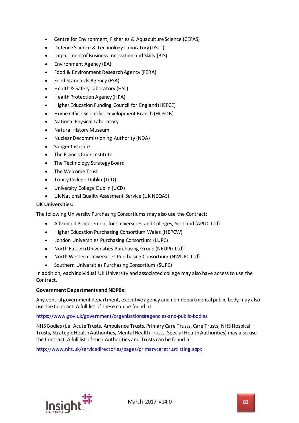- Centre for Environment, Fisheries & Aquaculture Science (CEFAS)
- Defence Science & Technology Laboratory (DSTL)
- Department of Business Innovation and Skills (BIS)
- Environment Agency (EA)
- Food & Environment Research Agency (FERA)
- Food Standards Agency (FSA)
- Health & Safety Laboratory (HSL)
- Health Protection Agency (HPA)
- Higher Education Funding Council for England (HEFCE)
- Home Office Scientific Development Branch (HOSDB)
- National Physical Laboratory
- Natural History Museum
- Nuclear Decommissioning Authority (NDA)
- Sanger Institute
- The Francis Crick Institute
- The Technology Strategy Board
- The Welcome Trust
- Trinity College Dublin (TCD)
- University College Dublin (UCD)
- UK National Quality Assesment Service (UK NEQAS)

## **UK Universities:**

The following University Purchasing Consortiums may also use the Contract:

- Advanced Procurement for Universities and Colleges, Scotland (APUC Ltd)
- Higher Education Purchasing Consortium Wales (HEPCW)
- London Universities Purchasing Consortium (LUPC)
- North Eastern Universities Purchasing Group (NEUPG Ltd)
- North Western Universities Purchasing Consortium (NWUPC Ltd)
- Southern Universities Purchasing Consortium (SUPC)

In addition, each individual UK University and associated college may also have access to use the Contract.

## **Government Departments and NDPBs:**

Any central government department, executive agency and non-departmental public body may also use the Contract. A full list of these can be found at:

## <https://www.gov.uk/government/organisations#agencies-and-public-bodies>

NHS Bodies (i.e. Acute Trusts, Ambulance Trusts, Primary Care Trusts, Care Trusts, NHS Hospital Trusts, Strategic Health Authorities, Mental Health Trusts, Special Health Authorities) may also use the Contract. A full list of such Authorities and Trusts can be found at:

<http://www.nhs.uk/servicedirectories/pages/primarycaretrustlisting.aspx>

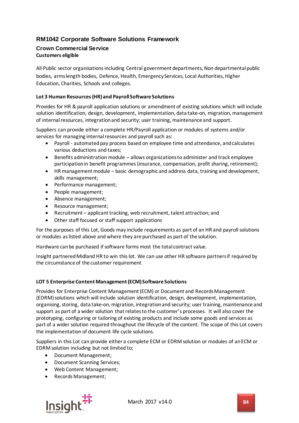# **RM1042 Corporate Software Solutions Framework**

## **Crown Commercial Service Customers eligible**

All Public sector organisations including Central government departments, Non departmental public bodies, arms length bodies, Defence, Health, Emergency Services, Local Authorities, Higher Education, Charities, Schools and colleges.

## **Lot 3 Human Resources (HR) and Payroll Software Solutions**

Provides for HR & payroll application solutions or amendment of existing solutions which will include solution identification, design, development, implementation, data take-on, migration, management of internal resources, integration and security; user training, maintenance and support.

Suppliers can provide either a complete HR/Payroll application or modules of systems and/or services for managing internal resources and payroll such as:

- Payroll automated pay process based on employee time and attendance, and calculates various deductions and taxes;
- Benefits administration module allows organizations to administer and track employee participation in benefit programmes (insurance, compensation, profit sharing, retirement);
- HR management module basic demographic and address data, training and development, skills management;
- Performance management;
- People management;
- Absence management;
- Resource management;
- Recruitment applicant tracking, web recruitment, talent attraction; and
- Other staff focused or staff support applications

For the purposes of this Lot, Goods may include requirements as part of an HR and payroll solutions or modules as listed above and where they are purchased as part of the solution.

Hardware can be purchased if software forms most the total contract value.

Insight partnered Midland HR to win this lot. We can use other HR software partners if required by the circumstance of the customer requirement

### **LOT 5 Enterprise Content Management (ECM)Software Solutions**

Provides for Enterprise Content Management (ECM) or Document and Records Management (EDRM) solutions which will include solution identification, design, development, implementation, organising, storing, data take-on, migration, integration and security; user training, maintenance and support as part of a wider solution that relates to the customer's processes. It will also cover the prototyping, configuring or tailoring of existing products and include some goods and services as part of a wider solution required throughout the lifecycle of the content. The scope of this Lot covers the implementation of document life cycle solutions.

Suppliers in this Lot can provide either a complete ECM or EDRM solution or modules of an ECM or EDRM solution including but not limited to;

- Document Management;
- Document Scanning Services;
- Web Content Management;
- Records Management;

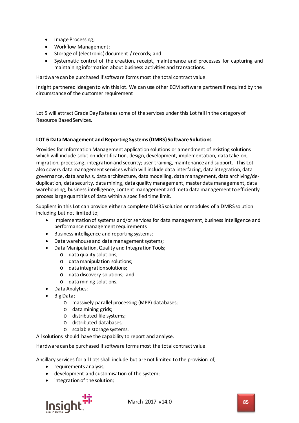- Image Processing;
- Workflow Management;
- Storage of (electronic) document / records; and
- Systematic control of the creation, receipt, maintenance and processes for capturing and maintaining information about business activities and transactions.

Hardware can be purchased ifsoftware forms most the total contract value.

Insight partnered Ideagen to win this lot. We can use other ECM software partners if required by the circumstance of the customer requirement

Lot 5 will attract Grade Day Rates as some of the services under this Lot fall in the category of Resource Based Services.

## **LOT 6 Data Management and Reporting Systems (DMRS) Software Solutions**

Provides for Information Management application solutions or amendment of existing solutions which will include solution identification, design, development, implementation, data take-on, migration, processing, integration and security; user training, maintenance and support. This Lot also covers data management services which will include data interfacing, data integration, data governance, data analysis, data architecture, data modelling, data management, data archiving/deduplication, data security, data mining, data quality management, master data management, data warehousing, business intelligence, content management and meta data management to efficiently process large quantities of data within a specified time limit.

Suppliers in this Lot can provide either a complete DMRS solution or modules of a DMRS solution including but not limited to;

- Implementation of systems and/or services for data management, business intelligence and performance management requirements
- Business intelligence and reporting systems;
- Data warehouse and data management systems;
- Data Manipulation, Quality and Integration Tools;
	- o data quality solutions;
	- o data manipulation solutions;
	- o data integration solutions;
	- o data discovery solutions; and
	- o data mining solutions.
	- Data Analytics;
- Big Data;
	- o massively parallel processing (MPP) databases;
	- o data mining grids;
	- o distributed file systems;
	- o distributed databases;
	- o scalable storage systems.

All solutions should have the capability to report and analyse.

Hardware can be purchased if software forms most the total contract value.

Ancillary services for all Lots shall include but are not limited to the provision of;

- requirements analysis;
- development and customisation of the system;
- integration of the solution;

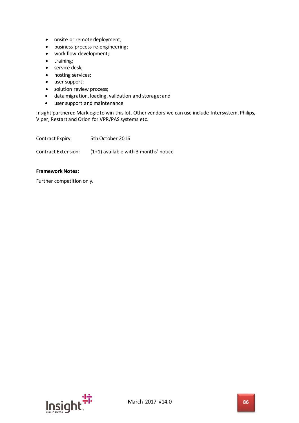- onsite or remote deployment;
- business process re-engineering;
- work flow development;
- training;
- service desk;
- hosting services;
- user support;
- solution review process;
- data migration, loading, validation and storage; and
- user support and maintenance

Insight partnered Marklogic to win this lot. Other vendors we can use include Intersystem, Philips, Viper, Restart and Orion for VPR/PAS systems etc.

| Contract Expiry:    | 5th October 2016                        |
|---------------------|-----------------------------------------|
| Contract Extension: | $(1+1)$ available with 3 months' notice |

## **Framework Notes:**

Further competition only.

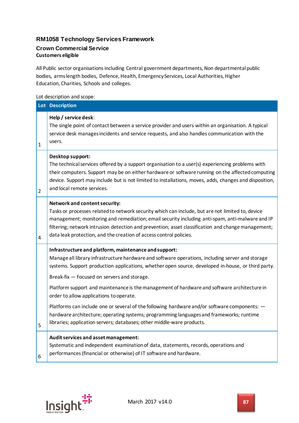# **RM1058 Technology Services Framework**

# **Crown Commercial Service Customers eligible**

All Public sector organisations including Central government departments, Non departmental public bodies, arms length bodies, Defence, Health, Emergency Services, Local Authorities, Higher Education, Charities, Schools and colleges.

## Lot description and scope:

|                | Lot Description                                                                                                                                                                                                                                                                                                                                                                                                                                                                                                                                                                                                                                                                                                               |
|----------------|-------------------------------------------------------------------------------------------------------------------------------------------------------------------------------------------------------------------------------------------------------------------------------------------------------------------------------------------------------------------------------------------------------------------------------------------------------------------------------------------------------------------------------------------------------------------------------------------------------------------------------------------------------------------------------------------------------------------------------|
| 1              | Help / service desk:<br>The single point of contact between a service provider and users within an organisation. A typical<br>service desk manages incidents and service requests, and also handles communication with the<br>users.                                                                                                                                                                                                                                                                                                                                                                                                                                                                                          |
| $\overline{2}$ | Desktop support:<br>The technical services offered by a support organisation to a user(s) experiencing problems with<br>their computers. Support may be on either hardware or software running on the affected computing<br>device. Support may include but is not limited to installations, moves, adds, changes and disposition,<br>and local remote services.                                                                                                                                                                                                                                                                                                                                                              |
| 4              | Network and content security:<br>Tasks or processes related to network security which can include, but are not limited to, device<br>management; monitoring and remediation; email security including anti-spam, anti-malware and IP<br>filtering; network intrusion detection and prevention; asset classification and change management;<br>data leak protection, and the creation of access control policies.                                                                                                                                                                                                                                                                                                              |
| 5              | Infrastructure and platform, maintenance and support:<br>Manage all library infrastructure hardware and software operations, including server and storage<br>systems. Support production applications, whether open source, developed in-house, or third party.<br>Break-fix - Focused on servers and storage.<br>Platform support and maintenance is the management of hardware and software architecture in<br>order to allow applications to operate.<br>Platforms can include one or several of the following hardware and/or software components: -<br>hardware architecture; operating systems; programming languages and frameworks; runtime<br>libraries; application servers; databases; other middle-ware products. |
| 6              | Audit services and asset management:<br>Systematic and independent examination of data, statements, records, operations and<br>performances (financial or otherwise) of IT software and hardware.                                                                                                                                                                                                                                                                                                                                                                                                                                                                                                                             |

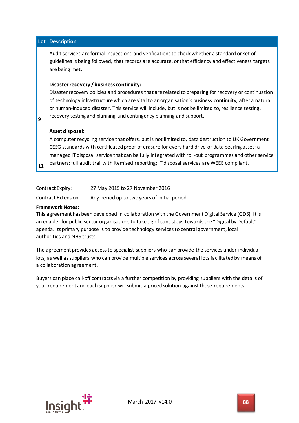|    | Lot Description                                                                                                                                                                                                                                                                                                                                                                                                                          |
|----|------------------------------------------------------------------------------------------------------------------------------------------------------------------------------------------------------------------------------------------------------------------------------------------------------------------------------------------------------------------------------------------------------------------------------------------|
|    | Audit services are formal inspections and verifications to check whether a standard or set of<br>guidelines is being followed, that records are accurate, or that efficiency and effectiveness targets<br>are being met.                                                                                                                                                                                                                 |
| 9  | Disaster recovery / business continuity:<br>Disaster recovery policies and procedures that are related to preparing for recovery or continuation<br>of technology infrastructure which are vital to an organisation's business continuity, after a natural<br>or human-induced disaster. This service will include, but is not be limited to, resilience testing,<br>recovery testing and planning and contingency planning and support. |
| 11 | Asset disposal:<br>A computer recycling service that offers, but is not limited to, data destruction to UK Government<br>CESG standards with certificated proof of erasure for every hard drive or data bearing asset; a<br>managed IT disposal service that can be fully integrated with roll-out programmes and other service<br>partners; full audit trail with itemised reporting; IT disposal services are WEEE compliant.          |

| Contract Expiry: | 27 May 2015 to 27 November 2016 |
|------------------|---------------------------------|
|                  |                                 |

Contract Extension: Any period up to two years of initial period

## **Framework Notes:**

This agreement has been developed in collaboration with the Government Digital Service (GDS). It is an enabler for public sector organisations to take significant steps towards the "Digital by Default" agenda. Its primary purpose is to provide technology services to central government, local authorities and NHS trusts.

The agreement provides access to specialist suppliers who can provide the services under individual lots, as well as suppliers who can provide multiple services across several lots facilitated by means of a collaboration agreement.

Buyers can place call-off contracts via a further competition by providing suppliers with the details of your requirement and each supplier will submit a priced solution against those requirements.

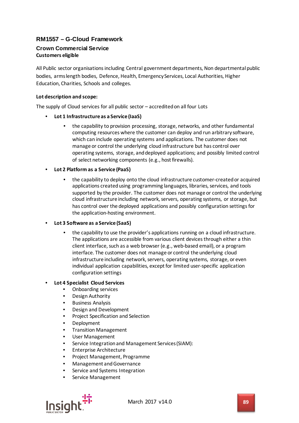# **RM1557 – G-Cloud Framework**

# **Crown Commercial Service Customers eligible**

All Public sector organisations including Central government departments, Non departmental public bodies, arms length bodies, Defence, Health, Emergency Services, Local Authorities, Higher Education, Charities, Schools and colleges.

## **Lot description and scope:**

The supply of Cloud services for all public sector – accredited on all four Lots

- **Lot 1 Infrastructure as a Service (IaaS)**
	- the capability to provision processing, storage, networks, and other fundamental computing resources where the customer can deploy and run arbitrary software, which can include operating systems and applications. The customer does not manage or control the underlying cloud infrastructure but has control over operating systems, storage, and deployed applications; and possibly limited control of select networking components (e.g., host firewalls).
- **Lot 2 Platform as a Service (PaaS)**
	- the capability to deploy onto the cloud infrastructure customer-created or acquired applications created using programming languages, libraries, services, and tools supported by the provider. The customer does not manage or control the underlying cloud infrastructure including network, servers, operating systems, or storage, but has control over the deployed applications and possibly configuration settings for the application-hosting environment.
- **Lot 3 Software as a Service (SaaS)**
	- the capability to use the provider's applications running on a cloud infrastructure. The applications are accessible from various client devices through either a thin client interface, such as a web browser (e.g., web-based email), or a program interface. The customer does not manage or control the underlying cloud infrastructure including network, servers, operating systems, storage, or even individual application capabilities, except for limited user-specific application configuration settings

## • **Lot 4 Specialist Cloud Services**

- Onboarding services
- Design Authority
- Business Analysis
- Design and Development
- Project Specification and Selection
- Deployment
- Transition Management
- User Management
- Service Integration and Management Services (SIAM):
- Enterprise Architecture
- Project Management, Programme
- Management and Governance
- Service and Systems Integration
- Service Management

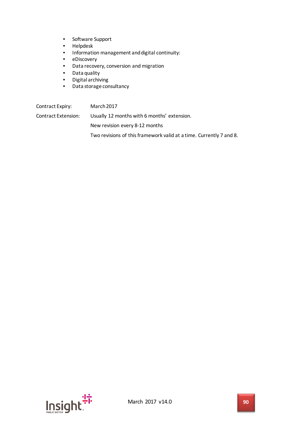- Software Support
- Helpdesk
- Information management and digital continuity:<br>• eDiscovery
- eDiscovery
- Data recovery, conversion and migration
- Data quality
- Digital archiving
- Data storage consultancy

Contract Expiry: March 2017 Contract Extension: Usually 12 months with 6 months' extension. New revision every 8-12 months

Two revisions of this framework valid at a time. Currently 7 and 8.

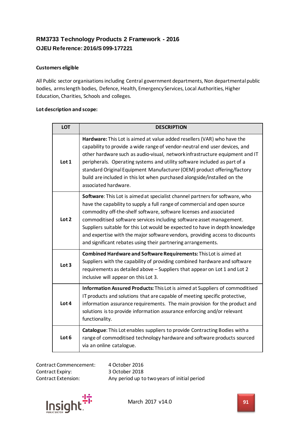# **RM3733 Technology Products 2 Framework - 2016 OJEU Reference: 2016/S 099-177221**

## **Customers eligible**

All Public sector organisations including Central government departments, Non departmental public bodies, arms length bodies, Defence, Health, Emergency Services, Local Authorities, Higher Education, Charities, Schools and colleges.

### **Lot description and scope:**

| <b>LOT</b>       | <b>DESCRIPTION</b>                                                                                                                                                                                                                                                                                                                                                                                                                                                                                                                           |
|------------------|----------------------------------------------------------------------------------------------------------------------------------------------------------------------------------------------------------------------------------------------------------------------------------------------------------------------------------------------------------------------------------------------------------------------------------------------------------------------------------------------------------------------------------------------|
| Lot 1            | Hardware: This Lot is aimed at value added resellers (VAR) who have the<br>capability to provide a wide range of vendor-neutral end user devices, and<br>other hardware such as audio-visual, network infrastructure equipment and IT<br>peripherals. Operating systems and utility software included as part of a<br>standard Original Equipment Manufacturer (OEM) product offering/factory<br>build are included in this lot when purchased alongside/installed on the<br>associated hardware.                                            |
| Lot 2            | <b>Software:</b> This Lot is aimed at specialist channel partners for software, who<br>have the capability to supply a full range of commercial and open source<br>commodity off-the-shelf software, software licenses and associated<br>commoditised software services including software asset management.<br>Suppliers suitable for this Lot would be expected to have in depth knowledge<br>and expertise with the major software vendors, providing access to discounts<br>and significant rebates using their partnering arrangements. |
| Lot 3            | Combined Hardware and Software Requirements: This Lot is aimed at<br>Suppliers with the capability of providing combined hardware and software<br>requirements as detailed above - Suppliers that appear on Lot 1 and Lot 2<br>inclusive will appear on this Lot 3.                                                                                                                                                                                                                                                                          |
| Lot 4            | Information Assured Products: This Lot is aimed at Suppliers of commoditised<br>IT products and solutions that are capable of meeting specific protective,<br>information assurance requirements. The main provision for the product and<br>solutions is to provide information assurance enforcing and/or relevant<br>functionality.                                                                                                                                                                                                        |
| Lot <sub>6</sub> | Catalogue: This Lot enables suppliers to provide Contracting Bodies with a<br>range of commoditised technology hardware and software products sourced<br>via an online catalogue.                                                                                                                                                                                                                                                                                                                                                            |

Contract Commencement: 4 October 2016 Contract Expiry: 3 October 2018

Contract Extension: Any period up to two years of initial period

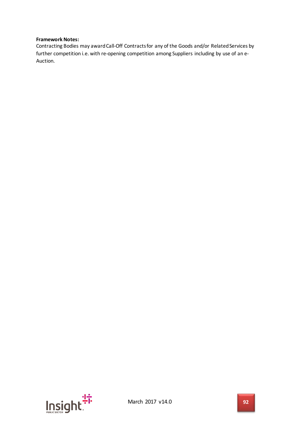### **Framework Notes:**

Contracting Bodies may award Call-Off Contracts for any of the Goods and/or Related Services by further competition i.e. with re-opening competition among Suppliers including by use of an e-Auction.

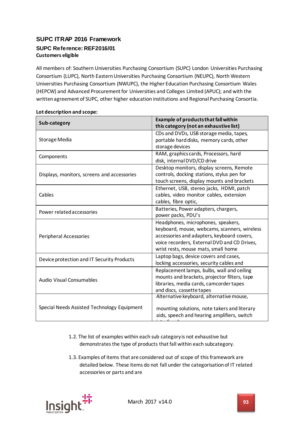# **SUPC ITRAP 2016 Framework SUPC Reference: REF2016/01 Customers eligible**

All members of: Southern Universities Purchasing Consortium (SUPC) London Universities Purchasing Consortium (LUPC), North EasternUniversities Purchasing Consortium (NEUPC), North Western Universities Purchasing Consortium (NWUPC), the Higher Education Purchasing Consortium Wales (HEPCW) and Advanced Procurement for Universities and Colleges Limited (APUC); and with the written agreement of SUPC, other higher education institutions and Regional Purchasing Consortia.

| Sub-category                                | <b>Example of products that fall within</b><br>this category (not an exhaustive list)                                                                                                                                   |
|---------------------------------------------|-------------------------------------------------------------------------------------------------------------------------------------------------------------------------------------------------------------------------|
| Storage Media                               | CDs and DVDs, USB storage media, tapes,<br>portable hard disks, memory cards, other<br>storage devices                                                                                                                  |
| Components                                  | RAM, graphics cards, Processors, hard<br>disk, internal DVD/CD drive                                                                                                                                                    |
| Displays, monitors, screens and accessories | Desktop monitors, display screens, Remote<br>controls, docking stations, stylus pen for<br>touch screens, display mounts and brackets                                                                                   |
| Cables                                      | Ethernet, USB, stereo jacks, HDMI, patch<br>cables, video monitor cables, extension<br>cables, fibre optic,                                                                                                             |
| Power related accessories                   | Batteries, Power adapters, chargers,<br>power packs, PDU's                                                                                                                                                              |
| Peripheral Accessories                      | Headphones, microphones, speakers,<br>keyboard, mouse, webcams, scanners, wireless<br>accessories and adapters, keyboard covers,<br>voice recorders, External DVD and CD Drives,<br>wrist rests, mouse mats, small home |
| Device protection and IT Security Products  | Laptop bags, device covers and cases,<br>locking accessories, security cables and                                                                                                                                       |
| <b>Audio Visual Consumables</b>             | Replacement lamps, bulbs, wall and ceiling<br>mounts and brackets, projector filters, tape<br>libraries, media cards, camcorder tapes<br>and discs, cassette tapes                                                      |
| Special Needs Assisted Technology Equipment | Alternative keyboard, alternative mouse,<br>mounting solutions, note takers and literary<br>aids, speech and hearing amplifiers, switch                                                                                 |

## **Lot description and scope:**

- 1.2. The list of examples within each sub category is not exhaustive but demonstrates the type of products that fall within each subcategory.
- 1.3. Examples of items that are considered out of scope of this framework are detailed below. These items do not fall under the categorisation of IT related accessories or parts and are

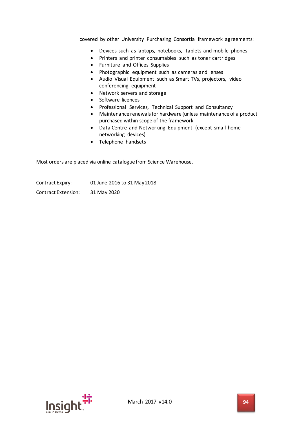covered by other University Purchasing Consortia framework agreements:

- Devices such as laptops, notebooks, tablets and mobile phones
- Printers and printer consumables such as toner cartridges
- Furniture and Offices Supplies
- Photographic equipment such as cameras and lenses
- Audio Visual Equipment such as Smart TVs, projectors, video conferencing equipment
- Network servers and storage
- Software licences
- Professional Services, Technical Support and Consultancy
- Maintenance renewals for hardware (unless maintenance of a product purchased within scope of the framework
- Data Centre and Networking Equipment (except small home networking devices)
- Telephone handsets

Most orders are placed via online catalogue from Science Warehouse.

Contract Expiry: 01 June 2016 to 31 May 2018 Contract Extension: 31 May 2020

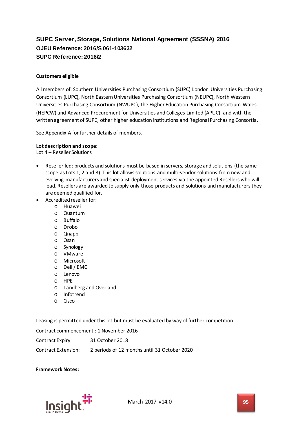# **SUPC Server, Storage, Solutions National Agreement (SSSNA) 2016 OJEU Reference: 2016/S 061-103632 SUPC Reference: 2016/2**

### **Customers eligible**

All members of: Southern Universities Purchasing Consortium (SUPC) London Universities Purchasing Consortium (LUPC), North Eastern Universities Purchasing Consortium (NEUPC), North Western Universities Purchasing Consortium (NWUPC), the Higher Education Purchasing Consortium Wales (HEPCW) and Advanced Procurement for Universities and Colleges Limited (APUC); and with the written agreement of SUPC, other higher education institutions and Regional Purchasing Consortia.

See Appendix A for further details of members.

#### **Lot description and scope:**

Lot 4 – Reseller Solutions

- Reseller led; products and solutions must be based in servers, storage and solutions (the same scope as Lots 1, 2 and 3). This lot allowssolutions and multi-vendor solutions from new and evolving manufacturers and specialist deployment services via the appointed Resellers who will lead. Resellers are awarded to supply only those products and solutions and manufacturers they are deemed qualified for.
- Accredited reseller for:
	- o Huawei
	- o Quantum
	- o Buffalo
	- o Drobo
	- o Qnapp
	- o Qsan
	- o Synology
	- o VMware
	- o Microsoft
	- o Dell / EMC
	- o Lenovo
	- o HPE
	- o Tandberg and Overland
	- o Infotrend
	- o Cisco

Leasing is permitted under this lot but must be evaluated by way of further competition.

Contract commencement : 1 November 2016

Contract Expiry: 31 October 2018

Contract Extension: 2 periods of 12 months until 31 October 2020

**Framework Notes:**

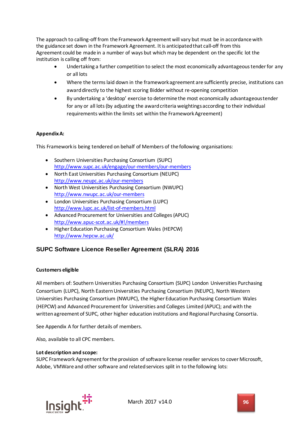The approach to calling-off from the Framework Agreement will vary but must be in accordance with the guidance set down in the Framework Agreement. It is anticipated that call-off from this Agreement could be made in a number of ways but which may be dependent on the specific lot the institution is calling off from:

- Undertaking a further competition to select the most economically advantageous tender for any or all lots
- Where the terms laid down in the framework agreement are sufficiently precise, institutions can award directly to the highest scoring Bidder without re-opening competition
- By undertaking a 'desktop' exercise to determine the most economically advantageous tender for any or all lots (by adjusting the award criteria weightings according to their individual requirements within the limits set within the Framework Agreement)

## **Appendix A:**

This Framework is being tendered on behalf of Members of the following organisations:

- Southern Universities Purchasing Consortium (SUPC) <http://www.supc.ac.uk/engage/our-members/our-members>
- North East Universities Purchasing Consortium (NEUPC) <http://www.neupc.ac.uk/our-members>
- North West Universities Purchasing Consortium (NWUPC) <http://www.nwupc.ac.uk/our-members>
- London Universities Purchasing Consortium (LUPC) <http://www.lupc.ac.uk/list-of-members.html>
- Advanced Procurement for Universities and Colleges (APUC) <http://www.apuc-scot.ac.uk/#!/members>
- Higher Education Purchasing Consortium Wales (HEPCW) <http://www.hepcw.ac.uk/>

## **SUPC Software Licence Reseller Agreement (SLRA) 2016**

## **Customers eligible**

All members of: Southern Universities Purchasing Consortium (SUPC) London Universities Purchasing Consortium (LUPC), North Eastern Universities Purchasing Consortium (NEUPC), North Western Universities Purchasing Consortium (NWUPC), the Higher Education Purchasing Consortium Wales (HEPCW) and Advanced Procurement for Universities and Colleges Limited (APUC); and with the written agreement of SUPC, other higher education institutions and Regional Purchasing Consortia.

See Appendix A for further details of members.

Also, available to all CPC members.

### **Lot description and scope:**

SUPC Framework Agreement for the provision of software license reseller services to cover Microsoft, Adobe, VMWare and other software and related services split in to the following lots:

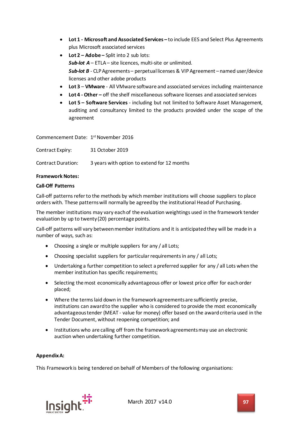- **Lot 1 - Microsoft and Associated Services –** to include EES and Select Plus Agreements plus Microsoft associated services
- **Lot 2 – Adobe –** Split into 2 sub lots: *Sub-lot A* – ETLA – site licences, multi-site or unlimited. *Sub-lot B* - CLP Agreements – perpetual licenses & VIP Agreement – named user/device licenses and other adobe products
- **Lot 3 VMware** All VMware software and associated services including maintenance
- **Lot 4 - Other –** off the shelf miscellaneous software licenses and associated services
- **Lot 5 – Software Services**  including but not limited to Software Asset Management, auditing and consultancy limited to the products provided under the scope of the agreement

Commencement Date: 1<sup>st</sup> November 2016

| Contract Expiry:   | 31 October 2019                             |
|--------------------|---------------------------------------------|
| Contract Duration: | 3 years with option to extend for 12 months |

### **Framework Notes:**

### **Call-Off Patterns**

Call-off patterns refer to the methods by which member institutions will choose suppliers to place orders with. These patterns will normally be agreed by the institutional Head of Purchasing.

The member institutions may vary each of the evaluation weightings used in the framework tender evaluation by up to twenty (20) percentage points.

Call-off patterns will vary between member institutions and it is anticipated they will be made in a number of ways, such as:

- Choosing a single or multiple suppliers for any / all Lots;
- Choosing specialist suppliers for particular requirements in any / all Lots;
- Undertaking a further competition to select a preferred supplier for any / all Lots when the member institution has specific requirements;
- Selecting the most economically advantageous offer or lowest price offer for each order placed;
- Where the terms laid down in the framework agreements are sufficiently precise, institutions can award to the supplier who is considered to provide the most economically advantageous tender (MEAT - value for money) offer based on the award criteria used in the Tender Document, without reopening competition; and
- Institutions who are calling off from the framework agreements may use an electronic auction when undertaking further competition.

### **Appendix A:**

This Framework is being tendered on behalf of Members of the following organisations:

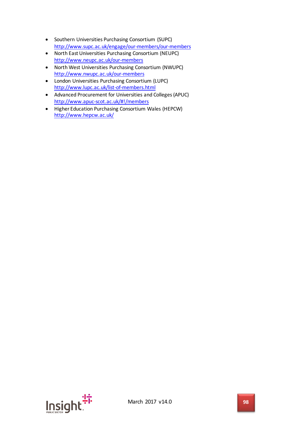- Southern Universities Purchasing Consortium (SUPC) <http://www.supc.ac.uk/engage/our-members/our-members>
- North East Universities Purchasing Consortium (NEUPC) <http://www.neupc.ac.uk/our-members>
- North West Universities Purchasing Consortium (NWUPC) <http://www.nwupc.ac.uk/our-members>
- London Universities Purchasing Consortium (LUPC) <http://www.lupc.ac.uk/list-of-members.html>
- Advanced Procurement for Universities and Colleges (APUC) <http://www.apuc-scot.ac.uk/#!/members>
- Higher Education Purchasing Consortium Wales (HEPCW) <http://www.hepcw.ac.uk/>

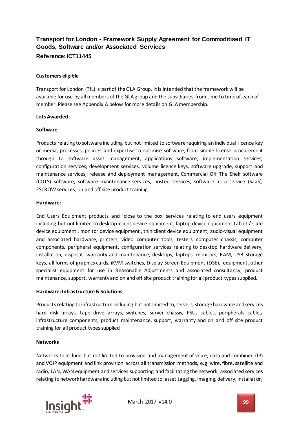# **Transport for London - Framework Supply Agreement for Commoditised IT Goods, Software and/or Associated Services Reference: ICT11445**

## **Customers eligible**

Transport for London (TfL) is part of the GLA Group. It is intended that the framework will be available for use by all members of the GLA group and the subsidiaries from time to time of each of member. Please see Appendix A below for more details on GLA membership.

### **Lots Awarded:**

### **Software**

Products relating to software including but not limited to software requiring an individual licence key or media, processes, policies and expertise to optimise software, from simple license procurement through to software asset management, applications software, implementation services, configuration services, development services, volume licence keys, software upgrade, support and maintenance services, release and deployment management, Commercial Off The Shelf software (COTS) software, software maintenance services, hosted services, software as a service (SaaS), ESCROW services, on and off site product training.

### **Hardware:**

End Users Equipment products and 'close to the box' services relating to end users equipment including but not limited to desktop client device equipment, laptop device equipment tablet / slate device equipment , monitor device equipment , thin client device equipment, audio-visual equipment and associated hardware, printers, video computer tools, testers, computer chassis, computer components, peripheral equipment, configuration services relating to desktop hardware delivery, installation, disposal, warranty and maintenance, desktops, laptops, monitors, RAM, USB Storage keys, all forms of graphics cards, iKVM switches, Display Screen Equipment (DSE), equipment, other specialist equipment for use in Reasonable Adjustments and associated consultancy, product maintenance, support, warranty and on and off site product training for all product types supplied.

### **Hardware: Infrastructure & Solutions**

Products relating to infrastructure including but not limited to, servers, storage hardware and services hard disk arrays, tape drive arrays, switches, server chassis, PSU, cables, peripherals cables, infrastructure components, product maintenance, support, warranty and on and off site product training for all product types supplied

### **Networks**

Networks to include but not limited to provision and management of voice, data and combined (IP) and VOIP equipment and link provision across all transmission methods, e.g. wire, fibre, satellite and radio, LAN, WAN equipment and services supporting and facilitating the network, associated services relating to network hardware including but not limited to: asset tagging, imaging, delivery, installation,

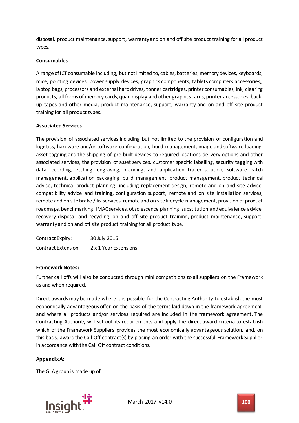disposal, product maintenance, support, warranty and on and off site product training for all product types.

## **Consumables**

A range of ICT consumable including, but not limited to, cables, batteries, memory devices, keyboards, mice, pointing devices, power supply devices, graphics components, tablets computers accessories,, laptop bags, processors and external hard drives, tonner cartridges, printer consumables, ink, clearing products, all forms of memory cards, quad display and other graphics cards, printer accessories, backup tapes and other media, product maintenance, support, warranty and on and off site product training for all product types.

### **Associated Services**

The provision of associated services including but not limited to the provision of configuration and logistics, hardware and/or software configuration, build management, image and software loading, asset tagging and the shipping of pre-built devices to required locations delivery options and other associated services, the provision of asset services, customer specific labelling, security tagging with data recording, etching, engraving, branding, and application tracer solution, software patch management, application packaging, build management, product management, product technical advice, technical product planning, including replacement design, remote and on and site advice, compatibility advice and training, configuration support, remote and on site installation services, remote and on site brake / fix services, remote and on site lifecycle management, provision of product roadmaps, benchmarking, IMAC services, obsolescence planning, substitution and equivalence advice, recovery disposal and recycling, on and off site product training, product maintenance, support, warranty and on and off site product training for all product type.

| Contract Expiry:           | 30 July 2016          |
|----------------------------|-----------------------|
| <b>Contract Extension:</b> | 2 x 1 Year Extensions |

### **Framework Notes:**

Further call offs will also be conducted through mini competitions to all suppliers on the Framework as and when required.

Direct awards may be made where it is possible for the Contracting Authority to establish the most economically advantageous offer on the basis of the terms laid down in the framework agreement, and where all products and/or services required are included in the framework agreement. The Contracting Authority will set out its requirements and apply the direct award criteria to establish which of the Framework Suppliers provides the most economically advantageous solution, and, on this basis, award the Call Off contract(s) by placing an order with the successful Framework Supplier in accordance with the Call Off contract conditions.

### **Appendix A:**

The GLA group is made up of:

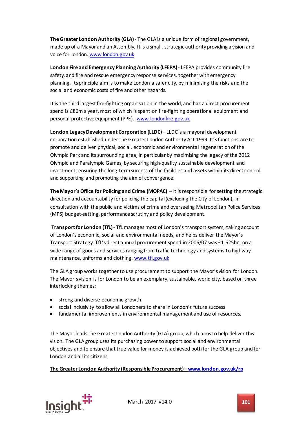**The Greater London Authority (GLA)**- The GLA is a unique form of regional government, made up of a Mayor and an Assembly. It is a small, strategic authority providing a vision and voice for London. [www.london.gov.uk](http://www.london.gov.uk/)

**London Fire and Emergency Planning Authority (LFEPA)** - LFEPA provides community fire safety, and fire and rescue emergency response services, together with emergency planning. Its principle aim is to make London a safer city, by minimising the risks and the social and economic costs of fire and other hazards.

It is the third largest fire-fighting organisation in the world, and has a direct procurement spend is £86m a year, most of which isspent on fire-fighting operational equipment and personal protective equipment (PPE). [www.londonfire.gov.uk](http://www.londonfire.gov.uk/)

**London Legacy Development Corporation (LLDC)** – LLDC is a mayoral development corporation established under the Greater London Authority Act 1999. It's functions are to promote and deliver physical, social, economic and environmental regeneration of the Olympic Park and its surrounding area, in particular by maximising the legacy of the 2012 Olympic and Paralympic Games, by securing high-quality sustainable development and investment, ensuring the long-term success of the facilities and assets within its direct control and supporting and promoting the aim of convergence.

**The Mayor's Office for Policing and Crime (MOPAC)** – it is responsible for setting the strategic direction and accountability for policing the capital (excluding the City of London), in consultation with the public and victims of crime and overseeing Metropolitan Police Services (MPS) budget-setting[, performance scrutiny](http://www.london.gov.uk/priorities/policing-crime/how-we-work/mopac-challenge) and policy development.

**Transport for London (TfL)**- TfL manages most of London's transport system, taking account of London's economic, social and environmental needs, and helps deliver the Mayor's Transport Strategy. TfL's direct annual procurement spend in 2006/07 was £1.625bn, on a wide range of goods and services ranging from traffic technology and systems to highway maintenance, uniforms and clothing. [www.tfl.gov.uk](http://www.tfl.gov.uk/)

The GLA group works together to use procurement to support the Mayor's vision for London. The Mayor's vision is for London to be an exemplary, sustainable, world city, based on three interlocking themes:

- strong and diverse economic growth
- social inclusivity to allow all Londoners to share in London's future success
- fundamental improvements in environmental management and use of resources.

The Mayor leads the Greater London Authority (GLA) group, which aims to help deliver this vision. The GLA group uses its purchasing power to support social and environmental objectives and to ensure that true value for money is achieved both for the GLA group and for London and all its citizens.

**The Greater London Authority (Responsible Procurement) [–www.london.gov.uk/rp](http://www.london.gov.uk/rp)** 

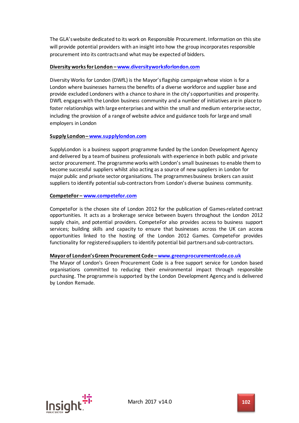The GLA's website dedicated to its work on Responsible Procurement. Information on this site will provide potential providers with an insight into how the group incorporates responsible procurement into its contracts and what may be expected of bidders.

## **Diversity works for London [–www.diversityworksforlondon.com](http://www.diversityworksforlondon.com/)**

Diversity Works for London (DWfL) is the Mayor's flagship campaign whose vision is for a London where businesses harness the benefits of a diverse workforce and supplier base and provide excluded Londoners with a chance to share in the city's opportunities and prosperity. DWfL engages with the London business community and a number of initiatives are in place to foster relationships with large enterprises and within the small and medium enterprise sector, including the provision of a range of website advice and guidance tools for large and small employers in London

## **Supply London [–www.supplylondon.com](http://www.supplylondon.com/)**

SupplyLondon is a business support programme funded by the London Development Agency and delivered by a team of business professionals with experience in both public and private sector procurement. The programme works with London's small businesses to enable them to become successful suppliers whilst also acting as a source of new suppliers in London for major public and private sector organisations. The programmes business brokers can assist suppliers to identify potential sub-contractors from London's diverse business community.

## **CompeteFor – [www.competefor.com](http://www.competefor.com/)**

CompeteFor is the chosen site of London 2012 for the publication of Games-related contract opportunities. It acts as a brokerage service between buyers throughout the London 2012 supply chain, and potential providers. CompeteFor also provides access to business support services; building skills and capacity to ensure that businesses across the UK can access opportunities linked to the hosting of the London 2012 Games. CompeteFor provides functionality for registered suppliers to identify potential bid partners and sub-contractors.

### **Mayor of London's Green Procurement Code [–www.greenprocurementcode.co.uk](http://www.greenprocurementcode.co.uk/)**

The Mayor of London's Green Procurement Code is a free support service for London based organisations committed to reducing their environmental impact through responsible purchasing. The programme is supported by the London Development Agency and is delivered by London Remade.

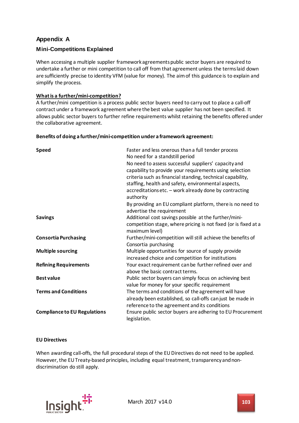# **Appendix A**

## **Mini-Competitions Explained**

When accessing a multiple supplier framework agreements public sector buyers are required to undertake a further or mini competition to call off from that agreement unless the terms laid down are sufficiently precise to identity VFM (value for money). The aim of this guidance is to explain and simplify the process.

## **What is a further/mini-competition?**

A further/mini competition is a process public sector buyers need to carry out to place a call-off contract under a framework agreement where the best value supplier has not been specified. It allows public sector buyers to further refine requirements whilst retaining the benefits offered under the collaborative agreement.

### **Benefits of doing a further/mini-competition under a framework agreement:**

| <b>Speed</b>                        | Faster and less onerous than a full tender process<br>No need for a standstill period<br>No need to assess successful suppliers' capacity and<br>capability to provide your requirements using selection<br>criteria such as financial standing, technical capability,<br>staffing, health and safety, environmental aspects,<br>accreditations etc. - work already done by contracting<br>authority |
|-------------------------------------|------------------------------------------------------------------------------------------------------------------------------------------------------------------------------------------------------------------------------------------------------------------------------------------------------------------------------------------------------------------------------------------------------|
|                                     | By providing an EU compliant platform, there is no need to<br>advertise the requirement                                                                                                                                                                                                                                                                                                              |
| <b>Savings</b>                      | Additional cost savings possible at the further/mini-<br>competition stage, where pricing is not fixed (or is fixed at a<br>maximum level)                                                                                                                                                                                                                                                           |
| <b>Consortia Purchasing</b>         | Further/mini-competition will still achieve the benefits of<br>Consortia purchasing                                                                                                                                                                                                                                                                                                                  |
| <b>Multiple sourcing</b>            | Multiple opportunities for source of supply provide<br>increased choice and competition for institutions                                                                                                                                                                                                                                                                                             |
| <b>Refining Requirements</b>        | Your exact requirement can be further refined over and<br>above the basic contract terms.                                                                                                                                                                                                                                                                                                            |
| <b>Best value</b>                   | Public sector buyers can simply focus on achieving best<br>value for money for your specific requirement                                                                                                                                                                                                                                                                                             |
| <b>Terms and Conditions</b>         | The terms and conditions of the agreement will have<br>already been established, so call-offs can just be made in<br>reference to the agreement and its conditions                                                                                                                                                                                                                                   |
| <b>Compliance to EU Regulations</b> | Ensure public sector buyers are adhering to EU Procurement<br>legislation.                                                                                                                                                                                                                                                                                                                           |

### **EU Directives**

When awarding call-offs, the full procedural steps of the EU Directives do not need to be applied. However, the EU Treaty-based principles, including equal treatment, transparency and nondiscrimination do still apply.

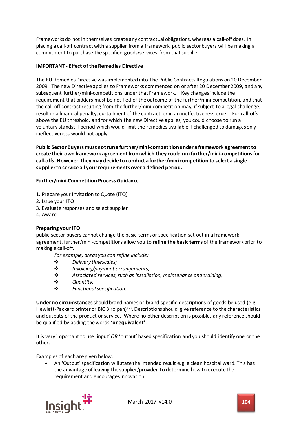Frameworks do not in themselves create any contractual obligations, whereas a call-off does. In placing a call-off contract with a supplier from a framework, public sector buyers will be making a commitment to purchase the specified goods/services from that supplier.

## **IMPORTANT - Effect of the Remedies Directive**

The EU Remedies Directive was implemented into The Public Contracts Regulations on 20 December 2009. The new Directive applies to Frameworks commenced on or after 20 December 2009, and any subsequent further/mini-competitions under that Framework. Key changes include the requirement that bidders must be notified of the outcome of the further/mini-competition, and that the call-off contract resulting from the further/mini-competition may, if subject to a legal challenge, result in a financial penalty, curtailment of the contract, or in an ineffectiveness order. For call-offs above the EU threshold, and for which the new Directive applies, you could choose to run a voluntary standstill period which would limit the remedies available if challenged to damages only ineffectiveness would not apply.

**Public Sector Buyers must not run a further/mini-competition under a framework agreement to create their own framework agreement from which they could run further/mini-competitions for call-offs. However, they may decide to conduct a further/mini competition to select a single supplier to service all your requirements over a defined period.**

### **Further/mini-Competition Process Guidance**

- 1. Prepare your Invitation to Quote (ITQ)
- 2. Issue your ITQ
- 3. Evaluate responses and select supplier
- 4. Award

### **Preparing your ITQ**

public sector buyers cannot change the basic terms or specification set out in a framework agreement, further/mini-competitions allow you to **refine the basic terms** of the framework prior to making a call-off.

*For example, areas you can refine include:*

- *Delivery timescales;*
- *Invoicing/payment arrangements;*
- *Associated services, such as installation, maintenance and training;*
- *Quantity;*
- *Functional specification.*

**Under no circumstances**should brand names or brand-specific descriptions of goods be used (e.g. Hewlett-Packard printer or BiC Biro pen) $(2)$ . Descriptions should give reference to the characteristics and outputs of the product or service. Where no other description is possible, any reference should be qualified by adding the words '**or equivalent'**.

It is very important to use 'input' *OR* 'output' based specification and you should identify one or the other.

Examples of each are given below:

• An **'**Output' specification will state the intended result e.g. a clean hospital ward. This has the advantage of leaving the supplier/provider to determine how to execute the requirement and encourages innovation.